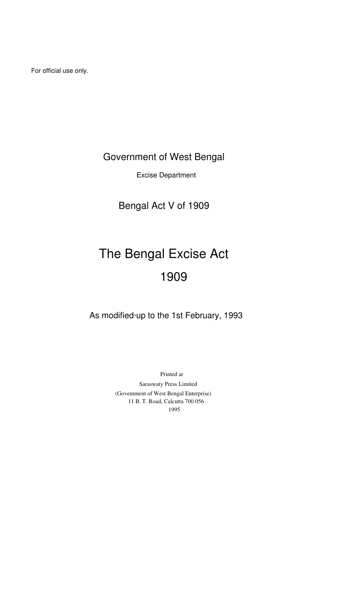For official use only.

# Government of West Bengal

Excise Department

Bengal Act V of 1909

# The Bengal Excise Act 1909

As modified·up to the 1st February, 1993

Printed at Saraswaty Press Limited (Govemment of West Bengal Enterprise) 11 B. T. Road, Calcutta 700 056 1995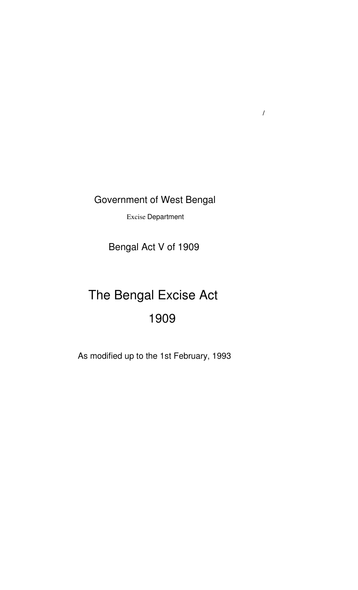Government of West Bengal

/

Excise Department

Bengal Act V of 1909

# The Bengal Excise Act 1909

As modified up to the 1st February, 1993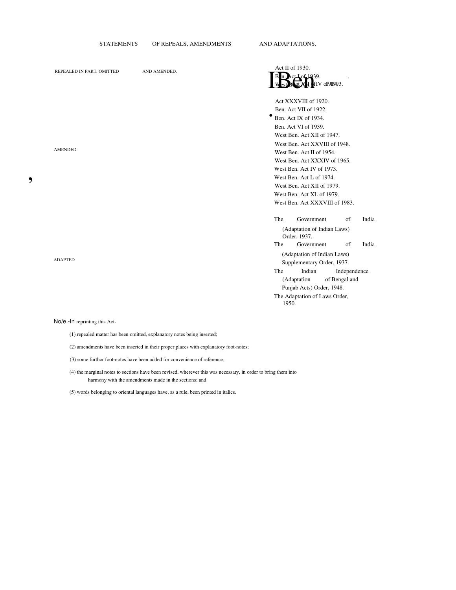|                           | <b>STATEMENTS</b> | OF REPEALS, AMENDMENTS |   |                             | AND ADAPTATIONS.                                                                                                                                                                                                                                                                                                                                                                |               |                                           |                |
|---------------------------|-------------------|------------------------|---|-----------------------------|---------------------------------------------------------------------------------------------------------------------------------------------------------------------------------------------------------------------------------------------------------------------------------------------------------------------------------------------------------------------------------|---------------|-------------------------------------------|----------------|
| REPEALED IN PART, OMITTED |                   | AND AMENDED.           |   |                             | Act II of 1930.<br>$0.1039$ .                                                                                                                                                                                                                                                                                                                                                   | fIV of 91903. |                                           |                |
| <b>AMENDED</b>            |                   |                        | ٠ |                             | Act XXXVIII of 1920.<br>Ben. Act VII of 1922.<br>Ben. Act IX of 1934.<br>Ben. Act VI of 1939.<br>West Ben. Act XII of 1947.<br>West Ben. Act XXVIII of 1948.<br>West Ben. Act II of 1954.<br>West Ben. Act XXXIV of 1965.<br>West Ben. Act IV of 1973.<br>West Ben. Act L of 1974.<br>West Ben. Act XII of 1979.<br>West Ben. Act XL of 1979.<br>West Ben. Act XXXVIII of 1983. |               |                                           |                |
| <b>ADAPTED</b>            |                   |                        |   | The.<br>The<br>The<br>1950. | Government<br>(Adaptation of Indian Laws)<br>Order, 1937.<br>Government<br>(Adaptation of Indian Laws)<br>Supplementary Order, 1937.<br>Indian<br>(Adaptation<br>Punjab Acts) Order, 1948.<br>The Adaptation of Laws Order,                                                                                                                                                     |               | of<br>of<br>Independence<br>of Bengal and | India<br>India |

### No/e.-In reprinting this Act-

 $\bullet$ 

(1) repealed matter has been omitted, explanatory notes being inserted;

(2) amendments have been inserted in their proper places with explanatory foot-notes;

- (3) some further foot-notes have been added for convenience of reference;
- (4) the marginal notes to sections have been revised, wherever this was necessary, in order to bring them into harmony with the amendments made in the sections; and

(5) words belonging to oriental languages have, as a rule, been printed in italics.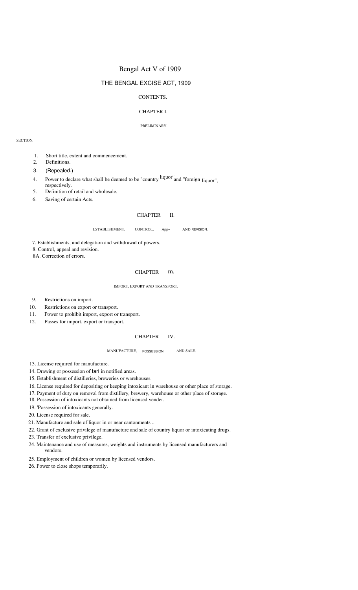# Bengal Act V of 1909

# THE BENGAL EXCISE ACT, 1909

# CONTENTS.

# CHAPTER I.

### PRELIMINARY.

SECTION.

- 1. Short title, extent and commencement.
- 2. Definitions.
- 3. (Repealed.)
- 4. Power to declare what shall be deemed to be "country <sup>liquor"</sup>and "foreign <sub>liquor",</sub>
- 5. respectively. Definition of retail and wholesale.
- 6. Saving of certain Acts.

#### CHAPTER II.

ESTABLISHMENT, CONTROL, App~ AND REVISION.

7. Establishments, and delegation and withdrawal of powers.

8. Control, appeal and revision.

8A. Correction of errors.

# CHAPTER m.

### IMPORT, EXPORT AND TRANSPORT.

- 9. Restrictions on import.
- 10. Restrictions on export or transport.
- 11. Power to prohibit import, export or transport.
- 12. Passes for import, export or transport.

#### **CHAPTER** IV.

#### MANUFACTURE, AND SALE.

13. License required for manufacture.

- 14. Drawing or possession of tari in notified areas.
- 15. Establishment of distilleries, breweries or warehouses.
- 16. License required for depositing or keeping intoxicant in warehouse or other place of storage.
- 17. Payment of duty on removal from distillery, brewery, warehouse or other place of storage.
- 18. Possession of intoxicants not obtained from licensed vender.
- 19. 'Possession of intoxicants generally.
- 20. License required for sale.
- 21. Manufacture and sale of liquor in or near cantonments ..
- 22. Grant of exclusive privilege of manufacture and sale of country liquor or intoxicating drugs.
- 23. Transfer of exclusive privilege.
- 24. Maintenance and use of measures, weights and instruments by licensed manufacturers and vendors.
- 25. Employment of children or women by licensed vendors.
- 26. Power to close shops temporarily.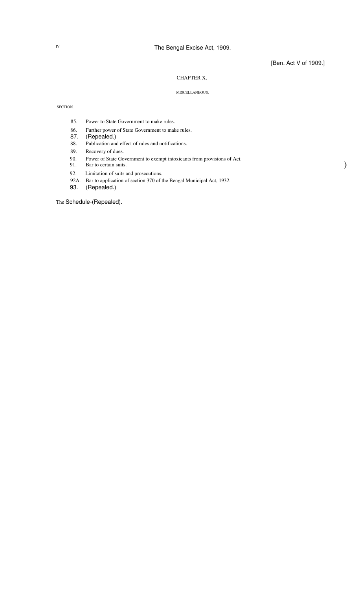[Ben. Act V of 1909.]

)

# CHAPTER X.

# MISCELLANEOUS.

# SECTION.

- 85. Power to State Government to make rules.
- 86. Further power of State Government to make rules.
- 87. (Repealed.)
- 88. Publication and effect of rules and notifications.
- 89. Recovery of dues.
- 90. Power of State Government to exempt intoxicants from provisions of Act.
- 91. Bar to certain suits.
- 92. Limitation of suits and prosecutions.
- 92A. Bar to application of section 370 of the Bengal Municipal Act, 1932.
- 93. (Repealed.)

The Schedule-(Repealed).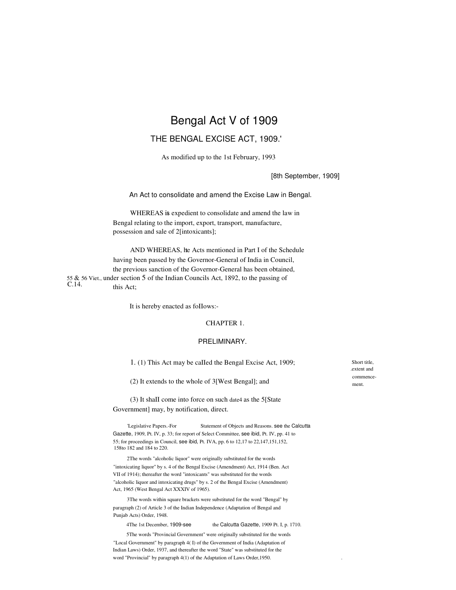# Bengal Act V of 1909

# THE BENGAL EXCISE ACT, 1909.'

As modified up to the 1st February, 1993

[8th September, 1909]

An Act to consolidate and amend the Excise Law in Bengal.

WHEREAS is expedient to consolidate and amend the law in Bengal relating to the import, export, transport, manufacture, possession and sale of 2[intoxicants];

AND WHEREAS, he Acts mentioned in Part I of the Schedule having been passed by the Governor-General of India in Council, the previous sanction of the Governor-General has been obtained, 55 & 56 Viet., under section 5 of the Indian Councils Act, 1892, to the passing of  $C.14.$  this Act;

It is hereby enacted as foIIows:-

### CHAPTER 1.

### PRELIMINARY.

1. (1) This Act may be caIIed the Bengal Excise Act, 1909;

(2) It extends to the whole of 3[West Bengal]; and

(3) It shaII come into force on such date4 as the 5[State Government] may, by notification, direct.

'Legislative Papers.-For Statement of Objects and Reasons. see the Calcutta Gazette, 1909, Pt. IV, p. 33; for report of Select Committee, see ibid, Pt. IV, pp. 41 to 55; for proceedings in Council, see ibid, Pt. IVA, pp. 6 to 12,17 to 22,147,151,152, 158to 182 and 184 to 220.

2The words "alcoholic liquor" were originally substituted for the words "intoxicating liquor" by s. 4 of the Bengal Excise (Amendment) Act, 1914 (Ben. Act VII of 1914); thereafter the word "intoxicants" was substituted for the words "alcoholic liquor and intoxicating drugs" by s. 2 of the Bengal Excise (Amendment) Act, 1965 (West Bengal Act XXXIV of 1965).

3The words within square brackets were substituted for the word "Bengal" by paragraph (2) of Article 3 of the Indian Independence (Adaptation of Bengal and Punjab Acts) Order, 1948.

4The 1st December, 1909-see the Calcutta Gazette, 1909 Pt. I, p. 1710.

5The words "Provincial Government" were originally substituted for the words "Local Government" by paragraph 4( I) of the Government of India (Adaptation of Indian Laws) Order, 1937, and thereafter the word "State" was substituted for the word "Provincial" by paragraph 4(1) of the Adaptation of Laws Order,1950. .

Short title, .extent and commencement.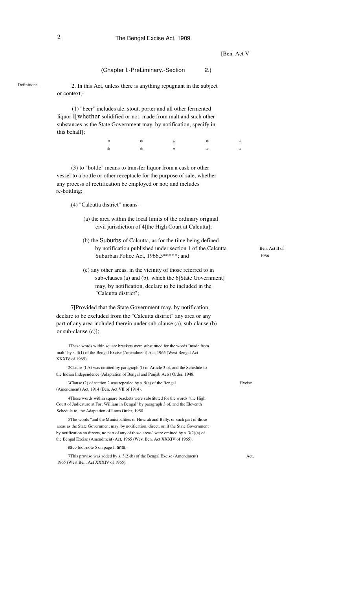# 2 The Bengal Excise Act, 1909.

[Ben. Act V]

| (Chapter I.-PreLiminary.-Section | 2.) |  |  |
|----------------------------------|-----|--|--|
|----------------------------------|-----|--|--|

Definitions. 2. In this Act, unless there is anything repugnant in the subject or context,-

> (1) "beer" includes ale, stout, porter and all other fermented liquor I[whether solidified or not, made from malt and such other substances as the State Government may, by notification, specify in this behalf];

| $\ast$ | $\ast$ $\ast$ |                                                                                                                                                                                                                                                                                                                                                                     |        |  |
|--------|---------------|---------------------------------------------------------------------------------------------------------------------------------------------------------------------------------------------------------------------------------------------------------------------------------------------------------------------------------------------------------------------|--------|--|
| $\ast$ |               | $\begin{picture}(20,20) \put(0,0){\vector(1,0){100}} \put(15,0){\vector(1,0){100}} \put(15,0){\vector(1,0){100}} \put(15,0){\vector(1,0){100}} \put(15,0){\vector(1,0){100}} \put(15,0){\vector(1,0){100}} \put(15,0){\vector(1,0){100}} \put(15,0){\vector(1,0){100}} \put(15,0){\vector(1,0){100}} \put(15,0){\vector(1,0){100}} \put(15,0){\vector(1,0){100}} \$ | $\ast$ |  |

(3) to "bottle" means to transfer liquor from a cask or other vessel to a bottle or other receptacle for the purpose of sale, whether any process of rectification be employed or not; and includes re-bottling;

(4) "Calcutta district" means-

- (a) the area within the local limits of the ordinary original civil jurisdiction of 4[the High Court at Calcutta];
- (b) the Suburbs of Calcutta, as for the time being defined by notification published under section 1 of the Calcutta Suburban Police Act, 1966,5\*\*\*\*\*; and
- (c) any other areas, in the vicinity of those referred to in sub-clauses (a) and (b), which the 6[State Government] may, by notification, declare to be included in the "Calcutta district";

7[Provided that the State Government may, by notification, declare to be excluded from the "Calcutta district" any area or any part of any area included therein under sub-clause (a), sub-clause (b) or sub-clause (c)];

IThese words within square brackets were substituted for the words "made from malt" by s. 3(1) of the Bengal Excise (Amendment) Act, 1965 (West Bengal Act XXXIV of 1965).

2Clause (I A) was omitted by paragraph (I) of Article 3 of, and the Schedule to the Indian Independence (Adaptation of Bengal and Punjab Acts) Order, 1948.

3Clause (2) of section 2 was repealed by s. 5(a) of the Bengal (Amendment) Act, 1914 (Ben. Act VII of 1914).

4These words within square brackets were substituted for the words "the High Court of Judicature at Fort William in Bengal" by paragraph 3 of, and the Eleventh Schedule to, the Adaptation of Laws Order, 1950.

5The words "and the Municipalities of Howrah and Bally, or such part of those areas as the State Government may, by notification, direct, or, if the State Government by notification so directs, no part of any of those areas" were omitted by s. 3(2)(a) of the Bengal Excise (Amendment) Act, 1965 (West Ben. Act XXXIV of 1965).

6See foot-note 5 on page I, ante.

7This proviso was added by s. 3(2)(b) of the Bengal Excise (Amendment) 1965 (West Ben. Act XXXIV of 1965).

Ben. Act II of 1966.

Act,

Excise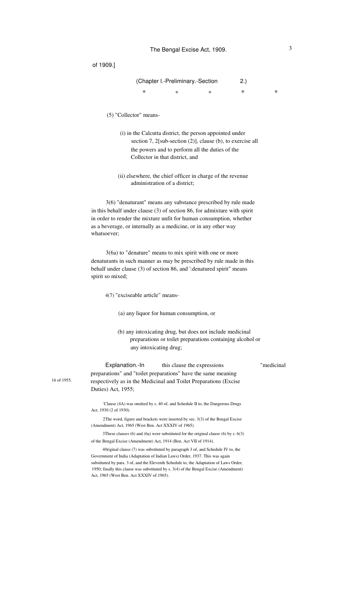|   | (Chapter I.-Preliminary.-Section |   | (2.) |  |
|---|----------------------------------|---|------|--|
| ж | ×                                | × | ж    |  |

- (5) "Collector" means-
	- (i) in the Calcutta district, the person appointed under section 7, 2[sub-section (2)], clause (b), to exercise all the powers and to perform all the duties of the Collector in that district, and
	- (ii) elsewhere, the chief officer in charge of the revenue administration of a district;

3(6) "denaturant" means any substance prescribed by rule made in this behalf under clause (3) of section 86, for admixture with spirit in order to render the mixture unfit for human consumption, whether as a beverage, or internally as a medicine, or in any other way whatsoever;

3(6a) to "denature" means to mix spirit with one or more denaturants in such manner as may be prescribed by rule made in this behalf under clause (3) of section 86, and ':denatured spirit" means spirit so mixed;

4(7) "exciseable article" means-

16 of 1955.

(a) any liquor for human consumption, or

(b) any intoxicating drug, but does not include medicinal preparations or toilet preparations containjng alcohol or any intoxicating drug;

Explanation.-In this clause the expressions "medicinal preparations" and "toilet preparations" have the same meaning respectively as in the Medicinal and Toilet Preparations (Excise Duties) Act, 1955;

'Clause (4A) was omitted by s. 40 of, and Schedule II to, the Dangerous Drugs Act, 1930 (2 of 1930).

2The word, figure and brackets were inserted by sec. 3(3) of the Bengal Excise (Amendment) Act, 1965 (West Ben. Act XXXIV of 1965).

3These clauses (6) and (6a) were substituted for the original clause (6) by s. 6(3) of the Bengal Excise (Amendment) Act, 1914 (Ben. Act VII of 1914).

40riginal clause (7) was substituted by paragraph 3 of, and Schedule IV to, the Government of India (Adaptation of Indian Laws) Order, 1937. This was again substituted by para. 3 of, and the Eleventh Schedule to, the Adaptation of Laws Order, 1950; finally this clause was substituted by s. 3(4) of the Bengal Excise (Amendment) Act, 1965 (West Ben. Act XXXIV of 1965).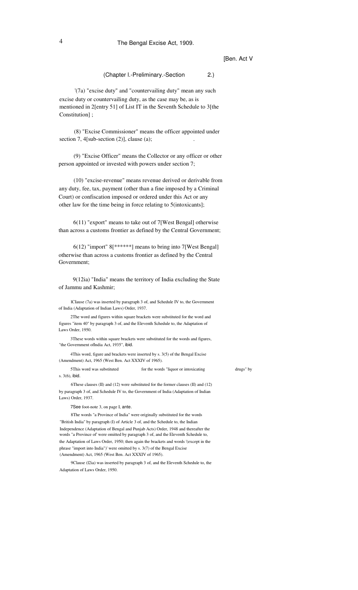# 4 The Bengal Excise Act, 1909.

# [Ben. Act V

(Chapter l.-Preliminary.-Section 2.)

'(7a) "excise duty" and "countervailing duty" mean any such excise duty or countervailing duty, as the case may be, as is mentioned in 2[entry 51] of List IT in the Seventh Schedule to 3[the Constitution] ;

(8) "Excise Commissioner" means the officer appointed under section 7,  $4$ [sub-section  $(2)$ ], clause  $(a)$ ;

(9) "Excise Officer" means the Collector or any officer or other person appointed or invested with powers under section 7;

(10) "excise-revenue" means revenue derived or derivable from any duty, fee, tax, payment (other than a fine imposed by a Criminal Court) or confiscation imposed or ordered under this Act or any other law for the time being in force relating to 5(intoxicants];

6(11) "export" means to take out of 7[West Bengal] otherwise than across a customs frontier as defined by the Central Government;

6(12) "import" 8[\*\*\*\*\*\*] means to bring into 7[West Bengal] otherwise than across a customs frontier as defined by the Central Government;

9(12ia) "India" means the territory of India excluding the State of Jammu and Kashmir;

lCIause (7a) was inserted by paragraph 3 of, and Schedule IV to, the Government of India (Adaptation of Indian Laws) Order, 1937.

2The word and figures within square brackets were substituted for the word and figures "item 40" by paragraph 3 of, and the Eleventh Schedule to, the Adaptation of Laws Order, 1950.

3These words within square brackets were substituted for the words and figures, "the Government oflndia Act, 1935", ibid.

4This word, figure and brackets were inserted by s. 3(5) of the Bengal Excise (Amendment) Act, 1965 (West Ben. Act XXXIV of 1965).

5This word was substituted s. 3(6), ibid. for the words "liquor or intoxicating drugs" by

6These clauses (II) and (12) were substituted for the former clauses (II) and (12) by paragraph 3 of, and Schedule IV to, the Government of India (Adaptation of Indian Laws) Order, 1937.

7See foot-note 3, on page I, ante.

8The words "a Province of India" were originally substituted for the words "British India" by paragraph (I) of Article 3 of, and the Schedule to, the Indian Independence (Adaptation of Bengal and Punjab Acts) Order, 1948 and thereafter the words "a Province of' were omitted by paragraph 3 of, and the Eleventh Schedule to, the Adaptation of Laws Order, 1950; then again the brackets and words '(except in the phrase "import into India")' were omitted by s. 3(7) of the Bengal Excise (Amendment) Act, 1965 (West Ben. Act XXXIV of 1965).

9Clause (l2ia) was inserted by paragraph 3 of, and the Eleventh Schedule to, the Adaptation of Laws Order, 1950.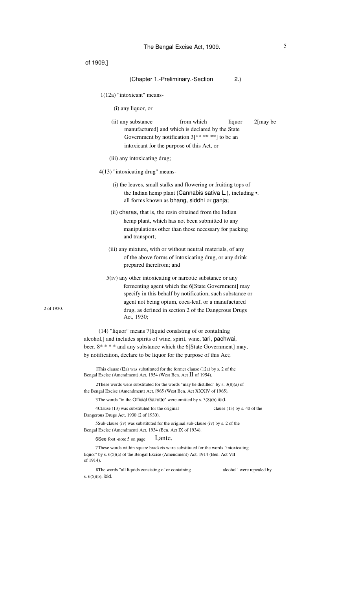| of 1909.]                                                                                                                                  |                                                       |                         |                                                                                                                                                                 |                                                                                                                           |             |
|--------------------------------------------------------------------------------------------------------------------------------------------|-------------------------------------------------------|-------------------------|-----------------------------------------------------------------------------------------------------------------------------------------------------------------|---------------------------------------------------------------------------------------------------------------------------|-------------|
|                                                                                                                                            |                                                       |                         | (Chapter 1.-Preliminary.-Section                                                                                                                                | 2.)                                                                                                                       |             |
|                                                                                                                                            | $1(12a)$ "intoxicant" means-                          |                         |                                                                                                                                                                 |                                                                                                                           |             |
|                                                                                                                                            | (i) any liquor, or                                    |                         |                                                                                                                                                                 |                                                                                                                           |             |
|                                                                                                                                            | (ii) any substance                                    |                         | from which<br>manufactured] and which is declared by the State<br>Government by notification $3[******]$ to be an<br>intoxicant for the purpose of this Act, or | liquor                                                                                                                    | $2$ [may be |
|                                                                                                                                            | (iii) any intoxicating drug;                          |                         |                                                                                                                                                                 |                                                                                                                           |             |
|                                                                                                                                            | 4(13) "intoxicating drug" means-                      |                         |                                                                                                                                                                 |                                                                                                                           |             |
|                                                                                                                                            |                                                       |                         | all forms known as bhang, siddhi or ganja;                                                                                                                      | (i) the leaves, small stalks and flowering or fruiting tops of<br>the Indian hemp plant (Cannabis sativa L.), including . |             |
|                                                                                                                                            |                                                       |                         | (ii) charas, that is, the resin obtained from the Indian                                                                                                        |                                                                                                                           |             |
|                                                                                                                                            | and transport;                                        |                         | hemp plant, which has not been submitted to any                                                                                                                 | manipulations other than those necessary for packing                                                                      |             |
|                                                                                                                                            |                                                       | prepared therefrom; and |                                                                                                                                                                 | (iii) any mixture, with or without neutral materials, of any<br>of the above forms of intoxicating drug, or any drink     |             |
|                                                                                                                                            |                                                       |                         | $5(iv)$ any other intoxicating or narcotic substance or any                                                                                                     | fermenting agent which the 6[State Government] may<br>specify in this behalf by notification, such substance or           |             |
|                                                                                                                                            |                                                       |                         |                                                                                                                                                                 | agent not being opium, coca-leaf, or a manufactured                                                                       |             |
|                                                                                                                                            | Act, 1930;                                            |                         |                                                                                                                                                                 | drug, as defined in section 2 of the Dangerous Drugs                                                                      |             |
| alcohol,] and includes spirits of wine, spirit, wine, tari, pachwai,<br>by notification, declare to be liquor for the purpose of this Act; |                                                       |                         | (14) "liquor" means 7[liquid consIstmg of or contaInIng                                                                                                         | beer, 8**** and any substance which the 6[State Government] may,                                                          |             |
| Bengal Excise (Amendment) Act, 1954 (West Ben. Act II of 1954).                                                                            |                                                       |                         | IThis clause $(12a)$ was substituted for the former clause $(12a)$ by s. 2 of the                                                                               |                                                                                                                           |             |
| the Bengal Excise (Amendment) Act, [965 (West Ben. Act XXXIV of 1965).                                                                     |                                                       |                         |                                                                                                                                                                 | 2These words were substituted for the words "may be distilled" by s. $3(8)(a)$ of                                         |             |
|                                                                                                                                            |                                                       |                         | 3The words "in the Official Gazette" were omitted by s. 3(8)(b) ibid.                                                                                           |                                                                                                                           |             |
| Dangerous Drugs Act, 1930 (2 of 1930).                                                                                                     | 4 Clause (13) was substituted for the original        |                         |                                                                                                                                                                 | clause $(13)$ by s. 40 of the                                                                                             |             |
| Bengal Excise (Amendment) Act, 1934 (Ben. Act IX of 1934).                                                                                 |                                                       |                         | 5 Sub-clause (iv) was substituted for the original sub-clause (iv) by s. 2 of the                                                                               |                                                                                                                           |             |
|                                                                                                                                            | 6See foot -note 5 on page                             | <i>l</i> , ante.        |                                                                                                                                                                 |                                                                                                                           |             |
| liquor" by s. $6(5)(a)$ of the Bengal Excise (Amendment) Act, 1914 (Ben. Act VII<br>of 1914).                                              |                                                       |                         |                                                                                                                                                                 | 7These words within square brackets w~re substituted for the words "intoxicating"                                         |             |
| s. $6(5)(b)$ , ibid.                                                                                                                       | 8 The words "all liquids consisting of or containing" |                         |                                                                                                                                                                 | alcohol" were repealed by                                                                                                 |             |

2 of 1930.

5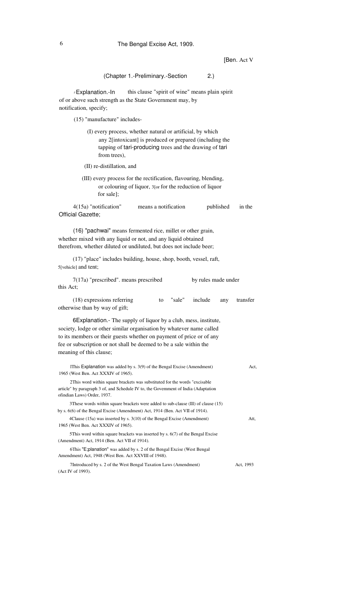# 6 The Bengal Excise Act, 1909.

# [Ben. Act V

| (Chapter 1.-Preliminary.-Section<br>2.)                                                                                                                                                                                                                                                                         |           |
|-----------------------------------------------------------------------------------------------------------------------------------------------------------------------------------------------------------------------------------------------------------------------------------------------------------------|-----------|
| this clause "spirit of wine" means plain spirit<br>J Explanation.-In<br>of or above such strength as the State Government may, by<br>notification, specify;                                                                                                                                                     |           |
| (15) "manufacture" includes-                                                                                                                                                                                                                                                                                    |           |
| (I) every process, whether natural or artificial, by which<br>any 2[intoxicant] is produced or prepared (including the<br>tapping of tari-producing trees and the drawing of tari<br>from trees),                                                                                                               |           |
| (II) re-distillation, and                                                                                                                                                                                                                                                                                       |           |
| (III) every process for the rectification, flavouring, blending,<br>or colouring of liquor, 3[or for the reduction of liquor<br>for sale];                                                                                                                                                                      |           |
| 4(15a) "notification"<br>means a notification<br>published<br>Official Gazette;                                                                                                                                                                                                                                 | in the    |
| (16) "pachwai" means fermented rice, millet or other grain,<br>whether mixed with any liquid or not, and any liquid obtained<br>therefrom, whether diluted or undiluted, but does not include beer;                                                                                                             |           |
| (17) "place" includes building, house, shop, booth, vessel, raft,<br>5[vehicle] and tent;                                                                                                                                                                                                                       |           |
| 7(17a) "prescribed". means prescribed<br>by rules made under<br>this Act;                                                                                                                                                                                                                                       |           |
| (18) expressions referring<br>"sale"<br>include<br>to<br>any<br>otherwise than by way of gift;                                                                                                                                                                                                                  | transfer  |
| 6Explanation. The supply of liquor by a club, mess, institute,<br>society, lodge or other similar organisation by whatever name called<br>to its members or their guests whether on payment of price or of any<br>fee or subscription or not shall be deemed to be a sale within the<br>meaning of this clause; |           |
| IThis Explanation was added by s. 3(9) of the Bengal Excise (Amendment)<br>1965 (West Ben. Act XXXIV of 1965).                                                                                                                                                                                                  | Act,      |
| 2This word within square brackets was substituted for the words "excisable"<br>article" by paragraph 3 of, and Schedule IV to, the Govemment of India (Adaptation<br>ofindian Laws) Order, 1937.                                                                                                                |           |
| 3These words within square brackets were added to sub-clause (III) of clause (15)<br>by s. 6(6) of the Bengal Excise (Amendment) Act, 1914 (Ben. Act VII of 1914).                                                                                                                                              |           |
| 4Clause (15a) was inserted by s. 3(10) of the Bengal Excise (Amendment)<br>1965 (West Ben. Act XXXIV of 1965).                                                                                                                                                                                                  | Att,      |
| 5 This word within square brackets was inserted by $s. 6(7)$ of the Bengal Excise<br>(Amendment) Act, 1914 (Ben. Act VII of 1914).                                                                                                                                                                              |           |
| 6This "E;planation" was added by s. 2 of the Bengal Excise (West Bengal<br>Amendment) Act, 1948 (West Ben. Act XXVIII of 1948).                                                                                                                                                                                 |           |
| 7Introduced by s. 2 of the West Bengal Taxation Laws (Amendment)                                                                                                                                                                                                                                                | Act, 1993 |

(Act IV of 1993).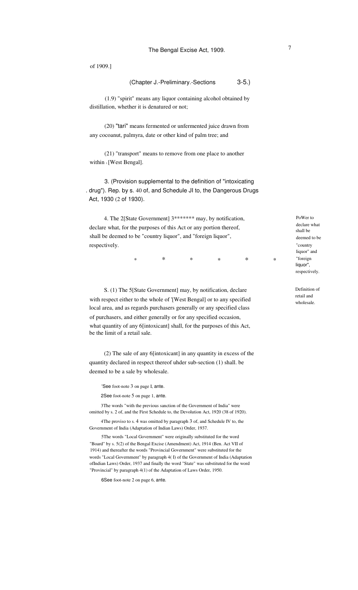#### (Chapter J.-Preliminary.-Sections 3-5.)

(1.9) "spirit" means any liquor containing alcohol obtained by distillation, whether it is denatured or not;

(20) "tari" means fermented or unfermented juice drawn from any cocoanut, palmyra, date or other kind of palm tree; and

(21) "transport" means to remove from one place to another within 1 [West Bengal].

3. (Provision supplemental to the definition of "intoxicating . drug"). Rep. by s. 40 of, and Schedule JI to, the Dangerous Drugs Act, 1930 (2 of 1930).

4. The 2[State Government] 3\*\*\*\*\*\*\* may, by notification, declare what, for the purposes of this Act or any portion thereof, shall be deemed to be "country liquor", and "foreign liquor", respectively.

> \* \* \* \* \* \*

S. (1) The 5[State Government] may, by notification, declare with respect either to the whole of '[West Bengal] or to any specified local area, and as regards purchasers generally or any specified class of purchasers, and either generally or for any specified occasion, what quantity of any 6[intoxicant] shall, for the purposes of this Act, be the limit of a retail sale.

(2) The sale of any 6[intoxicant] in any quantity in excess of the quantity declared in respect thereof uhder sub-section (1) shall. be deemed to be a sale by wholesale.

'See foot-note 3 on page I, ante.

2See foot-note 5 on page 1, ante.

3The words "with the previous sanction of the Government of India" were omitted by s. 2 of, and the First Schedule to, the Devolution Act, 1920 (38 of 1920).

4The proviso to s. 4 was omitted by paragraph 3 of, and Schedule IV to, the Government of India (Adaptation of Indian Laws) Order, 1937.

5The words "Local Government" were originally substituted for the word "Board" by s. 5(2) of the Bengal Excise (Amendment) Act, 1914 (Ben. Act VII of 1914) and thereafter the words "Provincial Government" were substituted for the words "Local Government" by paragraph 4( I) of the Government of India (Adaptation ofIndian Laws) Order, 1937 and finally the word "State" was substituted for the word "Provincial" by paragraph 4(1) of the Adaptation of Laws Order, 1950.

6See foot-note 2 on page 6, ante.

PoWer to declare what shall be deemed to be "country liquor" and "foreign liquor", respectively.

Definition of retail and wholesale.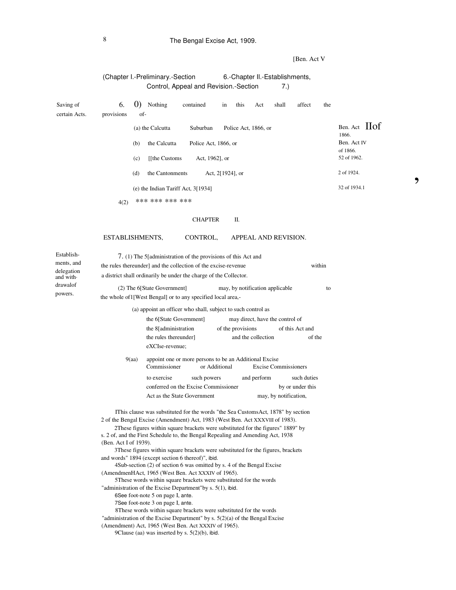# 8 The Bengal Excise Act, 1909.

[Ben. Act V

,

# (Chapter I.-Preliminary.-Section 6.-Chapter Il.-Establishments, Control, Appeal and Revision.-Section 7.)

| Saving of<br>certain Acts.             | $\left( 0\right)$<br>6.<br>provisions                         | Nothing<br>of-                                                                                                                                                                                                                                                                                                                                                                                                                                                                                                                                                                                                                                                                                                                                                                                                                                                                                                                                                                                                                                                                                        | contained                                                                          | this<br>in                      | Act                                                   | shall                       | affect                          | the    |                                  |
|----------------------------------------|---------------------------------------------------------------|-------------------------------------------------------------------------------------------------------------------------------------------------------------------------------------------------------------------------------------------------------------------------------------------------------------------------------------------------------------------------------------------------------------------------------------------------------------------------------------------------------------------------------------------------------------------------------------------------------------------------------------------------------------------------------------------------------------------------------------------------------------------------------------------------------------------------------------------------------------------------------------------------------------------------------------------------------------------------------------------------------------------------------------------------------------------------------------------------------|------------------------------------------------------------------------------------|---------------------------------|-------------------------------------------------------|-----------------------------|---------------------------------|--------|----------------------------------|
|                                        |                                                               | (a) the Calcutta                                                                                                                                                                                                                                                                                                                                                                                                                                                                                                                                                                                                                                                                                                                                                                                                                                                                                                                                                                                                                                                                                      | Suburban                                                                           |                                 | Police Act, 1866, or                                  |                             |                                 |        | Ben. Act IIof                    |
|                                        | (b)                                                           | the Calcutta                                                                                                                                                                                                                                                                                                                                                                                                                                                                                                                                                                                                                                                                                                                                                                                                                                                                                                                                                                                                                                                                                          | Police Act, 1866, or                                                               |                                 |                                                       |                             |                                 |        | 1866.<br>Ben. Act IV<br>of 1866. |
|                                        | (c)                                                           | [[the Customs]                                                                                                                                                                                                                                                                                                                                                                                                                                                                                                                                                                                                                                                                                                                                                                                                                                                                                                                                                                                                                                                                                        | Act, 1962], or                                                                     |                                 |                                                       |                             |                                 |        | 52 of 1962.                      |
|                                        | (d)                                                           | the Cantonments                                                                                                                                                                                                                                                                                                                                                                                                                                                                                                                                                                                                                                                                                                                                                                                                                                                                                                                                                                                                                                                                                       |                                                                                    | Act, 2[1924], or                |                                                       |                             |                                 |        | 2 of 1924.                       |
|                                        |                                                               | (e) the Indian Tariff Act, 3[1934]                                                                                                                                                                                                                                                                                                                                                                                                                                                                                                                                                                                                                                                                                                                                                                                                                                                                                                                                                                                                                                                                    |                                                                                    |                                 |                                                       |                             |                                 |        | 32 of 1934.1                     |
|                                        | 4(2)                                                          | *** *** *** ***                                                                                                                                                                                                                                                                                                                                                                                                                                                                                                                                                                                                                                                                                                                                                                                                                                                                                                                                                                                                                                                                                       |                                                                                    |                                 |                                                       |                             |                                 |        |                                  |
|                                        |                                                               |                                                                                                                                                                                                                                                                                                                                                                                                                                                                                                                                                                                                                                                                                                                                                                                                                                                                                                                                                                                                                                                                                                       | <b>CHAPTER</b>                                                                     | П.                              |                                                       |                             |                                 |        |                                  |
|                                        | ESTABLISHMENTS,                                               |                                                                                                                                                                                                                                                                                                                                                                                                                                                                                                                                                                                                                                                                                                                                                                                                                                                                                                                                                                                                                                                                                                       | CONTROL,                                                                           |                                 | APPEAL AND REVISION.                                  |                             |                                 |        |                                  |
| Establish-<br>ments, and<br>delegation |                                                               | 7. (1) The 5[administration of the provisions of this Act and<br>the rules thereunder] and the collection of the excise-revenue<br>a district shall ordinarily be under the charge of the Collector.                                                                                                                                                                                                                                                                                                                                                                                                                                                                                                                                                                                                                                                                                                                                                                                                                                                                                                  |                                                                                    |                                 |                                                       |                             |                                 | within |                                  |
| and with.<br>drawalof<br>powers.       | the whole of I [West Bengal] or to any specified local area,- | (2) The 6[State Government]                                                                                                                                                                                                                                                                                                                                                                                                                                                                                                                                                                                                                                                                                                                                                                                                                                                                                                                                                                                                                                                                           |                                                                                    | may, by notification applicable |                                                       |                             |                                 | to     |                                  |
|                                        |                                                               | the 6[State Government]<br>the 8[administration<br>the rules thereunder]<br>eXCIse-revenue;                                                                                                                                                                                                                                                                                                                                                                                                                                                                                                                                                                                                                                                                                                                                                                                                                                                                                                                                                                                                           |                                                                                    | of the provisions               | may direct, have the control of<br>and the collection |                             | of this Act and<br>of the       |        |                                  |
|                                        | 9(aa)                                                         | Commissioner                                                                                                                                                                                                                                                                                                                                                                                                                                                                                                                                                                                                                                                                                                                                                                                                                                                                                                                                                                                                                                                                                          | appoint one or more persons to be an Additional Excise                             | or Additional                   |                                                       | <b>Excise Commissioners</b> |                                 |        |                                  |
|                                        |                                                               | to exercise                                                                                                                                                                                                                                                                                                                                                                                                                                                                                                                                                                                                                                                                                                                                                                                                                                                                                                                                                                                                                                                                                           | such powers<br>conferred on the Excise Commissioner<br>Act as the State Government |                                 | and perform                                           | may, by notification,       | such duties<br>by or under this |        |                                  |
|                                        | (Ben. Act I of 1939).                                         | IThis clause was substituted for the words "the Sea CustomsAct, 1878" by section<br>2 of the Bengal Excise (Amendment) Act, 1983 (West Ben. Act XXXVIII of 1983).<br>2These figures within square brackets were substituted for the figures" 1889" by<br>s. 2 of, and the First Schedule to, the Bengal Repealing and Amending Act, 1938<br>3These figures within square brackets were substituted for the figures, brackets<br>and words" 1894 (except section 6 thereof)", ibid.<br>4Sub-section (2) of section 6 was omitted by s. 4 of the Bengal Excise<br>(AmendmenHAct, 1965 (West Ben. Act XXXIV of 1965).<br>5These words within square brackets were substituted for the words<br>"administration of the Excise Department"by s. 5(1), ibid.<br>6See foot-note 5 on page I, ante.<br>7See foot-note 3 on page I, ante.<br>8These words within square brackets were substituted for the words<br>"administration of the Excise Department" by s. $5(2)(a)$ of the Bengal Excise<br>(Amendment) Act, 1965 (West Ben. Act XXXIV of 1965).<br>9Clause (aa) was inserted by s. $5(2)(b)$ , ibid. |                                                                                    |                                 |                                                       |                             |                                 |        |                                  |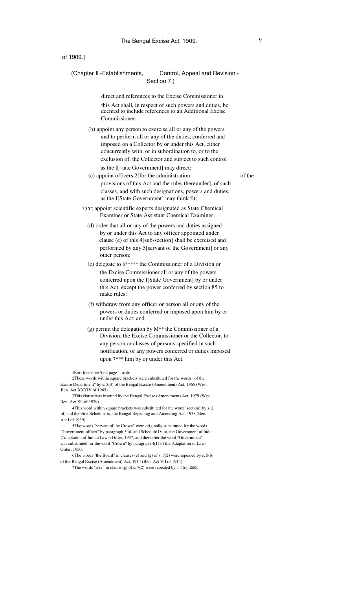# (Chapter II.-Establishments, Control, Appeal and Revision.-Section 7.)

direct and references to the Excise Commissioner in this Act shall, in respect of such powers and duties, be deemed to include references to an Additional Excise Commissioner;

(b) appoint any person to exercise all or any of the powers and to perform all or any of the duties, conferred and imposed on a Collector by or under this Act, either concurrently with, or in subordination to, or to the exclusion of, the Collector and subject to such control as the l[~tate Government] may direct;

- (c) appoint officers 2[for the administration of the provisions of this Act and the rules thereunder], of such classes, and with such designations, powers and duties, as the I[State Government] may think fit;
- 3(CC) appoint scientific experts designated as State Chemical Examiner or State Assistant Chemical Examiner;
- (d) order that all or any of the powers and duties assigned by or under this Act to any officer appointed under . clause (c) of this 4[sub-section] shall be exercised and performed by any 5[servant of the Government] or any other person;
- (e) delegate to 6\*\*\*\*\* the Commissioner of a Division or the Excise Commissioner all or any of the powers conferred upon the I[State Government] by or under this Act, except the power conferred by section 85 to make rules;
- (f) withdraw from any officer or person all or any of the powers or duties conferred or imposed upon him by or under this Act; and
- (g) permit the delegation by M\*\* the Commissioner of a Division, the Excise Commissioner or the Collector, to any person or classes of persons specified in such notification, of any powers conferred or duties imposed upon 7\*\*\* him by or under this Act.

ISee foot-note 5 on page I, ante.

2These words within square brackets were substituted for the words "of the Excise Department" by s. 5(3) of the Bengal Excise (Amendment) Act, 1965 (West Ben. Act XXXIV of 1965).

3This clause was inserted by the Bengal Excise (Amendment) Act, 1979 (West Ben. Act XL of 1979).

4This word within square brackets was substituted for the word "section" by s. 2 of, and the First Schedule to, the Bengal Repealing and Amending Act, 1938 (Ben. Act I of 1939).

5The words "servant of the Crown" were originally substituted for the words "Government officer" by paragraph 3 of, and Schedule IV to, the Government of India (Adaptation of Indian Laws) Order, 1937, and thereafter the word "Government" was substituted for the word "Crown" by paragraph 4(1) of the Adaptation of Laws Order, 1950.

6The words "the Board" in clauses (e) and (g) of s. 7(2) were repe,ued by s. 5(b) of the Bengal Excise (Amendment) Act, 1914 (Ben. Act VII of 1914).

7The words "it or" in clause (g) of s. 7(2) were repealed by s. 5(c), ibid.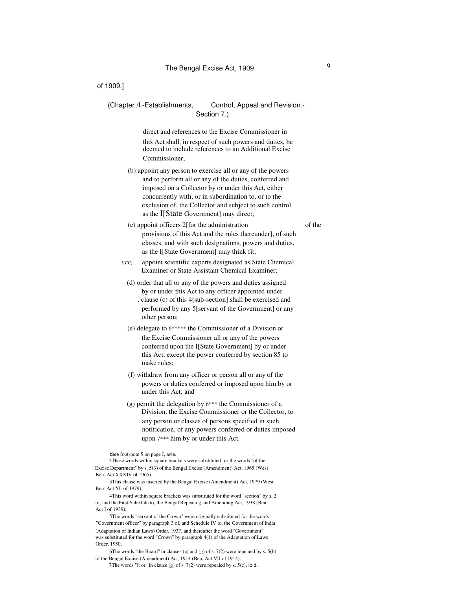### (Chapter /I.-Establishments, Control, Appeal and Revision.-Section 7.)

direct and references to the Excise Commissioner in this Act shall, in respect of such powers and duties, be deemed to include references to an Additional Excise Commissioner;

- (b) appoint any person to exercise all or any of the powers and to perform all or any of the duties, conferred and imposed on a Collector by or under this Act, either concurrently with, or in subordination to, or to the exclusion of, the Collector and subject to such control as the I[State Government] may direct;
- (c) appoint officers 2[for the administration of the provisions of this Act and the rules thereunder], of such classes, and with such designations, powers and duties, as the I[State Government] may think fit;
- 3(CC) appoint scientific experts designated as State Chemical Examiner or State Assistant Chemical Examiner;
	- (d) order that all or any of the powers and duties assigned by or under this Act to any officer appointed under . clause (c) of this 4[sub-section] shall be exercised and performed by any 5[servant of the Government] or any other person;
	- (e) delegate to 6\*\*\*\*\* the Commissioner of a Division or the Excise Commissioner all or any of the powers conferred upon the I[State Government] by or under this Act, except the power conferred by section 85 to make rules;
	- (f) withdraw from any officer or person all or any of the powers or duties conferred or imposed upon him by or under this Act; and
	- (g) permit the delegation by 6\*\*\* the Commissioner of a Division, the Excise Commissioner or the Collector, to any person or classes of persons specified in such notification, of any powers conferred or duties imposed upon 7\*\*\* him by or under this Act.

ISee foot-note 5 on page I, ante.

2These words within square brackets were substituted for the words "of the Excise Department" by s. 5(3) of the Bengal Excise (Amendment) Act, 1965 (West Ben. Act XXXIV of 1965).

3This clause was inserted by the Bengal Excise (Amendment) Act, 1979 (West Ben. Act XL of 1979).

4This word within square brackets was substituted for the word "section" by s. 2 of, and the First Schedule to, the Bengal Repealing and Amending Act, 1938 (Ben. Act I of 1939).

5The words "servant of the Crown" were originally substituted for the words "Government officer" by paragraph 3 of, and Schedule IV to, the Government of India (Adaptation of Indian Laws) Order, 1937, and thereafter the word "Government" was substituted for the word "Crown" by paragraph 4(1) of the Adaptation of Laws Order, 1950.

6The words "the Board" in clauses (e) and (g) of s.  $7(2)$  were repe, ued by s.  $5(b)$ of the Bengal Excise (Amendment) Act, 1914 (Ben. Act VII of 1914).

7The words "it or" in clause (g) of s. 7(2) were repealed by s. 5(c), ibid.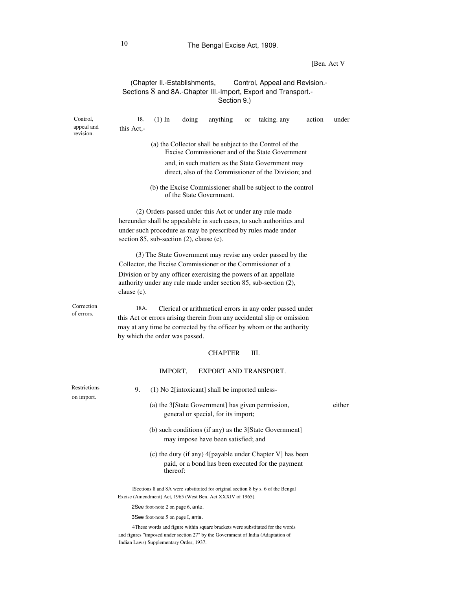# 10 The Bengal Excise Act, 1909.

# [Ben. Act V

# (Chapter Il.-Establishments, Control, Appeal and Revision.- Sections 8 and 8A.-Chapter III.-Import, Export and Transport.-Section 9.)

| Control,                   | 18.            | $(1)$ In                                          | doing | anything                                                    | or | taking. any                                                                                                                                                       | action | under  |
|----------------------------|----------------|---------------------------------------------------|-------|-------------------------------------------------------------|----|-------------------------------------------------------------------------------------------------------------------------------------------------------------------|--------|--------|
| appeal and<br>revision.    | this Act.-     |                                                   |       |                                                             |    |                                                                                                                                                                   |        |        |
|                            |                |                                                   |       |                                                             |    | (a) the Collector shall be subject to the Control of the<br>Excise Commissioner and of the State Government                                                       |        |        |
|                            |                |                                                   |       |                                                             |    | and, in such matters as the State Government may                                                                                                                  |        |        |
|                            |                |                                                   |       |                                                             |    | direct, also of the Commissioner of the Division; and                                                                                                             |        |        |
|                            |                |                                                   |       | of the State Government.                                    |    | (b) the Excise Commissioner shall be subject to the control                                                                                                       |        |        |
|                            |                |                                                   |       |                                                             |    | (2) Orders passed under this Act or under any rule made                                                                                                           |        |        |
|                            |                |                                                   |       |                                                             |    | hereunder shall be appealable in such cases, to such authorities and                                                                                              |        |        |
|                            |                | section $85$ , sub-section $(2)$ , clause $(c)$ . |       |                                                             |    | under such procedure as may be prescribed by rules made under                                                                                                     |        |        |
|                            |                |                                                   |       |                                                             |    | (3) The State Government may revise any order passed by the<br>Collector, the Excise Commissioner or the Commissioner of a                                        |        |        |
|                            |                |                                                   |       |                                                             |    | Division or by any officer exercising the powers of an appellate                                                                                                  |        |        |
|                            | clause $(c)$ . |                                                   |       |                                                             |    | authority under any rule made under section 85, sub-section (2),                                                                                                  |        |        |
| Correction<br>of errors.   | 18A.           |                                                   |       |                                                             |    | Clerical or arithmetical errors in any order passed under                                                                                                         |        |        |
|                            |                |                                                   |       |                                                             |    | this Act or errors arising therein from any accidental slip or omission<br>may at any time be corrected by the officer by whom or the authority                   |        |        |
|                            |                | by which the order was passed.                    |       |                                                             |    |                                                                                                                                                                   |        |        |
|                            |                |                                                   |       | <b>CHAPTER</b>                                              |    | Ш.                                                                                                                                                                |        |        |
|                            |                | IMPORT,                                           |       | EXPORT AND TRANSPORT.                                       |    |                                                                                                                                                                   |        |        |
| Restrictions<br>on import. | 9.             |                                                   |       | (1) No 2[intoxicant] shall be imported unless-              |    |                                                                                                                                                                   |        |        |
|                            |                |                                                   |       | general or special, for its import;                         |    | (a) the 3[State Government] has given permission,                                                                                                                 |        | either |
|                            |                |                                                   |       | may impose have been satisfied; and                         |    | (b) such conditions (if any) as the 3[State Government]                                                                                                           |        |        |
|                            |                | thereof:                                          |       |                                                             |    | (c) the duty (if any) 4[payable under Chapter V] has been<br>paid, or a bond has been executed for the payment                                                    |        |        |
|                            |                |                                                   |       | Excise (Amendment) Act, 1965 (West Ben. Act XXXIV of 1965). |    | ISections 8 and 8A were substituted for original section 8 by s. 6 of the Bengal                                                                                  |        |        |
|                            |                | 2See foot-note 2 on page 6, ante.                 |       |                                                             |    |                                                                                                                                                                   |        |        |
|                            |                | 3See foot-note 5 on page I, ante.                 |       |                                                             |    |                                                                                                                                                                   |        |        |
|                            |                |                                                   |       |                                                             |    | 4These words and figure within square brackets were substituted for the words<br>and figures "imposed under section 27" by the Government of India (Adaptation of |        |        |

Indian Laws) Supplementary Order, 1937.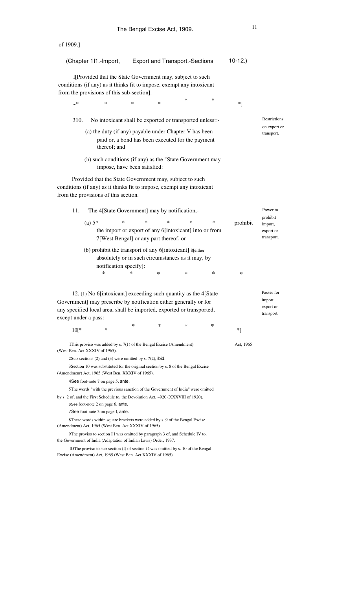|                                                                                                                             | (Chapter 111.-Import,                                                                                                                     |   | <b>Export and Transport.-Sections</b>                                                            |   |        | $10-12.$  |                                    |  |
|-----------------------------------------------------------------------------------------------------------------------------|-------------------------------------------------------------------------------------------------------------------------------------------|---|--------------------------------------------------------------------------------------------------|---|--------|-----------|------------------------------------|--|
|                                                                                                                             | I[Provided that the State Government may, subject to such                                                                                 |   |                                                                                                  |   |        |           |                                    |  |
| conditions (if any) as it thinks fit to impose, exempt any intoxicant                                                       |                                                                                                                                           |   |                                                                                                  |   |        |           |                                    |  |
| from the provisions of this sub-section].                                                                                   |                                                                                                                                           |   |                                                                                                  |   |        |           |                                    |  |
| ~*                                                                                                                          | *                                                                                                                                         | * | *                                                                                                | ∗ | $\ast$ | $*$ ]     |                                    |  |
|                                                                                                                             |                                                                                                                                           |   |                                                                                                  |   |        |           |                                    |  |
| 310.                                                                                                                        | No intoxicant shall be exported or transported unless=-                                                                                   |   |                                                                                                  |   |        |           | Restrictions                       |  |
| (a) the duty (if any) payable under Chapter V has been<br>paid or, a bond has been executed for the payment<br>thereof; and |                                                                                                                                           |   |                                                                                                  |   |        |           |                                    |  |
|                                                                                                                             | (b) such conditions (if any) as the "State Government may<br>impose, have been satisfied:                                                 |   |                                                                                                  |   |        |           |                                    |  |
| conditions (if any) as it thinks fit to impose, exempt any intoxicant<br>from the provisions of this section.               | Provided that the State Government may, subject to such                                                                                   |   |                                                                                                  |   |        |           |                                    |  |
| 11.                                                                                                                         | The 4[State Government] may by notification,-                                                                                             |   |                                                                                                  |   |        |           | Power to                           |  |
| $(a) 5^*$                                                                                                                   |                                                                                                                                           | ∗ | *<br>*                                                                                           | * | *      |           | prohibit                           |  |
|                                                                                                                             |                                                                                                                                           |   | the import or export of any 6[intoxicant] into or from<br>7[West Bengal] or any part thereof, or |   |        | prohibit  | import,<br>export or<br>transport. |  |
|                                                                                                                             | (b) prohibit the transport of any 6[intoxicant] 8[either<br>notification specify]:<br>$\ast$                                              | ∗ | absolutely or in such circumstances as it may, by<br>$\ast$                                      | ∗ | ∗      | ∗         |                                    |  |
|                                                                                                                             | 12. (1) No 6[intoxicant] exceeding such quantity as the 4[State                                                                           |   |                                                                                                  |   |        |           | Passes for                         |  |
| Government] may prescribe by notification either generally or for                                                           |                                                                                                                                           |   |                                                                                                  |   |        |           | import,                            |  |
| any specified local area, shall be imported, exported or transported,<br>except under a pass:                               |                                                                                                                                           |   |                                                                                                  |   |        |           | export or<br>transport.            |  |
| $10[$ *                                                                                                                     | $\ast$                                                                                                                                    | * | ∗                                                                                                | ∗ | *      | *1        |                                    |  |
| (West Ben. Act XXXIV of 1965).                                                                                              | IThis proviso was added by $s. 7(1)$ of the Bengal Excise (Amendment)<br>2Sub-sections $(2)$ and $(3)$ were omitted by s. 7 $(2)$ , ibid. |   |                                                                                                  |   |        | Act, 1965 |                                    |  |
| (Amendmenr) Act, 1965 (West Ben. XXXIV of 1965).                                                                            | 3 Section 10 was substituted for the original section by s. 8 of the Bengal Excise                                                        |   |                                                                                                  |   |        |           |                                    |  |
|                                                                                                                             | 4See foot-note 7 on page 5, ante.                                                                                                         |   |                                                                                                  |   |        |           |                                    |  |
|                                                                                                                             | 5 The words "with the previous sanction of the Government of India" were omitted                                                          |   |                                                                                                  |   |        |           |                                    |  |
| by s. 2 of, and the First Schedule to, the Devolution Act, $\sim$ 920 (XXXVIII of 1920).                                    | 6See foot-note 2 on page 6, ante.<br>7See foot-note 3 on page I, ante.                                                                    |   |                                                                                                  |   |        |           |                                    |  |
| (Amendment) Act, 1965 (West Ben. Act XXXIV of 1965).                                                                        | 8 These words within square brackets were added by s. 9 of the Bengal Excise                                                              |   |                                                                                                  |   |        |           |                                    |  |
| the Government of India (Adaptation of Indian Laws) Order, 1937.                                                            | 9The proviso to section I I was omitted by paragraph 3 of, and Schedule IV to,                                                            |   |                                                                                                  |   |        |           |                                    |  |
| Excise (Amendment) Act, 1965 (West Ben. Act XXXIV of 1965).                                                                 | IOThe proviso to sub-section (I) of section 12 was omitted by s. 10 of the Bengal                                                         |   |                                                                                                  |   |        |           |                                    |  |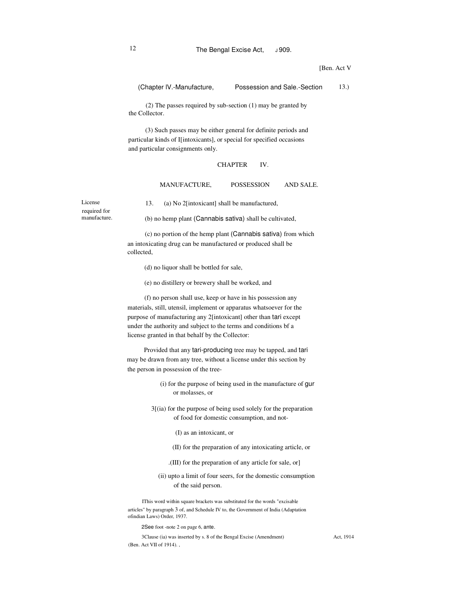[Ben. Act V]

(Chapter lV.-Manufacture, Possession and Sale.-Section 13.)

(2) The passes required by sub-section (1) may be granted by the Collector.

(3) Such passes may be either general for definite periods and particular kinds of I[intoxicants], or special for specified occasions and particular consignments only.

#### **CHAPTER** IV.

#### MANUFACTURE, POSSESSION AND SALE.

License required for manufacture.

13. (a) No 2[intoxicant] shall be manufactured,

(b) no hemp plant (Cannabis sativa) shall be cultivated,

(c) no portion of the hemp plant (Cannabis sativa) from which an intoxicating drug can be manufactured or produced shall be collected,

(d) no liquor shall be bottled for sale,

(e) no distillery or brewery shall be worked, and

(f) no person shall use, keep or have in his possession any materials, still, utensil, implement or apparatus whatsoever for the purpose of manufacturing any 2[intoxicant] other than tari except under the authority and subject to the terms and conditions bf a license granted in that behalf by the Collector:

Provided that any tari-producing tree may be tapped, and tari may be drawn from any tree, without a license under this section by the person in possession of the tree-

- (i) for the purpose of being used in the manufacture of gur or molasses, or
- 3[(ia) for the purpose of being used solely for the preparation of food for domestic consumption, and not-
	- (I) as an intoxicant, or
	- (II) for the preparation of any intoxicating article, or
	- .(III) for the preparation of any article for sale, or]
	- (ii) upto a limit of four seers, for the domestic consumption of the said person.

IThis word within square brackets was substituted for the words "excisable articles" by paragraph 3 of, and Schedule IV to, the Government of India (Adaptation ofindian Laws) Order, 1937.

2See foot -note 2 on page 6, ante.

3Clause (ia) was inserted by s. 8 of the Bengal Excise (Amendment) (Ben. Act VII of 1914). ,

Act, 1914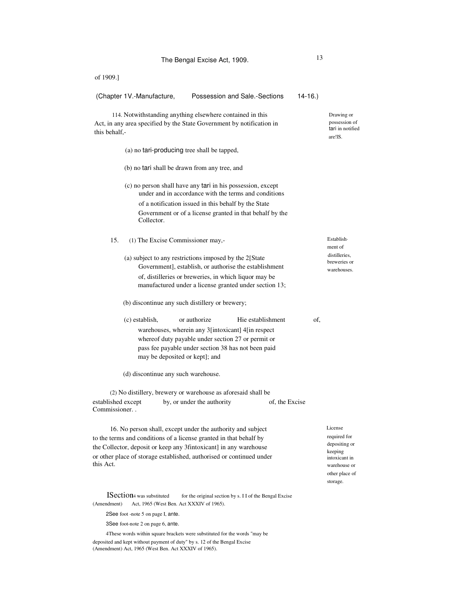| The Bengal Excise Act, 1909.                                                                                                                                                                                                                                                                                                                                                                                                                                                                                                                                              | 13                                                      |                |                                                                                                                    |
|---------------------------------------------------------------------------------------------------------------------------------------------------------------------------------------------------------------------------------------------------------------------------------------------------------------------------------------------------------------------------------------------------------------------------------------------------------------------------------------------------------------------------------------------------------------------------|---------------------------------------------------------|----------------|--------------------------------------------------------------------------------------------------------------------|
| of 1909.]                                                                                                                                                                                                                                                                                                                                                                                                                                                                                                                                                                 |                                                         |                |                                                                                                                    |
| (Chapter 1V.-Manufacture,                                                                                                                                                                                                                                                                                                                                                                                                                                                                                                                                                 | Possession and Sale.-Sections                           | $14-16.$       |                                                                                                                    |
| 114. Notwithstanding anything elsewhere contained in this<br>Act, in any area specified by the State Government by notification in<br>this behalf,-                                                                                                                                                                                                                                                                                                                                                                                                                       |                                                         |                | Drawing or<br>possession of<br>tari in notified<br>are!IS.                                                         |
| (a) no tari-producing tree shall be tapped,                                                                                                                                                                                                                                                                                                                                                                                                                                                                                                                               |                                                         |                |                                                                                                                    |
| (b) no tari shall be drawn from any tree, and                                                                                                                                                                                                                                                                                                                                                                                                                                                                                                                             |                                                         |                |                                                                                                                    |
| (c) no person shall have any tari in his possession, except<br>under and in accordance with the terms and conditions<br>of a notification issued in this behalf by the State<br>Government or of a license granted in that behalf by the<br>Collector.                                                                                                                                                                                                                                                                                                                    |                                                         |                |                                                                                                                    |
| 15.<br>(1) The Excise Commissioner may,-<br>(a) subject to any restrictions imposed by the 2[State<br>Government], establish, or authorise the establishment<br>of, distilleries or breweries, in which liquor may be<br>manufactured under a license granted under section 13;<br>(b) discontinue any such distillery or brewery;<br>(c) establish,<br>or authorize<br>warehouses, wherein any 3[intoxicant] 4[in respect<br>whereof duty payable under section 27 or permit or<br>pass fee payable under section 38 has not been paid<br>may be deposited or kept]; and | Hie establishment                                       | of,            | Establish-<br>ment of<br>distilleries,<br>breweries or<br>warehouses.                                              |
| (d) discontinue any such warehouse.<br>(2) No distillery, brewery or warehouse as aforesaid shall be<br>established except<br>by, or under the authority<br>Commissioner<br>16. No person shall, except under the authority and subject<br>to the terms and conditions of a license granted in that behalf by<br>the Collector, deposit or keep any 3fintoxicant] in any warehouse<br>or other place of storage established, authorised or continued under<br>this Act.                                                                                                   |                                                         | of, the Excise | License<br>required for<br>depositing or<br>keeping<br>intoxicant in<br>warehouse or<br>other place of<br>storage. |
| <b>ISection</b> 4 was substituted<br>(Amendment)<br>Act, 1965 (West Ben. Act XXXIV of 1965).<br>2See foot -note 5 on page I, ante.                                                                                                                                                                                                                                                                                                                                                                                                                                        | for the original section by s. I I of the Bengal Excise |                |                                                                                                                    |

3See foot-note 2 on page 6, ante.

4These words within square brackets were substituted for the words "may be deposited and kept without payment of duty" by s. 12 of the Bengal Excise (Amendment) Act, 1965 (West Ben. Act XXXIV of 1965).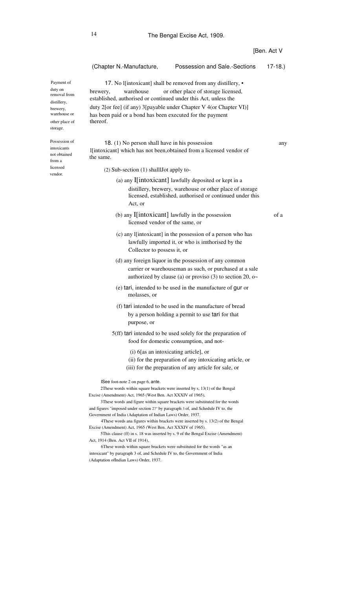|                                                                                                                |                                                                                                                                                                                                                                                                                                                                                                                                                                                                                                                                                                                                                                                                                                                                                                                                                                                                     |                                                                                                                                                                                   | [Ben. Act V |
|----------------------------------------------------------------------------------------------------------------|---------------------------------------------------------------------------------------------------------------------------------------------------------------------------------------------------------------------------------------------------------------------------------------------------------------------------------------------------------------------------------------------------------------------------------------------------------------------------------------------------------------------------------------------------------------------------------------------------------------------------------------------------------------------------------------------------------------------------------------------------------------------------------------------------------------------------------------------------------------------|-----------------------------------------------------------------------------------------------------------------------------------------------------------------------------------|-------------|
|                                                                                                                | (Chapter N.-Manufacture,                                                                                                                                                                                                                                                                                                                                                                                                                                                                                                                                                                                                                                                                                                                                                                                                                                            | Possession and Sale.-Sections                                                                                                                                                     | $17-18.$    |
| Payment of<br>duty on<br>removal from<br>distillery,<br>brewery,<br>warehouse or<br>other place of<br>storage. | warehouse<br>brewery,<br>established, authorised or continued under this Act, unless the<br>duty 2[or fee] (if any) 3[payable under Chapter V 4(or Chapter VI)]<br>has been paid or a bond has been executed for the payment<br>thereof.                                                                                                                                                                                                                                                                                                                                                                                                                                                                                                                                                                                                                            | 17. No I[intoxicant] shall be removed from any distillery, •<br>or other place of storage licensed,                                                                               |             |
| Possession of<br>intoxicants<br>not obtained<br>from a                                                         | 18. (1) No person shall have in his possession<br>l[intoxicant] which has not been, obtained from a licensed vendor of<br>the same.                                                                                                                                                                                                                                                                                                                                                                                                                                                                                                                                                                                                                                                                                                                                 |                                                                                                                                                                                   | any         |
| licensed<br>vendor.                                                                                            | $(2)$ Sub-section $(1)$ shalllot apply to-                                                                                                                                                                                                                                                                                                                                                                                                                                                                                                                                                                                                                                                                                                                                                                                                                          |                                                                                                                                                                                   |             |
|                                                                                                                | Act, or                                                                                                                                                                                                                                                                                                                                                                                                                                                                                                                                                                                                                                                                                                                                                                                                                                                             | (a) any I[intoxicant] lawfully deposited or kept in a<br>distillery, brewery, warehouse or other place of storage<br>licensed, established, authorised or continued under this    |             |
|                                                                                                                | (b) any $\text{I}$ [intoxicant] lawfully in the possession<br>licensed vendor of the same, or                                                                                                                                                                                                                                                                                                                                                                                                                                                                                                                                                                                                                                                                                                                                                                       |                                                                                                                                                                                   | of a        |
|                                                                                                                | Collector to possess it, or                                                                                                                                                                                                                                                                                                                                                                                                                                                                                                                                                                                                                                                                                                                                                                                                                                         | (c) any l[intoxicant] in the possession of a person who has<br>lawfully imported it, or who is imthorised by the                                                                  |             |
|                                                                                                                |                                                                                                                                                                                                                                                                                                                                                                                                                                                                                                                                                                                                                                                                                                                                                                                                                                                                     | (d) any foreign liquor in the possession of any common<br>carrier or warehouseman as such, or purchased at a sale<br>authorized by clause (a) or proviso (3) to section 20, $o$ ~ |             |
|                                                                                                                | molasses, or                                                                                                                                                                                                                                                                                                                                                                                                                                                                                                                                                                                                                                                                                                                                                                                                                                                        | (e) tari, intended to be used in the manufacture of gur or                                                                                                                        |             |
|                                                                                                                | purpose, or                                                                                                                                                                                                                                                                                                                                                                                                                                                                                                                                                                                                                                                                                                                                                                                                                                                         | (f) tari intended to be used in the manufacture of bread<br>by a person holding a permit to use tari for that                                                                     |             |
|                                                                                                                |                                                                                                                                                                                                                                                                                                                                                                                                                                                                                                                                                                                                                                                                                                                                                                                                                                                                     | 5(ff) tari intended to be used solely for the preparation of<br>food for domestic consumption, and not-                                                                           |             |
|                                                                                                                | (i) 6[as an intoxicating article], or                                                                                                                                                                                                                                                                                                                                                                                                                                                                                                                                                                                                                                                                                                                                                                                                                               | (ii) for the preparation of any intoxicating article, or<br>(iii) for the preparation of any article for sale, or                                                                 |             |
|                                                                                                                | ISee foot-note 2 on page 6, ante.<br>2These words within square brackets were inserted by $s$ , $13(1)$ of the Bengal<br>Excise (Amendment) Act, 1965 (West Ben. Act XXXIV of 1965),<br>3These words and figure within square brackets were substituted for the words<br>and figures "imposed under section 27" by paragraph 3 of, and Schedule IV to, the<br>Government of India (Adaptation of Indian Laws) Order, 1937.<br>4 These words ana figures within brackets were inserted by s. 13(2) of the Bengal<br>Excise (Amendment) Act, 1965 (West Ben. Act XXXIV of 1965).<br>5 This clause (ff) in s. 18 was inserted by s. 9 of the Bengal Excise (Amendment)<br>Act, 1914 (Ben. Act VII of 1914),<br>6These words within square brackets were substituted for the words "as an<br>intoxicant" by paragraph 3 of, and Schedule IV to, the Government of India |                                                                                                                                                                                   |             |
|                                                                                                                | (Adaptation ofIndian Laws) Order, 1937.                                                                                                                                                                                                                                                                                                                                                                                                                                                                                                                                                                                                                                                                                                                                                                                                                             |                                                                                                                                                                                   |             |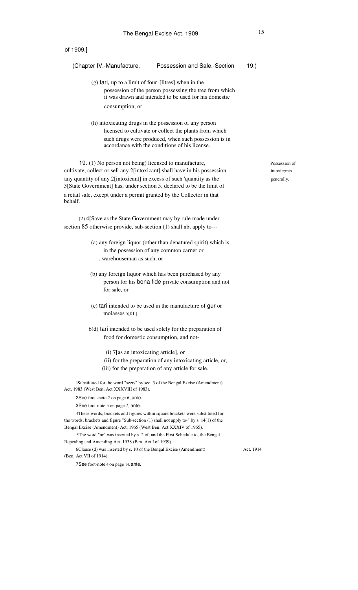| of 1909.]                                                                                                                                                                                                                                                                                                                                                               |  |
|-------------------------------------------------------------------------------------------------------------------------------------------------------------------------------------------------------------------------------------------------------------------------------------------------------------------------------------------------------------------------|--|
| Possession and Sale.-Section<br>$19.$ )<br>(Chapter IV.-Manufacture,                                                                                                                                                                                                                                                                                                    |  |
| (g) tari, up to a limit of four '[litres] when in the<br>possession of the person possessing the tree from which<br>it was drawn and intended to be used for his domestic<br>consumption, or                                                                                                                                                                            |  |
| (h) intoxicating drugs in the possession of any person<br>licensed to cultivate or collect the plants from which<br>such drugs were produced, when such possession is in<br>accordance with the conditions of his license.                                                                                                                                              |  |
| 19. (1) No person not being) licensed to manufacture,<br>cultivate, collect or sell any 2[intoxicant] shall have in his possession<br>any quantity of any 2[intoxicant] in excess of such 'quantity as the<br>3[State Government] has, under section 5, declared to be the limit of<br>a retail sale, except under a permit granted by the Collector in that<br>behalf. |  |
| (2) 4[Save as the State Government may by rule made under<br>section 85 otherwise provide, sub-section (1) shall nbt apply to---                                                                                                                                                                                                                                        |  |
| (a) any foreign liquor (other than denatured spirit) which is<br>in the possession of any common carner or<br>. warehouseman as such, or                                                                                                                                                                                                                                |  |
| (b) any foreign liquor which has been purchased by any<br>person for his bona fide private consumption and not<br>for sale, or                                                                                                                                                                                                                                          |  |
| (c) tari intended to be used in the manufacture of gur or<br>molasses $5[01]$ .                                                                                                                                                                                                                                                                                         |  |

6(d) tari intended to be used solely for the preparation of food for domestic consumption, and not-

- (i) 7[as an intoxicating article], or
- (ii) for the preparation of any intoxicating article, or,
- (iii) for the preparation of any article for sale.

lSubstituted for the word "seers" by sec. 3 of the Bengal Excise (Amendment) Act, 1983 (West Ben. Act XXXVIII of 1983).

2See foot -note 2 on page 6, an/e.

3See foot-note 5 on page 7, ante.

4These words, brackets and figures within square brackets were substituted for the words, brackets and figure "Sub-section (1) shall not apply to-" by s. 14(1) of the Bengal Excise (Amendment) Act, 1965 (West Ben. Act XXXIV of 1965).

5The word "or" was inserted by s. 2 of, and the First Schedule to, the Bengal Repealing and Amending Act, 1938 (Ben. Act I of 1939).

6Clause (d) was inserted by s. 10 of the Bengal Excise (Amendment) (Ben. Act VII of 1914).

Act. 1914

7See foot-note 6 on page 14, ante.

Possession of intoxic;mts generally.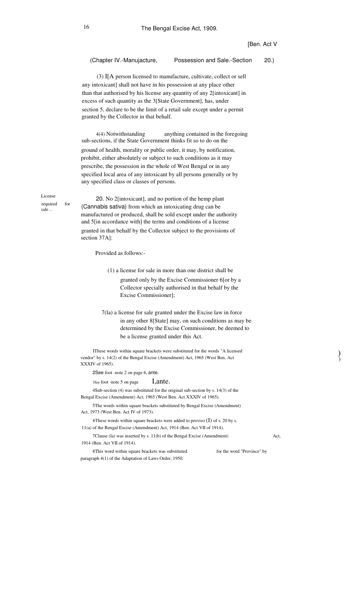# (Chapter IV.-Manujacture, Possession and Sale.-Section 20.)

(3) I[A person licensed to manufacture, cultivate, collect or sell any intoxicant] shall not have in his possession at any place other than that authorised by his license any quantity of any 2[intoxicant] in excess of such quantity as the 3[State Government], has, under section 5, declare to be the limit of a retail sale except under a permit granted by the Collector in that behalf.

anything contained in the foregoing sub-sections, if the State Government thinks fit so to do on the ground of health, morality or public order, it may, by notification, prohibit, either absolutely or subject to such conditions as it may prescribe, the possession in the whole of West Bengal or in any specified local area of any intoxicant by all persons generally or by any specified class or classes of persons. 4(4) Notwithstanding

License required sale ..

for

20. No 2[intoxicant], and no portion of the hemp plant (Cannabis sativa) from which an intoxicating drug can be manufactured or produced, shall be sold except under the authority and 5[in accordance with] the terms and conditions of a license granted in that behalf by the Collector subject to the provisions of section 37A]:

Provided as follows:-

- (1) a license for sale in more than one district shall be granted only by the Excise Commissioner 6[or by a Collector specially authorised in that behalf by the Excise Commissioner];
- 7(la) a license for sale granted under the Excise law in force in any other 8[State] may, on such conditions as may be determined by the Excise Commissioner, be deemed to be a license granted under this Act.

IThese words within square brackets were substituted for the words "A licensed vendor" by s. 14(2) of the Bengal Excise (Amendment) Act, 1965 (West Ben. Act XXXIV of 1965).

2See foot -note 2 on page 6, ante.

3See foot -note 5 on page I,ante.

4Sub-section (4) was substituted for the original sub-section by s. 14(3) of the Bengal Excise (Amendment) Act, 1965 (West Ben. Act XXXIV of 1965).

5The words within square brackets substituted by Bengal Excise (Amendment) Act, 1973 (West Ben. Act IV of 1973).

6These words within square brackets were added to proviso  $(I)$  of s. 20 by s. 11(a) of the Bengal Excise (Amendment) Act, 1914 (Ben. Act VII of 1914).

7Clause (la) was inserted by s. 11(b) of the Bengal Excise (Amendment) 1914 (Ben. Act VII of 1914).

8This word within square brackets was substituted paragraph 4(1) of the Adaptation of Laws Order, 1950. for the word "Province" by Act,

)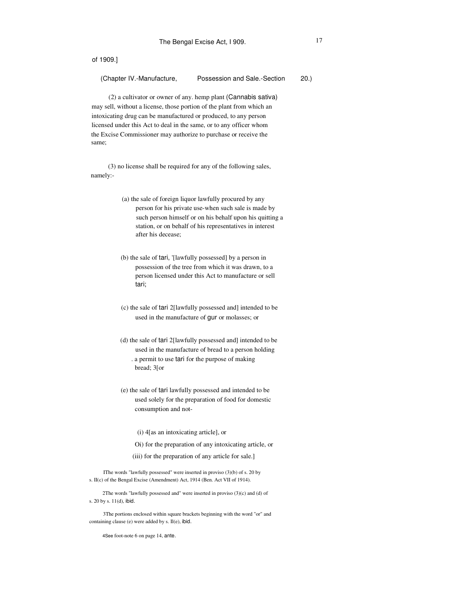| (Chapter IV.-Manufacture,<br>Possession and Sale.-Section | 20.) |
|-----------------------------------------------------------|------|
|-----------------------------------------------------------|------|

(2) a cultivator or owner of any. hemp plant (Cannabis sativa) may sell, without a license, those portion of the plant from which an intoxicating drug can be manufactured or produced, to any person licensed under this Act to deal in the same, or to any officer whom the Excise Commissioner may authorize to purchase or receive the same;

(3) no license shall be required for any of the following sales, namely:-

- (a) the sale of foreign liquor lawfully procured by any person for his private use-when such sale is made by such person himself or on his behalf upon his quitting a station, or on behalf of his representatives in interest after his decease;
- (b) the sale of tari, '[lawfully possessed] by a person in possession of the tree from which it was drawn, to a person licensed under this Act to manufacture or sell tari;
- (c) the sale of tari 2[lawfully possessed and] intended to be used in the manufacture of gur or molasses; or
- (d) the sale of tari 2[lawfully possessed and] intended to be used in the manufacture of bread to a person holding . a permit to use tari for the purpose of making
	- bread; 3[or
- (e) the sale of tari lawfully possessed and intended to be used solely for the preparation of food for domestic consumption and not-
	- (i) 4[as an intoxicating article], or
	- Oi) for the preparation of any intoxicating article, or
	- (iii) for the preparation of any article for sale.]

IThe words "lawfully possessed" were inserted in proviso (3)(b) of s. 20 by s. II(c) of the Bengal Excise (Amendment) Act, 1914 (Ben. Act VII of 1914).

2The words "lawfully possessed and" were inserted in proviso (3)(c) and (d) of s. 20 by s. 11(d), ibid.

3The portions enclosed within square brackets beginning with the word "or" and containing clause (e) were added by s. Il(e), ibid.

4See foot-note 6 on page 14, ante.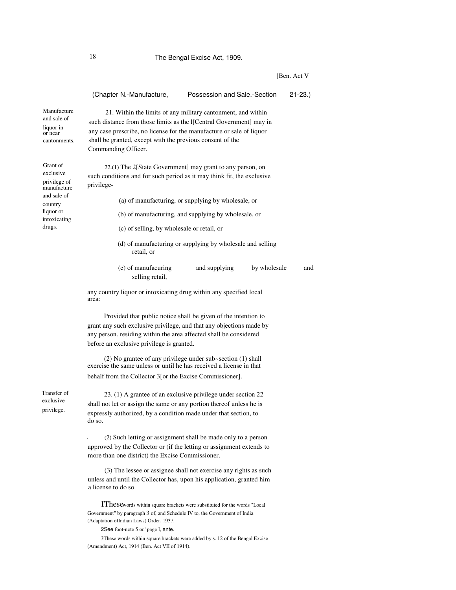# 18 The Bengal Excise Act, 1909.

[Ben. Act V

|                                                                    | (Chapter N.-Manufacture,                                                                                                                                                                                                                                                                                                                                                                                                                                       | Possession and Sale.-Section                               |              | $21 - 23.$ |  |  |
|--------------------------------------------------------------------|----------------------------------------------------------------------------------------------------------------------------------------------------------------------------------------------------------------------------------------------------------------------------------------------------------------------------------------------------------------------------------------------------------------------------------------------------------------|------------------------------------------------------------|--------------|------------|--|--|
| Manufacture<br>and sale of<br>liquor in<br>or near<br>cantonments. | 21. Within the limits of any military cantonment, and within<br>such distance from those limits as the I[Central Government] may in<br>any case prescribe, no license for the manufacture or sale of liquor<br>shall be granted, except with the previous consent of the<br>Commanding Officer.                                                                                                                                                                |                                                            |              |            |  |  |
| Grant of<br>exclusive<br>privilege of<br>manufacture               | $22(1)$ The 2[State Government] may grant to any person, on<br>such conditions and for such period as it may think fit, the exclusive<br>privilege-                                                                                                                                                                                                                                                                                                            |                                                            |              |            |  |  |
| and sale of<br>country                                             |                                                                                                                                                                                                                                                                                                                                                                                                                                                                | (a) of manufacturing, or supplying by wholesale, or        |              |            |  |  |
| liquor or<br>intoxicating                                          |                                                                                                                                                                                                                                                                                                                                                                                                                                                                | (b) of manufacturing, and supplying by wholesale, or       |              |            |  |  |
| drugs.                                                             | (c) of selling, by wholesale or retail, or                                                                                                                                                                                                                                                                                                                                                                                                                     |                                                            |              |            |  |  |
|                                                                    | retail, or                                                                                                                                                                                                                                                                                                                                                                                                                                                     | (d) of manufacturing or supplying by wholesale and selling |              |            |  |  |
|                                                                    | (e) of manufacuring<br>selling retail,                                                                                                                                                                                                                                                                                                                                                                                                                         | and supplying                                              | by wholesale | and        |  |  |
|                                                                    | any country liquor or intoxicating drug within any specified local<br>area:                                                                                                                                                                                                                                                                                                                                                                                    |                                                            |              |            |  |  |
|                                                                    | Provided that public notice shall be given of the intention to<br>grant any such exclusive privilege, and that any objections made by<br>any person. residing within the area affected shall be considered<br>before an exclusive privilege is granted.<br>$(2)$ No grantee of any privilege under sub~section $(1)$ shall<br>exercise the same unless or until he has received a license in that<br>behalf from the Collector 3 [or the Excise Commissioner]. |                                                            |              |            |  |  |
| Transfer of<br>exclusive<br>privilege.                             | 23. (1) A grantee of an exclusive privilege under section 22<br>shall not let or assign the same or any portion thereof unless he is<br>expressly authorized, by a condition made under that section, to<br>do so.                                                                                                                                                                                                                                             |                                                            |              |            |  |  |
|                                                                    | (2) Such letting or assignment shall be made only to a person<br>approved by the Collector or (if the letting or assignment extends to<br>more than one district) the Excise Commissioner.                                                                                                                                                                                                                                                                     |                                                            |              |            |  |  |
|                                                                    | (3) The lessee or assignee shall not exercise any rights as such<br>unless and until the Collector has, upon his application, granted him<br>a license to do so.                                                                                                                                                                                                                                                                                               |                                                            |              |            |  |  |
|                                                                    |                                                                                                                                                                                                                                                                                                                                                                                                                                                                |                                                            |              |            |  |  |

IThesewords within square brackets were substituted for the words "Local Government" by paragraph 3 of, and Schedule IV to, the Government of India (Adaptation ofIndian Laws) Order, 1937.

2See foot-note 5 on' page I, ante.

3These words within square brackets were added by s. 12 of the Bengal Excise (Amendment) Act, 1914 (Ben. Act VII of 1914).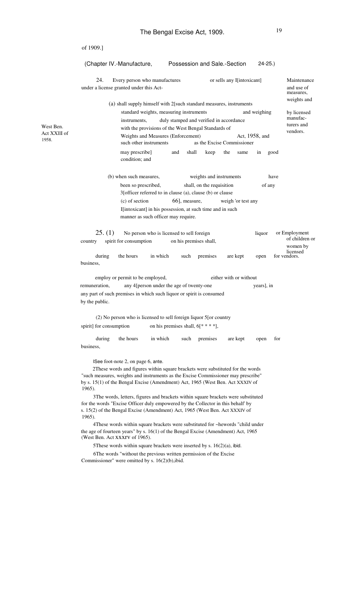|                       | of 1909.]                                                                                                                                                                                                                                                          |          |                                    |                                         |                |                                             |  |  |
|-----------------------|--------------------------------------------------------------------------------------------------------------------------------------------------------------------------------------------------------------------------------------------------------------------|----------|------------------------------------|-----------------------------------------|----------------|---------------------------------------------|--|--|
|                       | (Chapter IV.-Manufacture,                                                                                                                                                                                                                                          |          |                                    | Possession and Sale.-Section            | $24 - 25.$     |                                             |  |  |
|                       | 24.<br>Every person who manufactures<br>under a license granted under this Act-                                                                                                                                                                                    |          |                                    | or sells any I[intoxicant]              |                | Maintenance<br>and use of<br>measures,      |  |  |
|                       | (a) shall supply himself with 2 [such standard measures, instruments<br>standard weights, measuring instruments                                                                                                                                                    |          |                                    |                                         | and weighing   | weights and<br>by licensed                  |  |  |
| West Ben.             | instruments.<br>with the provisions of the West Bengal Standards of                                                                                                                                                                                                |          |                                    | duly stamped and verified in accordance |                | manufac-<br>turers and                      |  |  |
| Act XXIII of<br>1958. | Weights and Measures (Enforcement)<br>such other instruments                                                                                                                                                                                                       |          |                                    | as the Excise Commissioner              | Act, 1958, and | vendors.                                    |  |  |
|                       | may prescribe]<br>condition; and                                                                                                                                                                                                                                   | and      | shall<br>keep                      | the<br>same                             | in<br>good     |                                             |  |  |
|                       | (b) when such measures,                                                                                                                                                                                                                                            |          |                                    | weights and instruments                 | have           |                                             |  |  |
|                       | been so prescribed,<br>3[officer referred to in clause (a), clause (b) or clause                                                                                                                                                                                   |          | shall, on the requisition          |                                         | of any         |                                             |  |  |
|                       | (c) of section                                                                                                                                                                                                                                                     |          | 66], measure,                      | weigh 'or test any                      |                |                                             |  |  |
|                       | I[intoxicant] in his possession, at such time and in such<br>manner as such officer may require.                                                                                                                                                                   |          |                                    |                                         |                |                                             |  |  |
|                       | 25. (1)<br>No person who is licensed to sell foreign<br>spirit for consumption<br>country                                                                                                                                                                          |          | on his premises shall,             |                                         | liquor         | or Employment<br>of children or<br>women by |  |  |
|                       | during<br>the hours<br>business,                                                                                                                                                                                                                                   | in which | such<br>premises                   | are kept                                | open           | licensed<br>for vendors.                    |  |  |
|                       | employ or permit to be employed,                                                                                                                                                                                                                                   |          |                                    | either with or without                  |                |                                             |  |  |
|                       | any 4[person under the age of twenty-one<br>remuneration,<br>any part of such premises in which such liquor or spirit is consumed<br>by the public.                                                                                                                |          |                                    |                                         | years], in     |                                             |  |  |
|                       | (2) No person who is licensed to sell foreign liquor 5 [or country                                                                                                                                                                                                 |          |                                    |                                         |                |                                             |  |  |
|                       | spirit] for consumption                                                                                                                                                                                                                                            |          | on his premises shall, $6[* ***],$ |                                         |                |                                             |  |  |
|                       | the hours<br>during<br>business,                                                                                                                                                                                                                                   | in which | premises<br>such                   | are kept                                | for<br>open    |                                             |  |  |
|                       | ISee foot-note 2, on page 6, ante.                                                                                                                                                                                                                                 |          |                                    |                                         |                |                                             |  |  |
|                       | 2These words and figures within square brackets were substituted for the words<br>"such measures, weights and instruments as the Excise Commissioner may prescribe"<br>by s. 15(1) of the Bengal Excise (Amendment) Act, 1965 (West Ben. Act XXXIV of<br>$1965$ ). |          |                                    |                                         |                |                                             |  |  |
|                       | 3The words, letters, figures and brackets within square brackets were substituted<br>for the words "Excise Officer duly empowered by the Collector in this behalf by<br>s. 15(2) of the Bengal Excise (Amendment) Act, 1965 (West Ben. Act XXXIV of<br>$1965$ ).   |          |                                    |                                         |                |                                             |  |  |
|                       | 4 These words within square brackets were substituted for ~hewords "child under<br>the age of fourteen years" by s. 16(1) of the Bengal Excise (Amendment) Act, 1965<br>(West Ben. Act XXXIV of 1965).                                                             |          |                                    |                                         |                |                                             |  |  |
|                       | 5 These words within square brackets were inserted by s. $16(2)(a)$ , ibid.                                                                                                                                                                                        |          |                                    |                                         |                |                                             |  |  |
|                       | 6The words "without the previous written permission of the Excise<br>Commissioner" were omitted by s. $16(2)(b)$ , ibid.                                                                                                                                           |          |                                    |                                         |                |                                             |  |  |
|                       |                                                                                                                                                                                                                                                                    |          |                                    |                                         |                |                                             |  |  |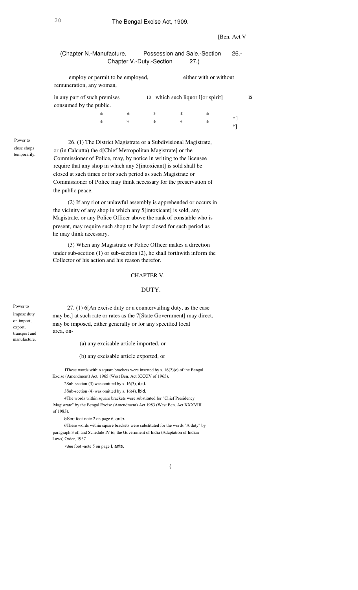(Chapter N.-Manufacture, Possession and Sale.-Section Chapter V.-Duty.-Section 27.) 26.-

employ or permit to be employed, remuneration, any woman, either with or without

| in any part of such premises |   |   |   |   | 10 which such liquor $\lfloor \cdot \rfloor$ [or spirit] | IS        |
|------------------------------|---|---|---|---|----------------------------------------------------------|-----------|
| consumed by the public.      |   |   |   |   |                                                          |           |
|                              | ж | ∗ | ∗ | ∗ | ∗                                                        | $\star$ . |
|                              | ∗ | ∗ | ∗ | ∗ | ∗                                                        |           |
|                              |   |   |   |   |                                                          | *1        |

Power to close shops temporarily.

26. (1) The District Magistrate or a Subdivisional Magistrate, or (in Calcutta) the 4[Chief Metropolitan Magistrate] or the Commissioner of Police, may, by notice in writing to the licensee require that any shop in which any 5[intoxicant] is sold shall be closed at such times or for such period as such Magistrate or Commissioner of Police may think necessary for the preservation of the public peace.

(2) If any riot or unlawful assembly is apprehended or occurs in the vicinity of any shop in which any 5[intoxicant] is sold, any Magistrate, or any Police Officer above the rank of constable who is present, may require such shop to be kept closed for such period as he may think necessary.

(3) When any Magistrate or Police Officer makes a direction under sub-section (1) or sub-section (2), he shall forthwith inform the Collector of his action and his reason therefor.

# CHAPTER V.

# DUTY.

Power to impose duty on import, export, transport and manufacture.

27. (1) 6[An excise duty or a countervailing duty, as the case may be,] at such rate or rates as the 7[State Government] may direct, may be imposed, either generally or for any specified local area, on-

(a) any excisable article imported, or

(b) any excisable article exported, or

IThese words within square brackets were inserted by s.  $16(2)(c)$  of the Bengal Excise (Amendment) Act, 1965 (West Ben. Act XXXIV of 1965).

2Sub-section (3) was omitted by s. 16(3), ibid.

3Sub-section (4) was omitted by s. 16(4), ibid.

4The words within square brackets were substituted for "Chief Presidency Magistrate" by the Bengal Excise (Amendment) Act 1983 (West Ben. Act XXXVIII of 1983).

5See foot-note 2 on page 6, ante.

6These words within square brackets were substituted for the words "A duty" by paragraph 3 of, and Schedule IV to, the Government of India (Adaptation of Indian Laws) Order, 1937.

7See foot -note 5 on page I, ante.

(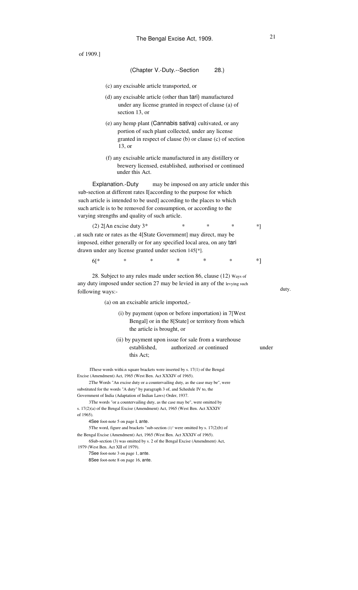of 1909.] (Chapter V.-Duty.--Section 28.) (c) any excisable article transported, or (d) any excisable article (other than tari) manufactured under any license granted in respect of clause (a) of section 13, or (e) any hemp plant (Cannabis sativa) cultivated, or any portion of such plant collected, under any license granted in respect of clause (b) or clause (c) of section 13, or (f) any excisable article manufactured in any distillery or brewery licensed, established, authorised or continued under this Act. Explanation.-Duty may be imposed on any article under this sub-section at different rates I[according to the purpose for which such article is intended to be used] according to the places to which such article is to be removed for consumption, or according to the varying strengths and quality of such article. (2)  $2[An\text{ excise duty }3^* \qquad * \qquad * \qquad * \qquad *]$ . at such rate or rates as the 4[State Government] may direct, may be imposed, either generalIy or for any specified local area, on any tari drawn under any license granted under section 145[\*].  $6[^* \qquad \quad \ast \qquad \quad \ast \qquad \quad \ast \qquad \quad \ast \qquad \quad \ast \qquad \quad \ast \qquad \quad \ast]$ 28. Subject to any rules made under section 86, clause (12) Ways of any duty imposed under section 27 may be levied in any of the levying such  $\frac{d}{dx}$  duty. (a) on an excisable article imported,- (i) by payment (upon or before importation) in 7[West Bengal] or in the 8[State] or territory from which the article is brought, or (ii) by payment upon issue for sale from a warehouse established, authorized .or continued under this Act; IThese words withi.n square brackets were inserted by s. 17(1) of the Bengal Excise (Amendment) Act, 1965 (West Ben. Act XXXIV of 1965). 2The Words "An excise duty or a countervailing duty, as the case may be", were substituted for the words "A duty" by paragraph 3 of, and Schedule IV to, the Government of India (Adaptation of Indian Laws) Order, 1937. 3The words "or a countervailing duty, as the case may be", were omitted by s. 17(2)(a) of the Bengal Excise (Amendment) Act, 1965 (West Ben. Act XXXIV of 1965). 4See foot-note 5 on page I, ante. 5The word, figure and brackets "sub-section (1)" were omitted by s. 17(2)(b) of the Bengal Excise (Amendment) Act, 1965 (West Ben. Act XXXIV of 1965). 6Sub-section (3) was omitted by s. 2 of the Bengal Excise (Amendment) Act, 1979 (West Ben. Act XII of 1979). 7See foot-note 3 on page 1, ante. 8See foot-note 8 on page 16, ante.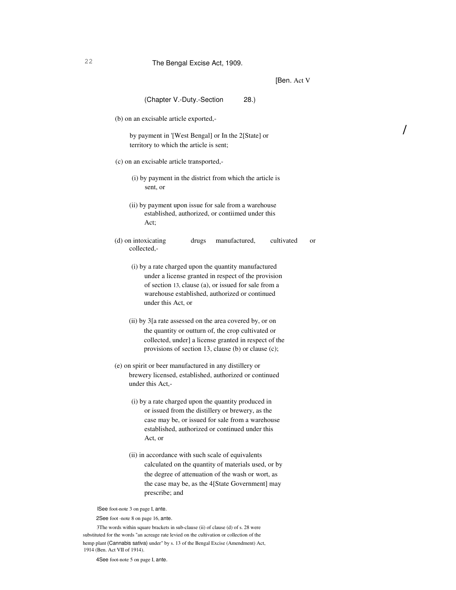[Ben. Act V

/

| (Chapter V.-Duty.-Section<br>28.                                                                                                                                                                                                            |
|---------------------------------------------------------------------------------------------------------------------------------------------------------------------------------------------------------------------------------------------|
| (b) on an excisable article exported,-                                                                                                                                                                                                      |
| by payment in '[West Bengal] or In the 2[State] or<br>territory to which the article is sent;                                                                                                                                               |
| (c) on an excisable article transported,-                                                                                                                                                                                                   |
| (i) by payment in the district from which the article is<br>sent, or                                                                                                                                                                        |
| (ii) by payment upon issue for sale from a warehouse<br>established, authorized, or contiimed under this<br>Act;                                                                                                                            |
| (d) on intoxicating<br>drugs<br>manufactured,<br>cultivated<br><b>or</b><br>collected,-                                                                                                                                                     |
| (i) by a rate charged upon the quantity manufactured<br>under a license granted in respect of the provision<br>of section 13, clause (a), or issued for sale from a<br>warehouse established, authorized or continued<br>under this Act, or |
| (ii) by 3[a rate assessed on the area covered by, or on<br>the quantity or outturn of, the crop cultivated or<br>collected, under] a license granted in respect of the<br>provisions of section 13, clause (b) or clause (c);               |
| (e) on spirit or beer manufactured in any distillery or<br>brewery licensed, established, authorized or continued<br>under this Act,-                                                                                                       |
| (i) by a rate charged upon the quantity produced in<br>or issued from the distillery or brewery, as the<br>case may be, or issued for sale from a warehouse<br>established, authorized or continued under this<br>Act, or                   |
| (ii) in accordance with such scale of equivalents<br>calculated on the quantity of materials used, or by<br>the degree of attenuation of the wash or wort, as<br>the case may be, as the 4[State Government] may<br>prescribe; and          |
| ISee foot-note 3 on page I, ante.<br>2See foot -note 8 on page 16, ante.<br>3The words within square brackets in sub-clause (ii) of clause (d) of s. 28 were                                                                                |

substituted for the words "an acreage rate levied on the cultivation or collection of the hemp plant (Cannabis sativa) under" by s. 13 of the Bengal Excise (Amendment) Act, 1914 (Ben. Act VII of 1914).

4See foot-note 5 on page I, ante.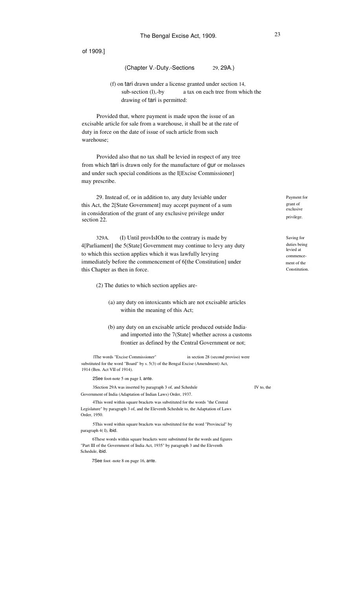# (Chapter V.-Duty.-Sections 29, 29A.)

(f) on tari drawn under a license granted under section 14, sub-section (l),-by a tax on each tree from which the drawing of tari is permitted:

Provided that, where payment is made upon the issue of an excisable article for sale from a warehouse, it shall be at the rate of duty in force on the date of issue of such article from such warehouse;

Provided also that no tax shall be levied in respect of any tree from which tari is drawn only for the manufacture of gur or molasses and under such special conditions as the I[Excise Commissioner] may prescribe.

29. Instead of, or in addition to, any duty leviable under this Act, the 2[State Government] may accept payment of a sum in consideration of the grant of any exclusive privilege under section 22.

329A. (I) Until provIsIOn to the contrary is made by 4[Parliament] the 5(State] Government may continue to levy any duty to which this section applies which it was lawfully levying immediately before the commencement of 6[the Constitution] under this Chapter as then in force.

(2) The duties to which section applies are-

(a) any duty on intoxicants which are not excisable articles within the meaning of this Act;

(b) any duty on an excisable article produced outside India· and imported into the 7(State] whether across a customs frontier as defined by the Central Government or not;

lThe words "Excise Commissioner" in section 28 (second proviso) were substituted for the word "Board" by s. 5(3) of the Bengal Excise (Amendment) Act, 1914 (Ben. Act VII of 1914).

2See foot-note 5 on page I, ante.

3Section 29A was inserted by paragraph 3 of, and Schedule Government of India (Adaptation of Indian Laws) Order, 1937.

4This word within square brackets was substituted for the words "the Central Legislature" by paragraph 3 of, and the Eleventh Schedule to, the Adaptation of Laws Order, 1950.

5This word within square brackets was substituted for the word "Provincial" by paragraph 4( I), ibid.

6These words within square brackets were substituted for the words and figures "Part III of the Government of India Act, 1935" by paragraph 3 and the Eleventh Schedule, ibid.

7See foot -note 8 on page 16, ante.

IV to, the

Payment for grant of exclusive privilege.

Saving for duties being levied at commencement of the Constitution.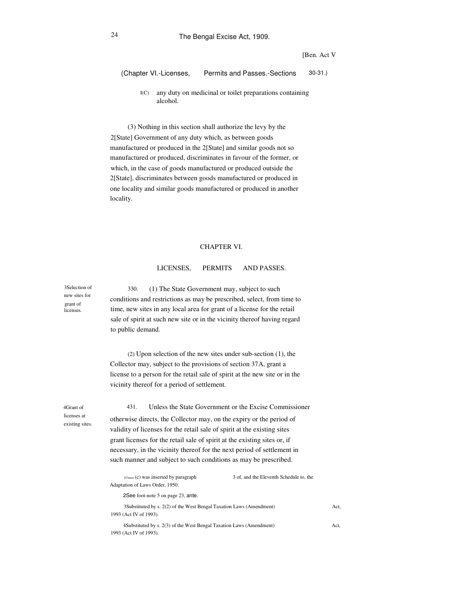[Ben. Act V

(Chapter VI.-Licenses, Permits and Passes.-Sections 30-31.)

 $I(C)$ any duty on medicinal or toilet preparations containing alcohol.

(3) Nothing in this section shall authorize the levy by the 2[State] Government of any duty which, as between goods manufactured or produced in the 2[State] and similar goods not so manufactured or produced, discriminates in favour of the former, or which, in the case of goods manufactured or produced outside the 2[State], discriminates between goods manufactured or produced in one locality and similar goods manufactured or produced in another locality.

### CHAPTER VI.

#### LICENSES, PERMITS AND PASSES.

(1) The State Government may, subject to such conditions and restrictions as may be prescribed, select, from time to time, new sites in any local area for grant of a license for the retail sale of spirit at such new site or in the vicinity thereof having regard to public demand. 330.

(2) Upon selection of the new sites under sub-section (1), the Collector may, subject to the provisions of section 37A, grant a license to a person for the retail sale of spirit at the new site or in the vicinity thereof for a period of settlement.

4Grant of licenses at existing sites.

3Selection of new sites for grant of licenses.

> 431. Unless the State Government or the Excise Commissioner otherwise directs, the Collector may, on the expiry or the period of validity of licenses for the retail sale of spirit at the existing sites grant licenses for the retail sale of spirit at the existing sites or, if necessary, in the vicinity thereof for the next period of settlement in such manner and subject to such conditions as may be prescribed.

| $_{1$ Clause (c) was inserted by paragraph<br>Adaptation of Laws Order, 1950.                  | 3 of, and the Eleventh Schedule to, the |      |
|------------------------------------------------------------------------------------------------|-----------------------------------------|------|
| 2See foot-note 5 on page 23, ante.                                                             |                                         |      |
| 3Substituted by s. 2(2) of the West Bengal Taxation Laws (Amendment)<br>1993 (Act IV of 1993). |                                         | Act. |
| 4Substituted by s. 2(3) of the West Bengal Taxation Laws (Amendment)                           |                                         | Act. |
| 1993 (Act IV of 1993).                                                                         |                                         |      |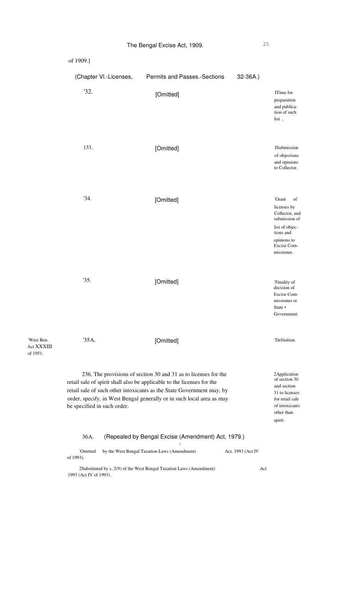| of 1909.]                   |                                                                                                                                                                                                                                                                                             |                   |                                                                                                                                           |
|-----------------------------|---------------------------------------------------------------------------------------------------------------------------------------------------------------------------------------------------------------------------------------------------------------------------------------------|-------------------|-------------------------------------------------------------------------------------------------------------------------------------------|
| (Chapter VI.-Licenses,      | Permits and Passes.-Sections                                                                                                                                                                                                                                                                | 32-36A.)          |                                                                                                                                           |
| '32.                        | [Omitted]                                                                                                                                                                                                                                                                                   |                   | ITime for<br>preparation<br>and publica-<br>tion of such<br>$list$                                                                        |
| 133.                        | [Omitted]                                                                                                                                                                                                                                                                                   |                   | ISubmission<br>of objections<br>and opinions<br>to Collector.                                                                             |
| '34.                        | [Omitted]                                                                                                                                                                                                                                                                                   |                   | 'Grant<br>of<br>licenses by<br>Collector, and<br>submission of<br>list of objec-<br>tions and<br>opinions to<br>Excise Com-<br>missioner. |
| '35.                        | [Omitted]                                                                                                                                                                                                                                                                                   |                   | 'Finality of<br>decision of<br>Excise Com-<br>missioner or<br>State •<br>Government.                                                      |
| '35A.                       | [Omitted]                                                                                                                                                                                                                                                                                   |                   | 'Definition.                                                                                                                              |
| be specified in such order. | 236. The provisions of section 30 and 31 as to licenses for the<br>retail sale of spirit shall also be applicable to the licenses for the<br>retail sale of such other intoxicants as the State Government may, by<br>order, specify, in West Bengal generally or in such local area as may |                   | 2Application<br>of section 30<br>and section<br>31 to licenses<br>for retail sale<br>of intoxicants<br>other than<br>spirit.              |
| 36A.                        | (Repealed by Bengal Excise (Amendment) Act, 1979.)                                                                                                                                                                                                                                          |                   |                                                                                                                                           |
| 'Omitted<br>of 1993).       | by the West Bengal Taxation Laws (Amendment)                                                                                                                                                                                                                                                | Act, 1993 (Act IV |                                                                                                                                           |
|                             | 2Substituted by s. 2(9) of the West Bengal Taxation Laws (Amendment)                                                                                                                                                                                                                        | Act.              |                                                                                                                                           |

1993 (Act IV of 1993).

'West Ben. Act XXXIII of 1951.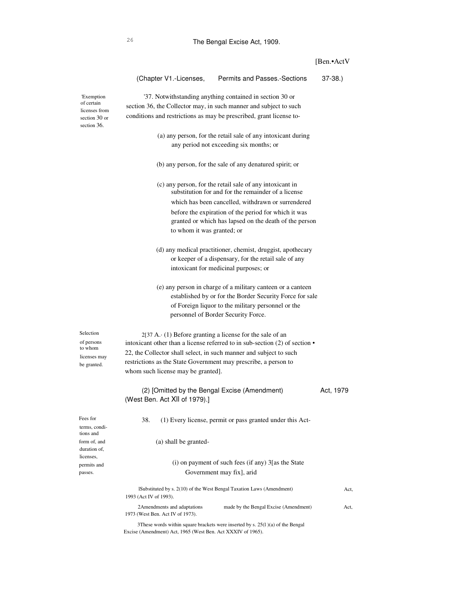|                                               |                                                                                                       |                                                                                                                 | [Ben.•ActV |
|-----------------------------------------------|-------------------------------------------------------------------------------------------------------|-----------------------------------------------------------------------------------------------------------------|------------|
|                                               | (Chapter V1.-Licenses,                                                                                | Permits and Passes.-Sections                                                                                    | $37-38.$   |
| <b>Exemption</b>                              |                                                                                                       | '37. Notwithstanding anything contained in section 30 or                                                        |            |
| of certain                                    | section 36, the Collector may, in such manner and subject to such                                     |                                                                                                                 |            |
| licenses from<br>section 30 or<br>section 36. | conditions and restrictions as may be prescribed, grant license to-                                   |                                                                                                                 |            |
|                                               |                                                                                                       | (a) any person, for the retail sale of any intoxicant during<br>any period not exceeding six months; or         |            |
|                                               |                                                                                                       | (b) any person, for the sale of any denatured spirit; or                                                        |            |
|                                               |                                                                                                       | (c) any person, for the retail sale of any intoxicant in<br>substitution for and for the remainder of a license |            |
|                                               |                                                                                                       | which has been cancelled, withdrawn or surrendered                                                              |            |
|                                               |                                                                                                       | before the expiration of the period for which it was                                                            |            |
|                                               |                                                                                                       | granted or which has lapsed on the death of the person                                                          |            |
|                                               | to whom it was granted; or                                                                            |                                                                                                                 |            |
|                                               |                                                                                                       | (d) any medical practitioner, chemist, druggist, apothecary                                                     |            |
|                                               |                                                                                                       | or keeper of a dispensary, for the retail sale of any                                                           |            |
|                                               |                                                                                                       | intoxicant for medicinal purposes; or                                                                           |            |
|                                               |                                                                                                       | (e) any person in charge of a military canteen or a canteen                                                     |            |
|                                               |                                                                                                       | established by or for the Border Security Force for sale                                                        |            |
|                                               |                                                                                                       | of Foreign liquor to the military personnel or the                                                              |            |
|                                               |                                                                                                       | personnel of Border Security Force.                                                                             |            |
|                                               |                                                                                                       |                                                                                                                 |            |
| Selection                                     | $2[37 A. (1)$ Before granting a license for the sale of an                                            |                                                                                                                 |            |
| of persons<br>to whom                         |                                                                                                       | intoxicant other than a license referred to in sub-section (2) of section •                                     |            |
| licenses may                                  | 22, the Collector shall select, in such manner and subject to such                                    |                                                                                                                 |            |
| be granted.                                   | restrictions as the State Government may prescribe, a person to<br>whom such license may be granted]. |                                                                                                                 |            |
|                                               |                                                                                                       |                                                                                                                 |            |
|                                               | (2) [Omitted by the Bengal Excise (Amendment)                                                         |                                                                                                                 | Act, 1979  |
|                                               | (West Ben. Act XII of 1979).]                                                                         |                                                                                                                 |            |
| Fees for<br>terms, condi-                     | 38.                                                                                                   | (1) Every license, permit or pass granted under this Act-                                                       |            |
| tions and<br>form of, and                     | (a) shall be granted-                                                                                 |                                                                                                                 |            |
| duration of,<br>licenses,                     |                                                                                                       |                                                                                                                 |            |
| permits and                                   |                                                                                                       | (i) on payment of such fees (if any) 3[as the State                                                             |            |
| passes.                                       |                                                                                                       | Government may fix], arid                                                                                       |            |
|                                               | 1993 (Act IV of 1993).                                                                                | ISubstituted by s. 2(10) of the West Bengal Taxation Laws (Amendment)                                           | Act,       |
|                                               | 2Amendments and adaptations<br>1973 (West Ben. Act IV of 1973).                                       | made by the Bengal Excise (Amendment)                                                                           | Act,       |
|                                               |                                                                                                       |                                                                                                                 |            |

3These words within square brackets were inserted by s. 25(l )(a) of the Bengal Excise (Amendment) Act, 1965 (West Ben. Act XXXIV of 1965).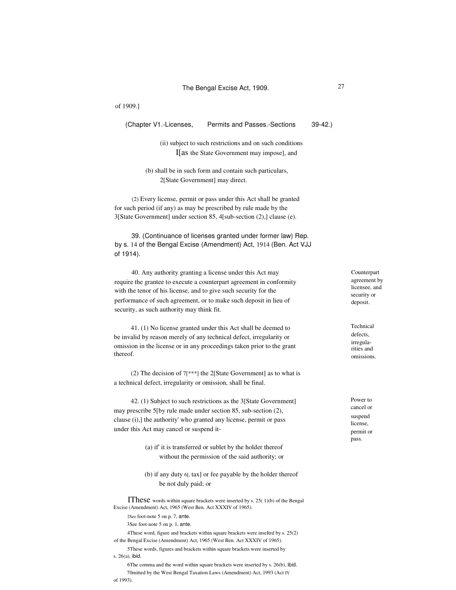(Chapter V1.-Licenses, Permits and Passes.-Sections 39-42.)

(ii) subject to such restrictions and on such conditions I[as the State Government may impose], and

(b) shall be in such form and contain such particulars, 2[State Government] may direct.

(2) Every license, permit or pass under this Act shall be granted for such period (if any) as may be prescribed by rule made by the 3[State Government] under section 85, 4[sub-section (2),] clause (e).

39. (Continuance of licenses granted under former law) Rep. by s. 14 of the Bengal Excise (Amendment) Act, 1914 (Ben. Act VJJ of 1914).

40. Any authority granting a license under this Act may require the grantee to execute a counterpart agreement in conformity with the tenor of his license, and to give such security for the performance of such agreement, or to make such deposit in lieu of security, as such authority may think fit.

41. (1) No license granted under this Act shall be deemed to be invalid by reason merely of any technical defect, irregularity or omission in the license or in any proceedings taken prior to the grant thereof.

(2) The decision of 7[\*\*\*] the 2[State Government] as to what is a technical defect, irregularity or omission, shall be final.

42. (1) Subject to such restrictions as the 3[State Government] may prescribe 5[by rule made under section 85, sub-section (2), clause (i),] the authority' who granted any license, permit or pass under this Act may cancel or suspend it-

- (a) if' it is transferred or sublet by the holder thereof without the permission of the said authority; or
- (b) if any duty 6[, tax] or fee payable by the holder thereof be not duly paid; or

IThese words within square brackets were inserted by s. 25( 1)(b) of the Bengal Excise (Amendment) Act, 1965 (West Ben. Act XXXIV of 1965).

- 2See foot-note 5 on p. 7, ante.
- 3See foot-note 5 on p. 1, ante.

4These word, figure and brackets within square brackets were inseItrd by s. 25(2) of the Bengal Excise (Amendment) Act, 1965 (West Ben. Act XXXIV of 1965).

5These words, figures and brackets within square brackets were inserted by s. 26(a), ibid.

6The comma and the word within square brackets were inserted by s. 26(b), ibid. 70mitted by the West Bengal Taxation Laws (Amendment) Act, 1993 (Act IV of 1993).

Counterpart agreement by licensee, and security or deposit.

Technical defects, irregularities and omissions.

Power to cancel or suspend license, permit or pass.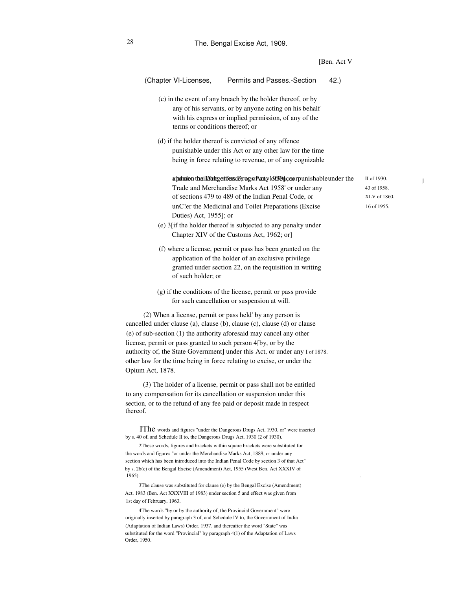|                                                                                                                                                                                                                                                                                                                                                                                                                                                                                                                                                                                                                                     |                                                                                                                                                                                                                                                   | [Ben. Act V |
|-------------------------------------------------------------------------------------------------------------------------------------------------------------------------------------------------------------------------------------------------------------------------------------------------------------------------------------------------------------------------------------------------------------------------------------------------------------------------------------------------------------------------------------------------------------------------------------------------------------------------------------|---------------------------------------------------------------------------------------------------------------------------------------------------------------------------------------------------------------------------------------------------|-------------|
| (Chapter VI-Licenses,                                                                                                                                                                                                                                                                                                                                                                                                                                                                                                                                                                                                               | Permits and Passes.-Section                                                                                                                                                                                                                       | 42.)        |
| terms or conditions thereof; or                                                                                                                                                                                                                                                                                                                                                                                                                                                                                                                                                                                                     | (c) in the event of any breach by the holder thereof, or by<br>any of his servants, or by anyone acting on his behalf<br>with his express or implied permission, of any of the                                                                    |             |
|                                                                                                                                                                                                                                                                                                                                                                                                                                                                                                                                                                                                                                     | (d) if the holder thereof is convicted of any offence<br>punishable under this Act or any other law for the time<br>being in force relating to revenue, or of any cognizable                                                                      |             |
| Duties) Act, 1955]; or                                                                                                                                                                                                                                                                                                                                                                                                                                                                                                                                                                                                              | a funden theilabhg of deuscD, rog of Acaty 10ff On cep rpunishable under the<br>Trade and Merchandise Marks Act 1958' or under any<br>of sections 479 to 489 of the Indian Penal Code, or<br>unCler the Medicinal and Toilet Preparations (Excise |             |
|                                                                                                                                                                                                                                                                                                                                                                                                                                                                                                                                                                                                                                     | (e) 3[if the holder thereof is subjected to any penalty under<br>Chapter XIV of the Customs Act, 1962; or]                                                                                                                                        |             |
| of such holder; or                                                                                                                                                                                                                                                                                                                                                                                                                                                                                                                                                                                                                  | (f) where a license, permit or pass has been granted on the<br>application of the holder of an exclusive privilege<br>granted under section 22, on the requisition in writing                                                                     |             |
|                                                                                                                                                                                                                                                                                                                                                                                                                                                                                                                                                                                                                                     | (g) if the conditions of the license, permit or pass provide<br>for such cancellation or suspension at will.                                                                                                                                      |             |
| (2) When a license, permit or pass held' by any person is<br>cancelled under clause (a), clause (b), clause (c), clause (d) or clause<br>(e) of sub-section (1) the authority aforesaid may cancel any other<br>license, permit or pass granted to such person 4[by, or by the<br>other law for the time being in force relating to excise, or under the<br>Opium Act, 1878.                                                                                                                                                                                                                                                        | authority of, the State Government] under this Act, or under any I of 1878.                                                                                                                                                                       |             |
| to any compensation for its cancellation or suspension under this<br>section, or to the refund of any fee paid or deposit made in respect<br>thereof.                                                                                                                                                                                                                                                                                                                                                                                                                                                                               | (3) The holder of a license, permit or pass shall not be entitled                                                                                                                                                                                 |             |
| by s. 40 of, and Schedule II to, the Dangerous Drugs Act, 1930 (2 of 1930).<br>2These words, figures and brackets within square brackets were substituted for<br>the words and figures "or under the Merchandise Marks Act, 1889, or under any<br>section which has been introduced into the Indian Penal Code by section 3 of that Act"<br>by s. 26(c) of the Bengal Excise (Amendment) Act, 1955 (West Ben. Act XXXIV of<br>1965).<br>3The clause was substituted for clause (e) by the Bengal Excise (Amendment)<br>Act, 1983 (Ben. Act XXXVIII of 1983) under section 5 and effect was given from<br>1st day of February, 1963. | IThe words and figures "under the Dangerous Drugs Act, 1930, or" were inserted                                                                                                                                                                    |             |
|                                                                                                                                                                                                                                                                                                                                                                                                                                                                                                                                                                                                                                     |                                                                                                                                                                                                                                                   |             |

II of 1930. 43 of 1958. XLV of 1860. 16 of 1955.

j

4The words "by or by the authority of, the Provincial Government" were originally inserted by paragraph 3 of, and Schedule IV to, the Government of India (Adaptation of Indian Laws) Order, 1937, and thereafter the word "State" was substituted for the word "Provincial" by paragraph 4(1) of the Adaptation of Laws Order, 1950.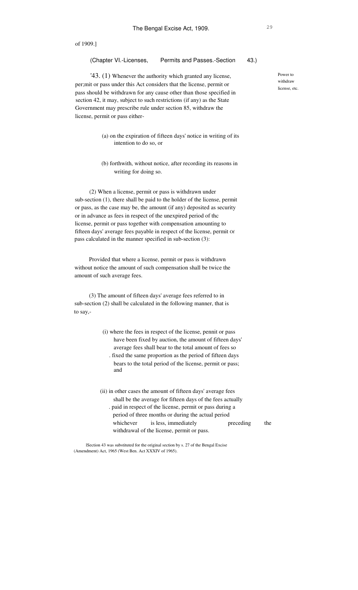(Chapter VI.-Licenses, Permits and Passes.-Section 43.)

'43. (1) Whenever the authority which granted any license, per;mit or pass under this Act considers that the license, permit or pass should be withdrawn for any cause other than those specified in section 42, it may, subject to such restrictions (if any) as the State Government may prescribe rule under section 85, withdraw the license, permit or pass either-

- (a) on the expiration of fifteen days' notice in writing of its intention to do so, or
- (b) forthwith, without notice, after recording its reasons in writing for doing so.

(2) When a license, permit or pass is withdrawn under sub-section (1), there shall be paid to the holder of the license, permit or pass, as the case may be, the amount (if any) deposited as security or in advance as fees in respect of the unexpired period of thc license, permit or pass together with compensation amounting to fifteen days' average fees payable in respect of the license, permit Of pass calculated in the manner specified in sub-section (3):

Provided that where a license, permit or pass is withdrawn without notice the amount of such compensation shall be twice the amount of such average fees.

(3) The amount of fifteen days' average fees referred to in sub-section (2) shall be calculated in the following manner, that is to say,-

- (i) where the fees in respect of the license, pennit or pass have been fixed by auction, the amount of fifteen days' average fees shall bear to the total amount of fees so . fixed the same proportion as the period of fifteen days bears to the total period of the license, permit or pass; and
- (ii) in other cases the amount of fifteen days' average fees shall be the average for fifteen days of the fees actually . paid in respect of the license, permit or pass during a period of three months or during the actual period whichever is less, immediately preceding the withdrawal of the license, permit or pass.

lSection 43 was substituted for the original section by s. 27 of the Bengal Excise (Amendment) Act, 1965 (West Ben. Act XXXIV of 1965).

Power to withdraw license, etc.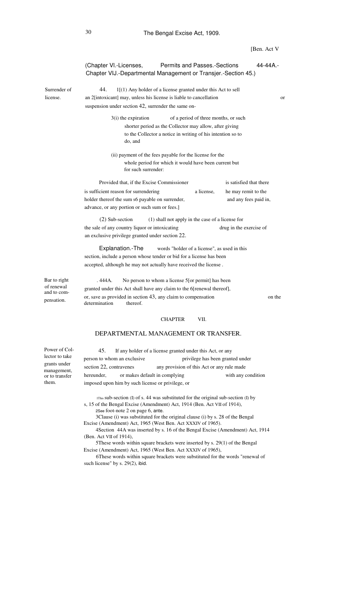[Ben. Act V (Chapter VI.-Licenses, Permits and Passes.-Sections 44-44A.-Chapter VIJ.-Departmental Management or Transjer.-Section 45.) Surrender of license. 1[(1) Any holder of a license granted under this Act to sell an 2[intoxicant] may, unless his license is liable to cancellation or suspension under section 42, surrender the same on-3(i) the expiration of a period of three months, or such shorter period as the Collector may allow, after giving to the Collector a notice in writing of his intention so to do, and (ii) payment of the fees payable for the license for the whole period for which it would have been current but for such surrender: Provided that, if the Excise Commissioner is sufficient reason for surrendering a license, holder thereof the sum s6 payable on surrender, advance, or any portion or such sum or fees.] is satisfied that there he may remit to the and any fees paid in, 44. (1) shall not apply in the case of a license for the sale of any country liquor or intoxicating drug in the exercise of an exclusive privilege granted under section 22. words "holder of a license", as used in this section, include a person whose tender or bid for a license has been accepted, although he may not actually have received the license . Bar to right of renewal and to compensation. . 444A. No person to whom a license 5[or permit] has been granted under this Act shall have any claim to the 6[renewal thereof], or, save as provided in section 43, any claim to compensation on the determination thereof. (2) Sub-section Explanation.-The

### CHAPTER VII.

# DEPARTMENTAL MANAGEMENT OR TRANSFER.

Power of Collector to take grants under management, or to transfer them.

If any holder of a license granted under this Act, or any person to whom an exclusive privilege has been granted under section 22, contravenes any provision of this Act or any rule made hereunder, or makes default in complying with any condition imposed upon him by such license or privilege, or 45.

1This sub-section (I) of s. 44 was substituted for the original sub-section (I) by s, 15 of the Bengal Excise (Amendment) Act, 1914 (Ben. Act VII of 1914), 2See foot-note 2 on page 6, ante.

3Clause (i) was substituted for the original clause (i) by s. 28 of the Bengal Excise (Amendment) Act, 1965 (West Ben. Act XXXIV of 1965).

4Section 44A was inserted by s. 16 of the Bengal Excise (Amendment) Act, 1914 (Ben. Act VII of 1914),

5These words within square brackets were inserted by s. 29(1) of the Bengal Excise (Amendment) Act, 1965 (West Ben. Act XXXIV of 1965),

6These words within square brackets were substituted for the words "renewal of such license" by s. 29(2), ibid.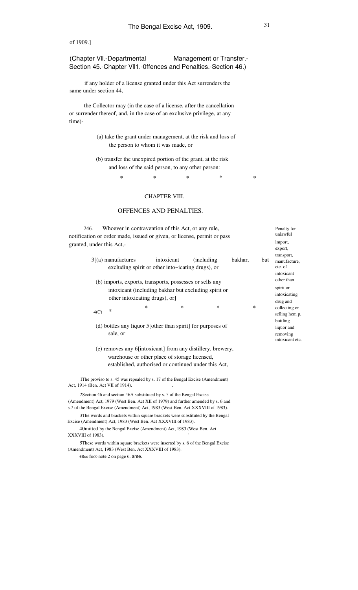(Chapter Vll.-Departmental Management or Transfer.- Section 45.-Chapter Vll1.-0ffences and Penalties.-Section 46.)

if any holder of a license granted under this Act surrenders the same under section 44,

the Collector may (in the case of a license, after the cancellation or surrender thereof, and, in the case of an exclusive privilege, at any time)-

- (a) take the grant under management, at the risk and loss of the person to whom it was made, or
- (b) transfer the unexpired portion of the grant, at the risk and loss of the said person, to any other person:

\* \* \* \* \*

# CHAPTER VIII.

# OFFENCES AND PENALTIES.

| 246. |      |                           |        | Whoever in contravention of this Act, or any rule,              |        |                                                                             |         |        |     | Penalty for<br>unlawful                             |
|------|------|---------------------------|--------|-----------------------------------------------------------------|--------|-----------------------------------------------------------------------------|---------|--------|-----|-----------------------------------------------------|
|      |      |                           |        |                                                                 |        | notification or order made, issued or given, or license, permit or pass     |         |        |     |                                                     |
|      |      | granted, under this Act,- |        |                                                                 |        |                                                                             |         |        |     | import,<br>export,                                  |
|      |      | $3(2)$ manufactures       |        | intoxicant<br>excluding spirit or other into~icating drugs), or |        | (including)                                                                 | bakhar, |        | but | transport,<br>manufacture,<br>etc. of<br>intoxicant |
|      |      |                           |        | (b) imports, exports, transports, possesses or sells any        |        |                                                                             |         |        |     | other than                                          |
|      |      |                           |        | other intoxicating drugs), or]                                  |        | intoxicant (including bakhar but excluding spirit or                        |         |        |     | spirit or<br>intoxicating<br>drug and               |
|      | 4(C) | $\ast$                    | $\ast$ |                                                                 | $\ast$ | ∗                                                                           |         | $\ast$ |     | collecting or<br>selling hem p,<br>bottling         |
|      |      |                           |        |                                                                 |        | (d) bottles any liquor 5 [other than spirit] for purposes of                |         |        |     | liquor and                                          |
|      |      | sale, or                  |        |                                                                 |        |                                                                             |         |        |     | removing<br>intoxicant etc.                         |
|      |      |                           |        |                                                                 |        | (e) removes any 6[intoxicant] from any distillery, brewery,                 |         |        |     |                                                     |
|      |      |                           |        | warehouse or other place of storage licensed,                   |        | established, authorised or continued under this Act,                        |         |        |     |                                                     |
|      |      |                           |        |                                                                 |        | The proviso to s. 45 was repeated by s. 17 of the Bengal Excise (Amendment) |         |        |     |                                                     |

IThe proviso to s. 45 was repealed by s. 17 of the Bengal Excise (Amendment) Act, 1914 (Ben. Act VII of 1914).

2Section 46 and section 46A substituted by s. 5 of the Bengal Excise (Amendment) Act, 1979 (West Ben. Act XII of 1979) and further amended by s. 6 and s.7 of the Bengal Excise (Amendment) Act, 1983 (West Ben. Act XXXVIII of 1983). 3The words and brackets within square brackets were substituted by the Bengal

Excise (Amendment) Act, 1983 (West Ben. Act XXXVIII of 1983). 40mitted by the Bengal Excise (Amendment) Act, 1983 (West Ben. Act

XXXVIII of 1983).

5These words within square brackets were inserted by s. 6 of the Bengal Excise (Amendment) Act, 1983 (West Ben. Act XXXVIII of 1983).

6See foot-note 2 on page 6, ante.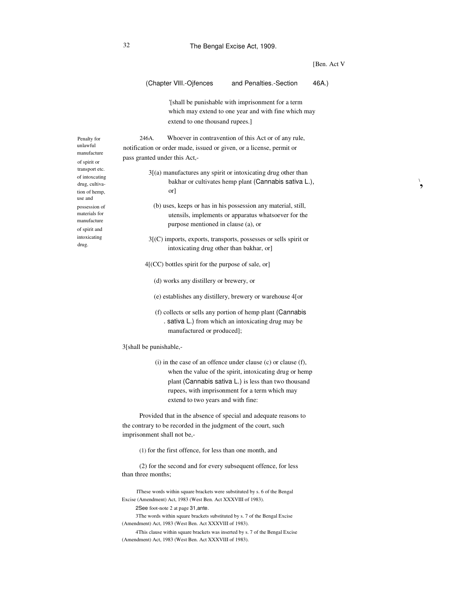[Ben. Act V

\ ,

|                                                                                       | (Chapter VIII.-Ojfences<br>and Penalties.-Section<br>46A.)                                                                                                                                                                                                                                          |  |  |  |  |  |  |  |
|---------------------------------------------------------------------------------------|-----------------------------------------------------------------------------------------------------------------------------------------------------------------------------------------------------------------------------------------------------------------------------------------------------|--|--|--|--|--|--|--|
|                                                                                       | [shall be punishable with imprisonment for a term<br>which may extend to one year and with fine which may<br>extend to one thousand rupees.]                                                                                                                                                        |  |  |  |  |  |  |  |
| alty for<br>wful<br>ufacture<br>pirit or<br>sport etc.<br>itoxcating<br>, cultiva-    | Whoever in contravention of this Act or of any rule,<br>246A.<br>notification or order made, issued or given, or a license, permit or<br>pass granted under this Act,-<br>$3[$ (a) manufactures any spirit or intoxicating drug other than<br>bakhar or cultivates hemp plant (Cannabis sativa L.), |  |  |  |  |  |  |  |
| of hemp,<br>and<br>ession of<br>erials for<br>ufacture<br>pirit and<br>xicating<br>ŗ. | or <sup>1</sup><br>(b) uses, keeps or has in his possession any material, still,<br>utensils, implements or apparatus whatsoever for the<br>purpose mentioned in clause (a), or<br>$3[(C)$ imports, exports, transports, possesses or sells spirit or<br>intoxicating drug other than bakhar, or]   |  |  |  |  |  |  |  |
|                                                                                       | $4[$ (CC) bottles spirit for the purpose of sale, or                                                                                                                                                                                                                                                |  |  |  |  |  |  |  |
|                                                                                       | (d) works any distillery or brewery, or                                                                                                                                                                                                                                                             |  |  |  |  |  |  |  |
|                                                                                       | (e) establishes any distillery, brewery or warehouse 4[or                                                                                                                                                                                                                                           |  |  |  |  |  |  |  |
|                                                                                       | (f) collects or sells any portion of hemp plant (Cannabis<br>. sativa L.) from which an intoxicating drug may be<br>manufactured or produced];                                                                                                                                                      |  |  |  |  |  |  |  |
|                                                                                       | 3[shall be punishable,-                                                                                                                                                                                                                                                                             |  |  |  |  |  |  |  |
|                                                                                       | (i) in the case of an offence under clause $(c)$ or clause $(f)$ ,<br>when the value of the spirit, intoxicating drug or hemp<br>plant (Cannabis sativa L.) is less than two thousand                                                                                                               |  |  |  |  |  |  |  |

rupees, with imprisonment for a term which may extend to two years and with fine:

Provided that in the absence of special and adequate reasons to the contrary to be recorded in the judgment of the court, such imprisonment shall not be,-

(1) for the first offence, for less than one month, and

(2) for the second and for every subsequent offence, for less than three months;

IThese words within square brackets were substituted by s. 6 of the Bengal Excise (Amendment) Act, 1983 (West Ben. Act XXXVIII of 1983).

2See foot-note 2 at page 31,ante.

3The words within square brackets substituted by s. 7 of the Bengal Excise (Amendment) Act, 1983 (West Ben. Act XXXVIII of 1983).

4This clause within square brackets was inserted by s. 7 of the Bengal Excise (Amendment) Act, 1983 (West Ben. Act XXXVIII of 1983).

Pena unla  $man$ of sp trans of in drug tion use a poss mate man of sp intox drug.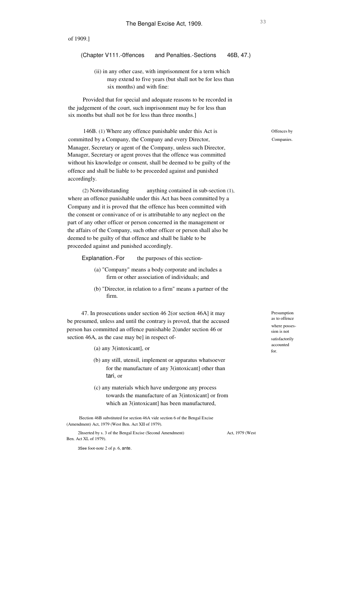# (Chapter V111.-0ffences and Penalties.-Sections 46B, 47.)

(ii) in any other case, with imprisonment for a term which may extend to five years (but shall not be for less than six months) and with fine:

Provided that for special and adequate reasons to be recorded in the judgement of the court, such imprisonment may be for less than six months but shall not be for less than three months.]

146B. (1) Where any offence punishable under this Act is committed by a Company, the Company and every Director, Manager, Secretary or agent of the Company, unless such Director, Manager, Secretary or agent proves that the offence was committed without his knowledge or consent, shall be deemed to be guilty of the offence and shall be liable to be proceeded against and punished accordingly.

anything contained in sub-section (1), where an offence punishable under this Act has been committed by a Company and it is proved that the offence has been committed with the consent or connivance of or is attributable to any neglect on the part of any other officer or person concerned in the management or the affairs of the Company, such other officer or person shall also be deemed to be guilty of that offence and shall be liable to be proceeded against and punished accordingly. (2) Notwithstanding

Explanation.-For the purposes of this section-

- (a) "Company" means a body corporate and includes a firm or other association of individuals; and
- (b) "Director, in relation to a firm" means a partner of the firm.

47. In prosecutions under section 46 2(or section 46A] it may be presumed, unless and until the contrary is proved, that the accused person has committed an offence punishable 2(under section 46 or section 46A, as the case may be] in respect of-

(a) any 3(intoxicant], or

- (b) any still, utensil, implement or apparatus whatsoever for the manufacture of any 3(intoxicant] other than tari, or
- (c) any materials which have undergone any process towards the manufacture of an 3(intoxicant] or from which an 3(intoxicant] has been manufactured,

lSection 46B substituted for section 46A vide section 6 of the Bengal Excise (Amendment) Act, 1979 (West Ben. Act XII of 1979).

2Inserted by s. 3 of the Bengal Excise (Second Amendment)

Act, 1979 (West

3See foot-note 2 of p. 6, ante.

Ben. Act XL of 1979).

Offences by Companies.

Presumption as to offence where possession is not satisfactorily accounted for.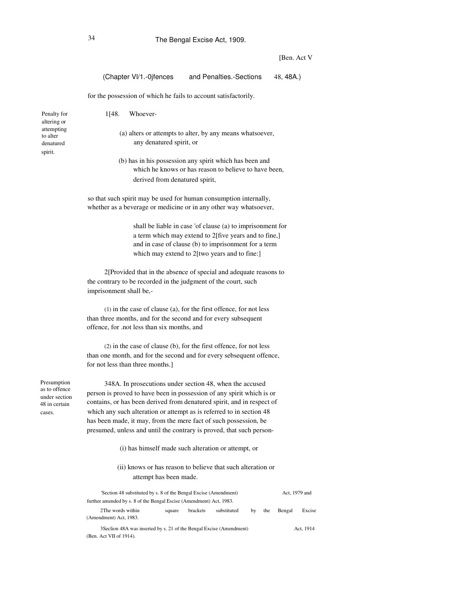# 34 The Bengal Excise Act, 1909.

### [Ben. Act V]

| (Chapter VI/1.-0jfences | and Penalties.-Sections | 48, 48A.) |
|-------------------------|-------------------------|-----------|
|-------------------------|-------------------------|-----------|

for the possession of which he fails to account satisfactorily.

Penalty for altering or attempting to alter denatured spirit. 1[48. Whoever- (a) alters or attempts to alter, by any means whatsoever, any denatured spirit, or (b) has in his possession any spirit which has been and which he knows or has reason to believe to have been, derived from denatured spirit, so that such spirit may be used for human consumption internally, whether as a beverage or medicine or in any other way whatsoever,

> shall be liable in case 'of clause (a) to imprisonment for a term which may extend to 2[five years and to fine,] and in case of clause (b) to imprisonment for a term which may extend to 2[two years and to fine:]

2[Provided that in the absence of special and adequate reasons to the contrary to be recorded in the judgment of the court, such imprisonment shall be,-

(1) in the case of clause (a), for the first offence, for not less than three months, and for the second and for every subsequent offence, for .not less than six months, and

(2) in the case of clause (b), for the first offence, for not less than one month, and for the second and for every sebsequent offence, for not less than three months.]

Presumption as to offence under section 48 in certain cases.

348A. In prosecutions under section 48, when the accused person is proved to have been in possession of any spirit which is or contains, or has been derived from denatured spirit, and in respect of which any such alteration or attempt as is referred to in section 48 has been made, it may, from the mere fact of such possession, be presumed, unless and until the contrary is proved, that such person-

- (i) has himself made such alteration or attempt, or
- (ii) knows or has reason to believe that such alteration or attempt has been made.

| Section 48 substituted by s. 8 of the Bengal Excise (Amendment)                                 |        |          |             |    | Act. 1979 and |        |           |
|-------------------------------------------------------------------------------------------------|--------|----------|-------------|----|---------------|--------|-----------|
| further amended by s. 8 of the Bengal Escise (Amendment) Act, 1983.                             |        |          |             |    |               |        |           |
| 2The words within<br>(Amendment) Act, 1983.                                                     | square | brackets | substituted | by | the           | Bengal | Excise    |
| 3 Section 48A was inserted by s. 21 of the Bengal Excise (Amendment)<br>(Ben. Act VII of 1914). |        |          |             |    |               |        | Act. 1914 |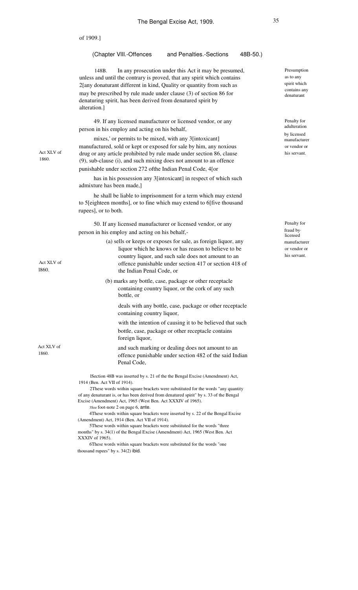|                     | of 1909.]                                                                                                                                                                                                                                                                                                                                                              |                                                                        |
|---------------------|------------------------------------------------------------------------------------------------------------------------------------------------------------------------------------------------------------------------------------------------------------------------------------------------------------------------------------------------------------------------|------------------------------------------------------------------------|
|                     | and Penalties.-Sections<br>(Chapter VIII.-Offences<br>48B-50.)                                                                                                                                                                                                                                                                                                         |                                                                        |
|                     | In any prosecution under this Act it may be presumed,<br>148B.<br>unless and until the contrary is proved, that any spirit which contains<br>2[any donaturant different in kind, Quality or quantity from such as<br>may be prescribed by rule made under clause (3) of section 86 for<br>denaturing spirit, has been derived from denatured spirit by<br>alteration.] | Presumption<br>as to any<br>spirit which<br>contains any<br>denaturant |
|                     | 49. If any licensed manufacturer or licensed vendor, or any<br>person in his employ and acting on his behalf,                                                                                                                                                                                                                                                          | Penalty for<br>adulteration                                            |
| Act XLV of<br>1860. | mixes,' or permits to be mixed, with any 3[intoxicant]<br>manufactured, sold or kept or exposed for sale by him, any noxious<br>drug or any article prohibited by rule made under section 86, clause<br>(9), sub-clause (i), and such mixing does not amount to an offence                                                                                             | by licensed<br>manufacturer<br>or vendor or<br>his servant.            |
|                     | punishable under section 272 of the Indian Penal Code, 4[or                                                                                                                                                                                                                                                                                                            |                                                                        |
|                     | has in his possession any 3[intoxicant] in respect of which such<br>admixture has been made,]                                                                                                                                                                                                                                                                          |                                                                        |
|                     | he shall be liable to imprisonment for a term which may extend<br>to 5[eighteen months], or to fine which may extend to 6[five thousand<br>rupees], or to both.                                                                                                                                                                                                        |                                                                        |
|                     | 50. If any licensed manufacturer or licensed vendor, or any<br>person in his employ and acting on his behalf,-                                                                                                                                                                                                                                                         | Penalty for<br>fraud by.<br>licensed                                   |
| Act XLV of<br>1860. | (a) sells or keeps or exposes for sale, as foreign liquor, any<br>liquor which he knows or has reason to believe to be<br>country liquor, and such sale does not amount to an<br>offence punishable under section 417 or section 418 of<br>the Indian Penal Code, or                                                                                                   | manufacturer<br>or vendor or<br>his servant.                           |
|                     | (b) marks any bottle, case, package or other receptacle<br>containing country liquor, or the cork of any such<br>bottle, or                                                                                                                                                                                                                                            |                                                                        |
|                     | deals with any bottle, case, package or other receptacle<br>containing country liquor,                                                                                                                                                                                                                                                                                 |                                                                        |
|                     | with the intention of causing it to be believed that such<br>bottle, case, package or other receptacle contains<br>foreign liquor,                                                                                                                                                                                                                                     |                                                                        |
| Act XLV of<br>1860. | and such marking or dealing does not amount to an<br>offence punishable under section 482 of the said Indian<br>Penal Code,                                                                                                                                                                                                                                            |                                                                        |
|                     | lSection 48B was inserted by s. 21 of the the Bengal Excise (Amendment) Act,<br>1914 (Ben. Act VII of 1914).                                                                                                                                                                                                                                                           |                                                                        |
|                     | 2These words within square brackets were substituted for the words "any quantity"<br>of any denaturant is, or has been derived from denatured spirit" by s. 33 of the Bengal<br>Excise (Amendment) Act, 1965 (West Ben. Act XXXIV of 1965).<br>3See foot-note 2 on page 6, ante.                                                                                       |                                                                        |
|                     | 4These words within square brackets were inserted by s. 22 of the Bengal Excise<br>(Amendment) Act, 1914 (Ben. Act VII of 1914).<br>5These words within square brackets were substituted for the words "three<br>months" by s. 34(1) of the Bengal Excise (Amendment) Act, 1965 (West Ben. Act<br>XXXIV of 1965).                                                      |                                                                        |
|                     | 6These words within square brackets were substituted for the words "one<br>thousand rupees" by s. 34(2) ibid.                                                                                                                                                                                                                                                          |                                                                        |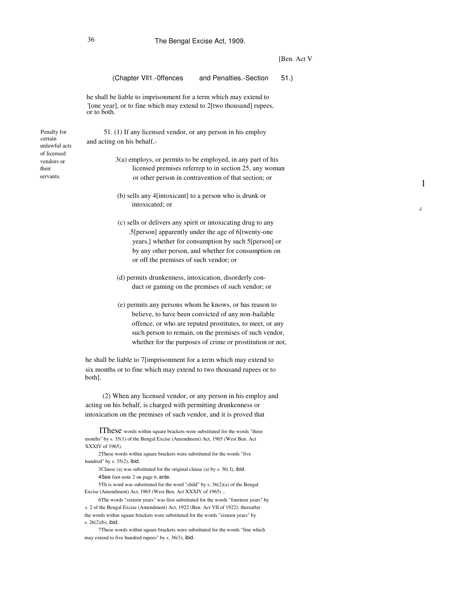# 36 The Bengal Excise Act, 1909.

### [Ben. Act V

1

J

| (Chapter VII1.-Offences and Penalties.-Section<br>51.)                                                                                                                                                                                                                                            |
|---------------------------------------------------------------------------------------------------------------------------------------------------------------------------------------------------------------------------------------------------------------------------------------------------|
| he shall be liable to imprisonment for a term which may extend to<br>'[one year], or to fine which may extend to 2[two thousand] rupees,<br>or to both.                                                                                                                                           |
| 51. (1) If any licensed vendor, or any person in his employ<br>and acting on his behalf,-                                                                                                                                                                                                         |
| $3(a)$ employs, or permits to be employed, in any part of his<br>licensed premises referrep to in section 25, any woman<br>or other person in contravention of that section; or                                                                                                                   |
| (b) sells any 4 [intoxicant] to a person who is drunk or<br>intoxicated; or                                                                                                                                                                                                                       |
| (c) sells or delivers any spirit or intoxicating drug to any<br>.5[person] apparently under the age of 6[twenty-one<br>years,] whether for consumption by such 5[person] or<br>by any other person, and whether for consumption on<br>or off the premises of such vendor; or                      |
| (d) permits drunkenness, intoxication, disorderly con-<br>duct or gaming on the premises of such vendor; or                                                                                                                                                                                       |
| (e) permits any persons whom he knows, or has reason to<br>believe, to have been convicted of any non-bailable<br>offence, or who are reputed prostitutes, to meet, or any<br>such person to remain, on the premises of such vendor,<br>whether for the purposes of crime or prostitution or not, |
| he shall be liable to 7[imprisonment for a term which may extend to<br>six months or to fine which may extend to two thousand rupees or to<br>both].                                                                                                                                              |
| (2) When any licensed vendor, or any person in his employ and<br>acting on his behalf, is charged with permitting drunkenness or<br>intoxication on the premises of such vendor, and it is proved that                                                                                            |
| IThese words within square brackets were substituted for the words "three<br>months" by s. 35(1) of the Bengal Excise (Amendment) Act, 1965 (West Ben. Act<br>XXXIV of 1965).<br>2These words within square brackets were substituted for the words "five<br>hundred" by $s. 35(2)$ , ibid.       |

3Clause (a) was substituted for the original clause (a) by s. 36( I), ibid. 4See foot-note 2 on page 6, ante.

5Th is word was substituted for the word "child" by s. 36(2)(a) of the Bengal Excise (Amendment) Act, 1965 (West Ben. Act XXXIV of 1965) ..

6The words "sixteen years" was first substituted for the words "fourteen years" by s. 2 of the Bengal Excise (Amendment) Act, 1922 (Ben. Act VII of 1922); thereafter the words within square brackets were substituted for the words "sixteen years" by s. 26(2)(b), ibid.

7These words within square brackets were substituted for the words "fine which may extend to five hundred rupees" by s. 36(3), ibid.

Penalty for certain unlawful acts of licensed vendors or their servants.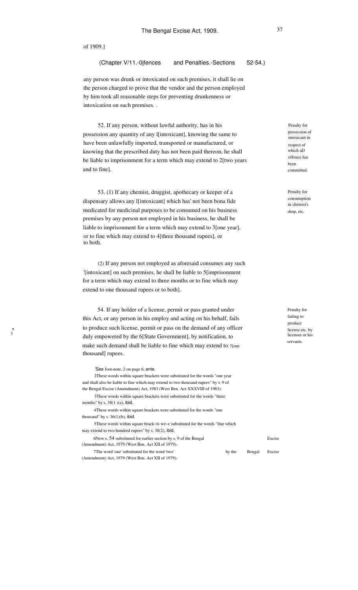, 1

# (Chapter V/11.-0jfences and Penalties.-Sections 52-54.)

any person was drunk or intoxicated on such premises, it shall lie on the person charged to prove that the vendor and the person employed by him took all reasonable steps for preventing drunkenness or intoxication on such premises. .

52. If any person, without lawful authority, has in his possession any quantity of any l[intoxicant], knowing the same to have been unlawfully imported, transported or manufactured, or knowing that the prescribed duty has not been paid thereon, he shall be liable to imprisonment for a term which may extend to 2[two years and to fine].

53. (1) If any chemist, druggist, apothecary or keeper of a dispensary allows any l[intoxicant] which has' not been bona fide medicated for medicinal purposes to be consumed on his business premises by any person not employed in his business, he shall be liable to imprisonment for a term which may extend to 3[one year], or to fine which may extend to 4[three thousand rupees], or to both.

(2) If any person not employed as aforesaid consumes any such '[intoxicant] on such premises, he shall be liable to 5[imprisonment for a term which may extend to three months or to fine which may extend to one thousand rupees or to both].

54. If any holder of a license, permit or pass granted under this Act, or any person in his employ and acting on his behalf, fails to produce such license, permit or pass on the demand of any officer duly empowered by the 6[State Government], by notification, to make such demand shall be liable to fine which may extend to 7[one thousand] rupees.

'See foot-note, 2 on page 6, ante. 2These words within square brackets were substituted for the words "one year and shall also be liable to fine which may extend to two thousand rupees" by s. 9 of the Bengal Excise (Amendment) Act, 1983 (West Ben. Act XXXVIII of 1983). 3These words within square brackets were substituted for the words "three months" by s. 38(1 )(a), ibid. 4These words within square brackets were substituted for the words "one thousand" by s.  $36(1)(b)$ , ibid. 5These words within square brack~ts we~e substituted for the words "fine which may extend to two hundred rupees" by s. 38(2), ibid. 6New s. 54 substituted for earlier section by s. 9 of the Bengal (Amendment) Act, 1979 (West Ben. Act XII of 1979). 7The word 'one' substituted for the word 'two' (Amendment) Act, 1979 (West Ben. Act XII of 1979). by the Bengal Penalty for possession of intoxicant in respect of which aD offence has been committed.

Penalty for consumption in chemist's shop, etc.

Penalty for failing to produce license etc. by licensee or his servants.

Excise

Excise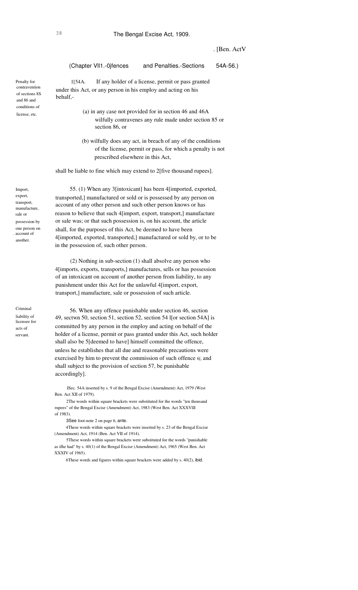# . [Ben. ActV

| (Chapter VII1.-0jfences                                                                                                                                                                                        | and Penalties.-Sections                                                                                                     | $54A-56.$ |
|----------------------------------------------------------------------------------------------------------------------------------------------------------------------------------------------------------------|-----------------------------------------------------------------------------------------------------------------------------|-----------|
| 1[54A.<br>under this Act, or any person in his employ and acting on his<br>behalf,-                                                                                                                            | If any holder of a license, permit or pass granted                                                                          |           |
| section 86, or                                                                                                                                                                                                 | (a) in any case not provided for in section 46 and 46A<br>wilfully contravenes any rule made under section 85 or            |           |
| prescribed elsewhere in this Act,                                                                                                                                                                              | (b) wilfully does any act, in breach of any of the conditions<br>of the license, permit or pass, for which a penalty is not |           |
| shall be liable to fine which may extend to 2[five thousand rupees].                                                                                                                                           |                                                                                                                             |           |
| transported,] manufactured or sold or is possessed by any person on<br>account of any other person and such other person knows or has<br>reason to believe that such 4[import, export, transport,] manufacture | 55. (1) When any 3 [intoxicant] has been 4 [imported, exported,                                                             |           |
| or sale was; or that such possession is, on his account, the article<br>shall, for the purposes of this Act, be deemed to have been                                                                            |                                                                                                                             |           |
| 4[imported, exported, transported,] manufactured or sold by, or to be                                                                                                                                          |                                                                                                                             |           |

in the possession of, such other person. (2) Nothing in sub-section (1) shall absolve any person who 4[imports, exports, transports,] manufactures, sells or has possession of an intoxicant on account of another person from liability, to any

punishment under this Act for the unlawful 4[import, export, transport,] manufacture, sale or possession of such article.

Criminal liability of licensee for acts of servant.

56. When any offence punishable under section 46, section 49, sectwn 50, section 51, section 52, section 54 l[or section 54A] is committed by any person in the employ and acting on behalf of the holder of a license, permit or pass granted under this Act, such holder shall also be 5[deemed to have] himself committed the offence, unless he establishes that all due and reasonable precautions were exercised by him to prevent the commission of such offence 6[, and shall subject to the provision of section 57, be punishable accordingly].

ISec. 54A inserted by s. 9 of the Bengal Excise (Amendment) Act, 1979 (West Ben. Act XII of 1979).

2The words within square brackets were substituted for the words "ten thousand rupees" of the Bengal Excise (Amendment) Act, 1983 (West Ben. Act XXXVllI of 1983).

3See foot-note 2 on page 6, ante.

4These words within square brackets were inserted by s. 23 of the Bengal Excise (Amendment) Act, 1914 (Ben. Act VII of 1914).

5These words within square brackets were substituted for the words "punishable as ifhe had" by s. 40(1) of the Bengal Excise (Amendment) Act, 1965 (West Ben. Act XXXIV of 1965).

6These words and figures within square brackets were added by s. 40(2), ibid.

Penalty for contravention of sections 8S and 86 and conditions of license, etc.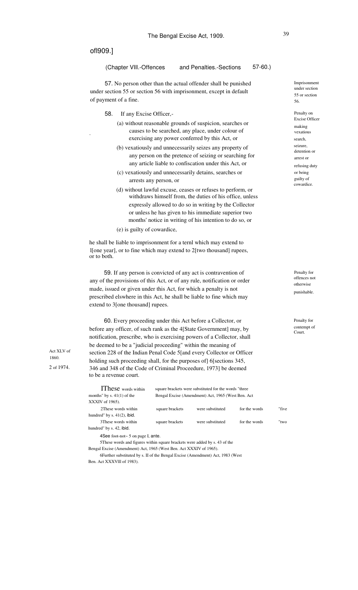ofl909.]

"

# (Chapter VIll.-Offences and Penalties.-Sections 57-60.)

57. No person other than the actual offender shall be punished under section 55 or section 56 with imprisonment, except in default of payment of a fine.

- 58. If any Excise Officer,-
	- (a) without reasonable grounds of suspicion, searches or causes to be searched, any place, under colour of exercising any power conferred by this Act, or
	- (b) vexatiously and unnecessarily seizes any property of any person on the pretence of seizing or searching for any article liable to confiscation under this Act, or
	- (c) vexatiously and unnecessarily detains, searches or arrests any person, or
	- (d) without lawful excuse, ceases or refuses to perform, or withdraws himself from, the duties of his office, unless expressly allowed to do so in writing by the Collector or unless he has given to his immediate superior two months' notice in writing of his intention to do so, or
	- (e) is guilty of cowardice,

he shall be liable to imprisonment for a ternl which may extend to l[one year], or to fine which may extend to 2[two thousand] rupees, or to both.

59. If any person is convicted of any act is contravention of any of the provisions of this Act, or of any rule, notification or order made, issued or given under this Act, for which a penalty is not prescribed elswhere in this Act, he shall be liable to fine which may extend to 3[one thousand] rupees.

60. Every proceeding under this Act before a Collector, or before any officer, of such rank as the 4[State Government] may, by notification, prescribe, who is exercising powers of a Collector, shall be deemed to be a "judicial proceeding" within the meaning of section 228 of the Indian Penal Code 5[and every Collector or Officer holding such proceeding shall, for the purposes of] 6[sections 345, 346 and 348 of the Code of Criminal Proceedure, 1973] be deemed to be a revenue court.

IThese words within months" by s. 41(1) of the XXXIV of 1965). 2These words within hundred" by s. 41(2), ibid. 3These words within hundred" by s. 42, ibid. square brackets were substituted for the words "three Bengal Excise (Amendment) Act, 1965 (West Ben. Act square brackets square brackets were substituted were substituted for the words for the words "five "two 4See foot-not~ 5 on page I, ante. 5These words and figures within square brackets were added by s. 43 of the Bengal Excise (Amendment) Act, 1965 (West Ben. Act XXXIV of 1965). 6Further substituted by s. II of the Bengal Excise (Amendment) Act, 1983 (West

Ben. Act XXXVlll of 1983).

Act XLV of 1860. 2 of 1974.

Penalty on Excise Officer making vexatious search, seizure, detention or arrest or refusing duty or being guilty of cowardice.

Penalty for offences not otherwise punishable.

Penalty for contempt of Court.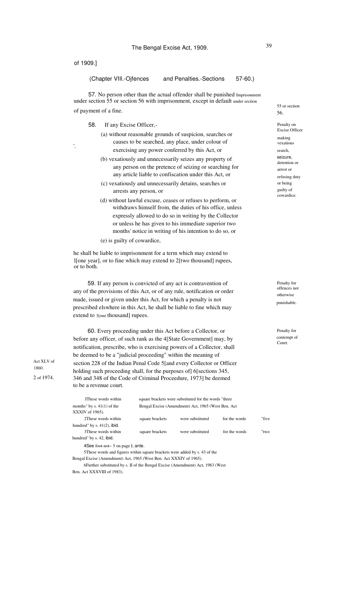'.

### (Chapter VIIl.-Ojfences and Penalties.-Sections 57-60.)

57. No person other than the actual offender shall be punished Imprisonment under section 55 or section 56 with imprisonment, except in default under section of payment of a fine. 56.

58. If any Excise Officer,-

- (a) without reasonable grounds of suspicion, searches or causes to be searched, any place, under colour of exercising any power conferred by this Act, or
- (b) vexatiously and unnecessarily seizes any property of any person on the pretence of seizing or searching for any article liable to confiscation under this Act, or
- (c) vexatiously and unnecessarily detains, searches or arrests any person, or
- (d) without lawful excuse, ceases or refuses to perform, or withdraws himself from, the duties of his office, unless expressly allowed to do so in writing by the Collector or unless he has given to his immediate superior two months' notice in writing of his intention to do so, or (e) is guilty of cowardice,

he shall be liable to imprisonment for a term which may extend to l[one year], or to fine which may extend to 2[two thousand] rupees, or to both.

59. If any person is convicted of any act is contravention of any of the provisions of this Act, or of any rule, notification or order made, issued or given under this Act, for which a penalty is not prescribed elswhere in this Act, he shall be liable to fine which may extend to 3[one thousand] rupees.

60. Every proceeding under this Act before a Collector, or before any officer, of such rank as the 4[State Government] may, by notification, prescribe, who is exercising powers of a Collector, shall be deemed to be a "judicial proceeding" within the meaning of section 228 of the Indian Penal Code 5[and every Collector or Officer holding such proceeding shall, for the purposes of] 6[sections 345, 346 and 348 of the Code of Criminal Proceedure, 1973] be deemed to be a revenue court.

| IThese words within                                                         |                 | square brackets were substituted for the words "three |               |       |
|-----------------------------------------------------------------------------|-----------------|-------------------------------------------------------|---------------|-------|
| months" by s. $41(1)$ of the<br>XXXIV of 1965).                             |                 | Bengal Excise (Amendment) Act, 1965 (West Ben. Act)   |               |       |
| 2 These words within                                                        | square brackets | were substituted                                      | for the words | "five |
| hundred" by s. $41(2)$ , ibid.                                              |                 |                                                       |               |       |
| 3 These words within<br>hundred" by s. 42, ibid.                            | square brackets | were substituted                                      | for the words | "two  |
| 4See foot-not~ 5 on page I, ante.                                           |                 |                                                       |               |       |
| 5 These words and figures within square brackets were added by s. 43 of the |                 |                                                       |               |       |
| Bengal Excise (Amendment) Act, 1965 (West Ben. Act XXXIV of 1965).          |                 |                                                       |               |       |

6Further substituted by s. II of the Bengal Excise (Amendment) Act, 1983 (West Ben. Act XXXVIII of 1983).

55 or section

Penalty on Excise Officer making vexatious search, seizure, detention or arrest or refusing duty or being guilty of cowardice.

Penalty for offences not otherwise punishable.

Penalty for contempt of Court.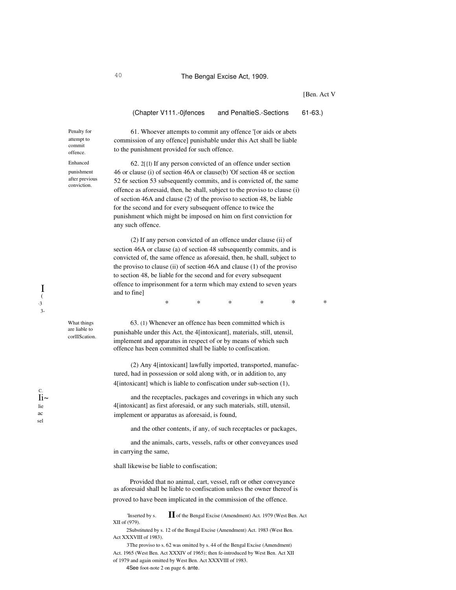# 40 The Bengal Excise Act, 1909.

[Ben. Act V

(Chapter V111.-0jfences and PenaltieS.-Sections 61-63.)

Penalty for attempt to commit offence.

Enhanced punishment after previous conviction.

What things are liable to corlllScation.

 $Ii$ ~ lie C. ac sel

to the punishment provided for such offence. 62. 2[{l) If any person convicted of an offence under section

61. Whoever attempts to commit any offence '[or aids or abets commission of any offence] punishable under this Act shall be liable

46 or clause (i) of section 46A or clause(b) 'Of section 48 or section 52 6r section 53 subsequently commits, and is convicted of, the same offence as aforesaid, then, he shall, subject to the proviso to clause (i) of section 46A and clause (2) of the proviso to section 48, be liable for the second and for every subsequent offence to twice the punishment which might be imposed on him on first conviction for any such offence.

(2) If any person convicted of an offence under clause (ii) of section 46A or clause (a) of section 48 subsequently commits, and is convicted of, the same offence as aforesaid, then, he shall, subject to the proviso to clause (ii) of section 46A and clause (1) of the proviso to section 48, be liable for the second and for every subsequent offence to imprisonment for a term which may extend to seven years and to fine]

63. (1) Whenever an offence has been committed which is punishable under this Act, the 4[intoxicant], materials, still, utensil, implement and apparatus in respect of or by means of which such offence has been committed shall be liable to confiscation.

\* \* \* \* \* \*

(2) Any 4[intoxicant] lawfully imported, transported, manufactured, had in possession or sold along with, or in addition to, any 4[intoxicant] which is liable to confiscation under sub-section (1),

and the receptacles, packages and coverings in which any such 4[intoxicant] as first aforesaid, or any such materials, still, utensil, implement or apparatus as aforesaid, is found,

and the other contents, if any, of such receptacles or packages,

and the animals, carts, vessels, rafts or other conveyances used in carrying the same,

shall likewise be liable to confiscation;

Provided that no animal, cart, vessel, raft or other conveyance as aforesaid shall be liable to confiscation unless the owner thereof is proved to have been implicated in the commission of the offence.

'Inserted by s.  $\prod$  of the Bengal Excise (Amendment) Act. 1979 (West Ben. Act XII of (979).

2Substituted by s. 12 of the Bengal Excise (Amendment) Act. 1983 (West Ben. Act XXXVIII of 1983).

3The proviso to s. 62 was omitted by s. 44 of the Bengal Excise (Amendment) Act. 1965 (West Ben. Act XXXIV of 1965); then fe-introduced by West Ben. Act XII of 1979 and again omitted by West Ben. Act XXXVIII of 1983.

4See foot-note 2 on page 6. ante.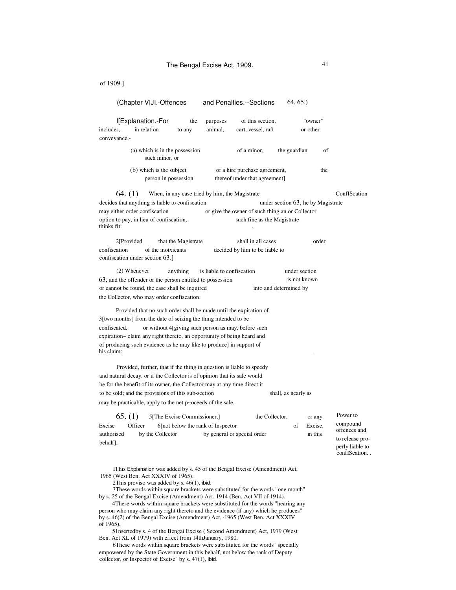#### (Chapter VIJI.-Offences and Penalties.--Sections 64, 65.)

l[Explanation.-For includes, in relation conveyance, the to any purposes animal, "owner" or other of this section, cart, vessel, raft

> of (a) which is in the possession of a minor, such minor, or the guardian

the (b) which is the subject person in possession of a hire purchase agreement, thereof under that agreement]

When, in any case tried by him, the Magistrate ConfIScation decides that anything is liable to confiscation under section 63, he by Magistrate may either order confiscation or give the owner of such thing an or Collector. option to pay, in lieu of confiscation, such fine as the Magistrate thinks fit: 64. (1)

2[Provided that the Magistrate shall in all cases order confiscation of the inotxicants decided by him to be liable to confiscation under section 63.]

(2) Whenever anything is liable to confiscation 63, and the offender or the person entitled to possession or cannot be found, the case shall be inquired the Collector, who may order confiscation: under section is not known into and determined by

Provided that no such order shall be made until the expiration of 3[two months] from the date of seizing the thing intended to be confiscated, or without 4[giving such person as may, before such expiration~ claim any right thereto, an opportunity of being heard and of producing such evidence as he may like to produce] in support of his claim: .

Provided, further, that if the thing in question is liable to speedy and natural decay, or if the Collector is of opinion that its sale would be for the benefit of its owner, the Collector may at any time direct it to be sold; and the provisions of this sub-section shall, as nearly as may be practicable, apply to the net p~oceeds of the sale.

|                         | 65. (1) | 5 The Excise Commissioner, |                                     | the Collector. |    | or any  | Power t                            |
|-------------------------|---------|----------------------------|-------------------------------------|----------------|----|---------|------------------------------------|
| Excise                  | Officer |                            | 6 [not below the rank of Inspector] |                | oť | Excise. | compou                             |
| authorised<br>behalf1.- |         | by the Collector           | by general or special order         |                |    | in this | offence:<br>to releas<br>nerly lis |

IThis Explanation was added by s. 45 of the Bengal Excise (Amendment) Act, 1965 (West Ben. Act XXXIV of 1965).

2This proviso was added by s. 46(1), ibid.

3These words within square brackets were substituted for the words "one month" by s. 25 of the Bengal Excise (Amendment) Act, 1914 (Ben. Act VII of 1914).

4These words within square brackets were substituted for the words "hearing any person who may claim any right thereto and the evidence (if any) which he produces" by s. 46(2) of the Bengal Excise (Amendment) Act, ·1965 (West Ben. Act XXXIV of 1965).

51nsertedby s. 4 of the Bengai Excise ( Second Amendment) Act, 1979 (West Ben. Act XL of 1979) with effect from 14thJanuary, 1980.

6These words within square brackets were substituted for the words "specially empowered by the State Government in this behalf, not below the rank of Deputy collector, or Inspector of Excise" by s. 47(1), ibid.

to  $ind$ s and se proliable to confIScation. .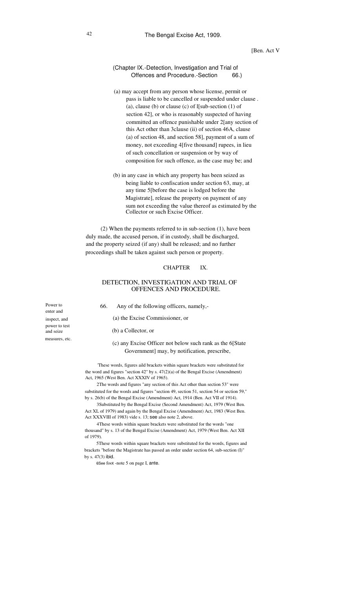(Chapter IX.-Detection, Investigation and Trial of Offences and Procedure.-Section 66.)

- (a) may accept from any person whose license, permit or pass is liable to be cancelled or suspended under clause . (a), clause (b) or clause (c) of  $I[sub-section (1) of$ section 42], or who is reasonably suspected of having committed an offence punishable under 2[any section of this Act other than 3clause (ii) of section 46A, clause (a) of section 48, and section 58], payment of a sum of money, not exceeding 4[five thousand] rupees, in lieu of such concellation or suspension or by way of composition for such offence, as the case may be; and
- (b) in any case in which any property has been seized as being liable to confiscation under section 63, may, at any time 5[before the case is lodged before the Magistrate], release the property on payment of any sum not exceeding the value thereof as estimated by the Collector or such Excise Officer.

(2) When the payments referred to in sub-section (1), have been duly made, the accused person, if in custody, shall be discharged, and the property seized (if any) shall be released; and no further proceedings shall be taken against such person or property.

# CHAPTER IX.

# DETECTION, INVESTIGATION AND TRIAL OF OFFENCES AND PROCEDURE.

Power to enter and inspect, and power to test and seize measures, etc.

66. Any of the following officers, namely,-

(a) the Excise Commissioner, or

(b) a Collector, or

# (c) any Excise Officer not below such rank as the 6[State Government] may, by notification, prescribe,

'These words, figures aild brackets within square brackets were substituted for the word and figures "section 42" by s. 47(2)(a) of the Bengal Excise (Amendment) Act, 1965 (West Ben. Act XXXIV of 1965).

2The words and figures "any section of this Act other than section 53" were substituted for the words and figures "section 49, section 51, section 54 or section 59," by s. 26(b) of the Bengal Excise (Amendment) Act, 1914 (Ben. Act VII of 1914).

3Substituted by the Bengal Excise (Second Amendment) Act, 1979 (West Ben. Act XL of 1979) and again by the Bengal Excise (Amendment) Act, 1983 (West Ben. Act XXXVIII of 1983) vide s. 13; see also note 2, above.

4These words within square brackets were substituted for the words "one thousand" by s. 13 of the Bengal Excise (Amendment) Act, 1979 (West Ben. Act XII of 1979).

5These words within square brackets were substituted for the words, figures and brackets "before the Magistrate has passed an order under section 64, sub-section (I)" by s. 47(3) ibid.

6See foot -note 5 on page I, ante.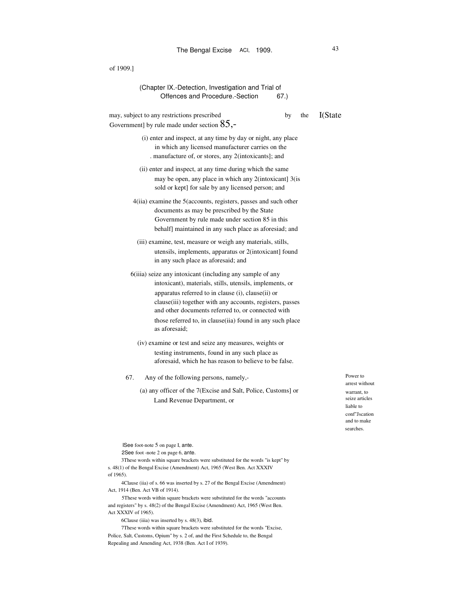| of 1909.]                                                                                                                                                                                                                                                                                                                                                                     |    |     |         |
|-------------------------------------------------------------------------------------------------------------------------------------------------------------------------------------------------------------------------------------------------------------------------------------------------------------------------------------------------------------------------------|----|-----|---------|
| (Chapter IX.-Detection, Investigation and Trial of<br>Offences and Procedure.-Section<br>67.)                                                                                                                                                                                                                                                                                 |    |     |         |
| may, subject to any restrictions prescribed<br>Government] by rule made under section $85$ ,-                                                                                                                                                                                                                                                                                 | by | the | I(State |
| (i) enter and inspect, at any time by day or night, any place<br>in which any licensed manufacturer carries on the<br>manufacture of, or stores, any 2(intoxicants); and                                                                                                                                                                                                      |    |     |         |
| (ii) enter and inspect, at any time during which the same<br>may be open, any place in which any 2(intoxicant) 3(is<br>sold or kept] for sale by any licensed person; and                                                                                                                                                                                                     |    |     |         |
| 4(iia) examine the 5(accounts, registers, passes and such other<br>documents as may be prescribed by the State<br>Government by rule made under section 85 in this<br>behalf maintained in any such place as aforesiad; and                                                                                                                                                   |    |     |         |
| (iii) examine, test, measure or weigh any materials, stills,<br>utensils, implements, apparatus or 2(intoxicant) found<br>in any such place as aforesaid; and                                                                                                                                                                                                                 |    |     |         |
| 6(iiia) seize any intoxicant (including any sample of any<br>intoxicant), materials, stills, utensils, implements, or<br>apparatus referred to in clause (i), clause(ii) or<br>clause (iii) together with any accounts, registers, passes<br>and other documents referred to, or connected with<br>those referred to, in clause(iia) found in any such place<br>as aforesaid; |    |     |         |
| (iv) examine or test and seize any measures, weights or<br>testing instruments, found in any such place as<br>aforesaid, which he has reason to believe to be false.                                                                                                                                                                                                          |    |     |         |
| 67.<br>Any of the following persons, namely,-                                                                                                                                                                                                                                                                                                                                 |    |     |         |
| (a) any officer of the 7(Excise and Salt, Police, Customs] or                                                                                                                                                                                                                                                                                                                 |    |     |         |
| Land Revenue Department, or                                                                                                                                                                                                                                                                                                                                                   |    |     |         |
|                                                                                                                                                                                                                                                                                                                                                                               |    |     |         |
|                                                                                                                                                                                                                                                                                                                                                                               |    |     |         |
|                                                                                                                                                                                                                                                                                                                                                                               |    |     |         |

ISee foot-note 5 on page I, ante.

2See foot -note 2 on page 6, ante.

3These words within square brackets were substituted for the words "is kept" by s. 48(1) of the Bengal Excise (Amendment) Act, 1965 (West Ben. Act XXXIV of 1965).

4Clause (iia) of s. 66 was inserted by s. 27 of the Bengal Excise (Amendment) Act, 1914 (Ben. Act VB of 1914).

5These words within square brackets were substituted for the words "accounts and registers" by s. 48(2) of the Bengal Excise (Amendment) Act, 1965 (West Ben. Act XXXIV of 1965).

6Clause (iiia) was inserted by s. 48(3), ibid.

7These words within square brackets were substituted for the words "Excise, Police, Salt, Customs, Opium" by s. 2 of, and the First Schedule to, the Bengal Repealing and Amending Act, 1938 (Ben. Act I of 1939).

Power to arrest without warrant, to seize articles liable to conf"Jscation and to make searches.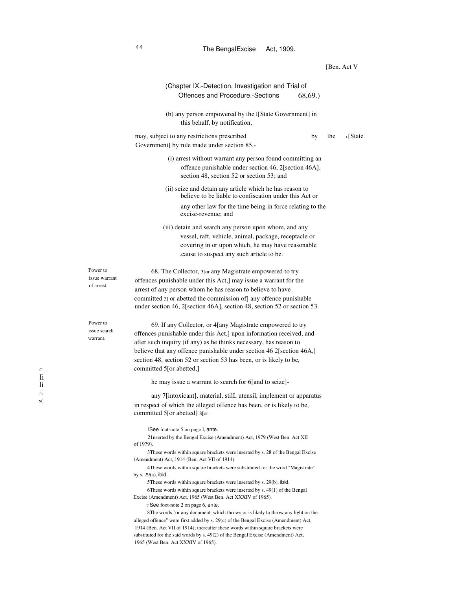|                                         | (Chapter IX.-Detection, Investigation and Trial of<br>68,69.<br>Offences and Procedure.-Sections                                                                                                                                                                                                                                                                                 |                 |
|-----------------------------------------|----------------------------------------------------------------------------------------------------------------------------------------------------------------------------------------------------------------------------------------------------------------------------------------------------------------------------------------------------------------------------------|-----------------|
|                                         | (b) any person empowered by the I[State Government] in<br>this behalf, by notification,                                                                                                                                                                                                                                                                                          |                 |
|                                         | may, subject to any restrictions prescribed<br>by<br>Government] by rule made under section 85,-                                                                                                                                                                                                                                                                                 | 1 [State<br>the |
|                                         | (i) arrest without warrant any person found committing an<br>offence punishable under section 46, 2[section 46A],<br>section 48, section 52 or section 53; and                                                                                                                                                                                                                   |                 |
|                                         | (ii) seize and detain any article which he has reason to<br>believe to be liable to confiscation under this Act or                                                                                                                                                                                                                                                               |                 |
|                                         | any other law for the time being in force relating to the<br>excise-revenue; and                                                                                                                                                                                                                                                                                                 |                 |
|                                         | (iii) detain and search any person upon whom, and any<br>vessel, raft, vehicle, animal, package, receptacle or<br>covering in or upon which, he may have reasonable<br>cause to suspect any such article to be.                                                                                                                                                                  |                 |
| Power to<br>issue warrant<br>of arrest. | 68. The Collector, 3 [or any Magistrate empowered to try<br>offences punishable under this Act,] may issue a warrant for the<br>arrest of any person whom he has reason to believe to have<br>committed 3[ or abetted the commission of] any offence punishable<br>under section 46, 2[section 46A], section 48, section 52 or section 53.                                       |                 |
| Power to<br>issue search<br>warrant.    | 69. If any Collector, or 4[any Magistrate empowered to try<br>offences punishable under this Act,] upon information received, and<br>after such inquiry (if any) as he thinks necessary, has reason to<br>believe that any offence punishable under section 46 2[section 46A,]<br>section 48, section 52 or section 53 has been, or is likely to be,<br>committed 5[or abetted,] |                 |
|                                         | he may issue a warrant to search for 6[and to seize]-                                                                                                                                                                                                                                                                                                                            |                 |
|                                         | any 7[intoxicant], material, still, utensil, implement or apparatus<br>in respect of which the alleged offence has been, or is likely to be,<br>committed 5[or abetted] 8[or                                                                                                                                                                                                     |                 |
|                                         | ISee foot-note 5 on page I, ante.<br>21 nserted by the Bengal Excise (Amendment) Act, 1979 (West Ben. Act XII<br>of 1979).<br>3 These words within square brackets were inserted by s. 28 of the Bengal Excise<br>(Amendment) Act, 1914 (Ben. Act VII of 1914).                                                                                                                  |                 |
|                                         | 4These words within square brackets were substituted for the word "Magistrate"<br>by s. $29(a)$ , ibid.<br>5 These words within square brackets were inserted by s. 29(b), ibid.<br>6These words within square brackets were inserted by s. 49(1) of the Bengal<br>Excise (Amendment) Act, 1965 (West Ben. Act XXXIV of 1965).<br>7 See foot-note 2 on page 6, ante.             |                 |
|                                         | 8The words "or any document, which throws or is likely to throw any light on the<br>alleged offence" were first added by $s$ . 29 $(c)$ of the Bengal Excise (Amendment) Act,<br>1914 (Ben. Act VII of 1914); thereafter these words within square brackets were<br>substituted for the said words by s. 49(2) of the Bengal Excise (Amendment) Act,                             |                 |

1965 (West Ben. Act XXXIV of 1965).

C Ii Ii a, s(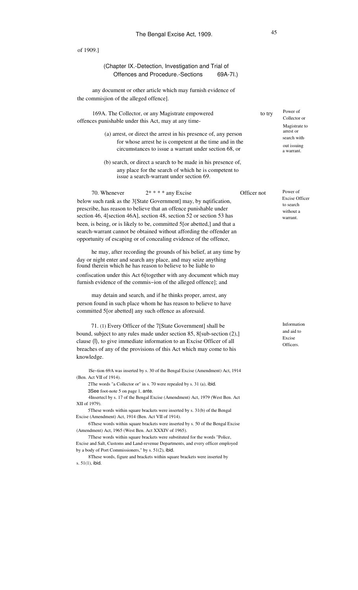|                    | (Chapter IX.-Detection, Investigation and Trial of<br>Offences and Procedure.-Sections<br>69A-7I.)                                                                                                                     |             |                                                             |
|--------------------|------------------------------------------------------------------------------------------------------------------------------------------------------------------------------------------------------------------------|-------------|-------------------------------------------------------------|
|                    | any document or other article which may furnish evidence of<br>the commisjion of the alleged offence].                                                                                                                 |             |                                                             |
|                    | 169A. The Collector, or any Magistrate empowered<br>offences punishable under this Act, may at any time-                                                                                                               | to try      | Power of<br>Collector or<br>Magistrate to                   |
|                    | (a) arrest, or direct the arrest in his presence of, any person<br>for whose arrest he is competent at the time and in the<br>circumstances to issue a warrant under section 68, or                                    |             | arrest or<br>search with.<br>out issuing<br>a warrant.      |
|                    | (b) search, or direct a search to be made in his presence of,<br>any place for the search of which he is competent to<br>issue a search-warrant under section 69.                                                      |             |                                                             |
|                    | $2$ * * * * any Excise<br>70. Whenever                                                                                                                                                                                 | Officer not | Power of                                                    |
|                    | below such rank as the 3[State Government] may, by nqtification,<br>prescribe, has reason to believe that an offence punishable under<br>section 46, 4 [section 46A], section 48, section 52 or section 53 has         |             | <b>Excise Officer</b><br>to search<br>without a<br>warrant. |
|                    | been, is being, or is likely to be, committed 5 [or abetted,] and that a<br>search-warrant cannot be obtained without affording the offender an<br>opportunity of escaping or of concealing evidence of the offence,   |             |                                                             |
|                    | he may, after recording the grounds of his belief, at any time by                                                                                                                                                      |             |                                                             |
|                    | day or night enter and search any place, and may seize anything<br>found therein which he has reason to believe to be liable to                                                                                        |             |                                                             |
|                    | confiscation under this Act 6 [together with any document which may<br>furnish evidence of the commis~ion of the alleged offence]; and                                                                                 |             |                                                             |
|                    | may detain and search, and if he thinks proper, arrest, any                                                                                                                                                            |             |                                                             |
|                    | person found in such place whom he has reason to believe to have                                                                                                                                                       |             |                                                             |
|                    | committed 5 [or abetted] any such offence as aforesaid.                                                                                                                                                                |             |                                                             |
|                    | 71. (1) Every Officer of the 7[State Government] shall be                                                                                                                                                              |             | Information                                                 |
|                    | bound, subject to any rules made under section 85, 8[sub-section (2),]                                                                                                                                                 |             | and aid to<br>Excise                                        |
|                    | clause (l), to give immediate information to an Excise Officer of all                                                                                                                                                  |             | Officers.                                                   |
| knowledge.         | breaches of any of the provisions of this Act which may come to his                                                                                                                                                    |             |                                                             |
|                    | ISe~tion 69A was inserted by s. 30 of the Bengal Excise (Amendment) Act, 1914<br>(Ben. Act VII of 1914).                                                                                                               |             |                                                             |
|                    | 2The words "a Collector or" in s. 70 were repealed by s. 31 (a), ibid.<br>3See foot-note 5 on page 1, ante.                                                                                                            |             |                                                             |
| XII of 1979).      | 4Insertecl by s. 17 of the Bengal Excise (Amendment) Act, 1979 (West Ben. Act                                                                                                                                          |             |                                                             |
|                    | 5These words within square brackets were inserted by s. 31(b) of the Bengal<br>Excise (Amendment) Act, 1914 (Ben. Act VII of 1914).                                                                                    |             |                                                             |
|                    | 6These words within square brackets were inserted by s. 50 of the Bengal Excise<br>(Amendment) Act, 1965 (West Ben. Act XXXIV of 1965).<br>7These words within square brackets were substituted for the words "Police, |             |                                                             |
|                    | Excise and Salt, Customs and Land-revenue Departments, and every officer employed<br>by a body of Port Commissioners," by s. 51(2), ibid.                                                                              |             |                                                             |
| s. $51(1)$ , ibid. | 8These words, figure and brackets within square brackets were inserted by                                                                                                                                              |             |                                                             |
|                    |                                                                                                                                                                                                                        |             |                                                             |
|                    |                                                                                                                                                                                                                        |             |                                                             |
|                    |                                                                                                                                                                                                                        |             |                                                             |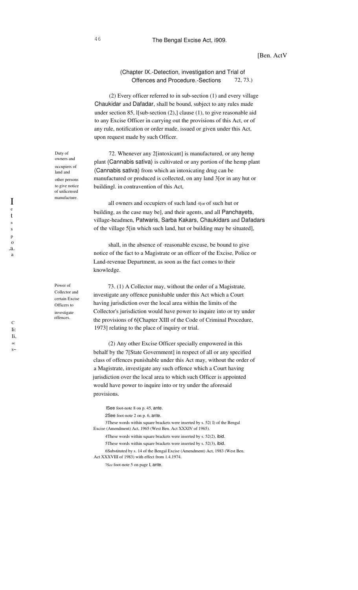# [Ben. ActV

# (Chapter IX.-Detection, investigation and Trial of Offences and Procedure.-Sections 72, 73.)

(2) Every officer referred to in sub-section (1) and every village Chaukidar and Dafadar, shall be bound, subject to any rules made under section 85, l[sub-section (2),] clause (1), to give reasonable aid to any Excise Officer in carrying out the provisions of this Act, or of any rule, notification or order made, issued or given under this Act, upon request made by such Officer.

72. Whenever any 2[intoxicant] is manufactured, or any hemp plant (Cannabis sativa) is cultivated or any portion of the hemp plant (Cannabis sativa) from which an intoxicating drug can be manufactured or produced is collected, on any land 3[or in any hut or buildingl. in contravention of this Act,

all owners and occupiers of such land 4[or of such hut or building, as the case may be], and their agents, and all Panchayets, village-headmen, Patwaris, Sarba Kakars, Chaukidars and Dafadars of the village 5[in which such land, hut or building may be situated],

shall, in the absence of ·reasonable excuse, be bound to give notice of the fact to a Magistrate or an officer of the Excise, Police or Land-revenue Department, as soon as the fact comes to their knowledge.

73. (1) A Collector may, without the order of a Magistrate, investigate any offence punishable under this Act which a Court having jurisdiction over the local area within the limits of the Collector's jurisdiction would have power to inquire into or try under the provisions of 6[Chapter XIII of the Code of Criminal Procedure, 1973] relating to the place of inquiry or trial.

(2) Any other Excise Officer specially empowered in this behalf by the 7[State Government] in respect of all or any specified class of offences punishable under this Act may, without the order of a Magistrate, investigate any such offence which a Court having jurisdiction over the local area to which such Officer is appointed would have power to inquire into or try under the aforesaid provisions.

ISee foot-note 8 on p. 45, ante. 2See foot-note 2 on p. 6, ante.

3These words within square brackets were inserted by s. 52( I) of the Bengal Excise (Amendment) Act, 1965 (West Ben. Act XXXIV of 1965).

4These words within square brackets were inserted by s. 52(2), ibid. 5These words within square brackets were inserted by s. 52(3), ibid. 6Substituted by s. 14 of the Bengal Excise (Amendment) Act, 1983 (West Ben. Act XXXVIII of 1983) with effect from 1.4.1974.

7See foot-note 5 on page I, ante.

Duty of owners and occupiers of land and other persons to give notice of unlicensed manufacture.

Power of Collector and certain Excise Officers to investigate offences.

I e t n s p o .a. a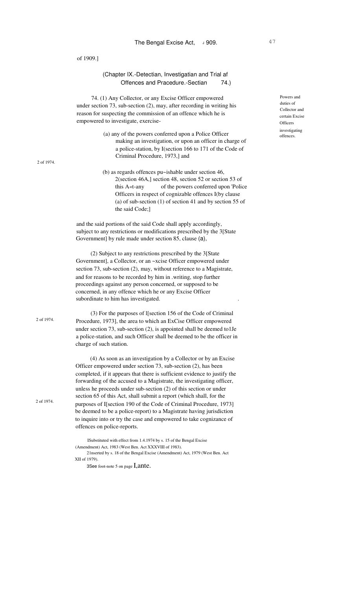2 of 1974.

2 of 1974.

2 of 1974.

(Chapter IX.-Detectian, Investigatian and Trial af Offences and Pracedure.-Sectian 74.)

74. (1) Any Collector, or any Excise Officer empowered under section 73, sub-section (2), may, after recording in writing his reason for suspecting the commission of an offence which he is empowered to investigate, exercise-

- (a) any of the powers conferred upon a Police Officer making an investigation, or upon an officer in charge of a police-station, by I(section 166 to 171 of the Code of Criminal Procedure, 1973,] and
- (b) as regards offences pu~ishable under section 46, 2(section 46A,] section 48, section 52 or section 53 of this A«t-any of the powers conferred upon 'Police Officers in respect of cognizable offences I(by clause (a) of sub-section (1) of section 41 and by section 55 of the said Code;]

and the said portions of the said Code shall apply accordingly, subject to any restrictions or modifications prescribed by the 3[State Government] by rule made under section 85, clause (a),

(2) Subject to any restrictions prescribed by the 3[State Government], a Collector, or an ~xcise Officer empowered under section 73, sub-section (2), may, without reference to a Magistrate, and for reasons to be recorded by him in .writing, stop further proceedings against any person concerned, or supposed to be concerned, in any offence which he or any Excise Officer subordinate to him has investigated. .

(3) For the purposes of l[section 156 of the Code of Criminal Procedure, 1973], the area to which an ExCise Officer empowered under section 73, sub-section (2), is appointed shall be deemed to1Je a police-station, and such Officer shall be deemed to be the officer in charge of such station.

(4) As soon as an investigation by a Collector or by an Excise Officer empowered under section 73, sub-section (2), has been completed, if it appears that there is sufficient evidence to justify the forwarding of the accused to a Magistrate, the investigating officer, unless he proceeds under sub-section (2) of this section or under section 65 of this Act, shall submit a report (which shall, for the purposes of I[section 190 of the Code of Criminal Procedure, 1973] be deemed to be a police-report) to a Magistrate having jurisdiction to inquire into or try the case and empowered to take cognizance of offences on police-reports.

ISubstituted with effect from 1.4.1974 by s. 15 of the Bengal Excise (Amendment) Act, 1983 (West Ben. Act XXXVIII of 1983). 21nserted by s. 18 of the Bengal Excise (Amendment) Act, 1979 (West Ben. Act XII of 1979).

3See foot-note 5 on page I, ante.

Powers and duties of Collector and certain Excise **Officers** investigating offences.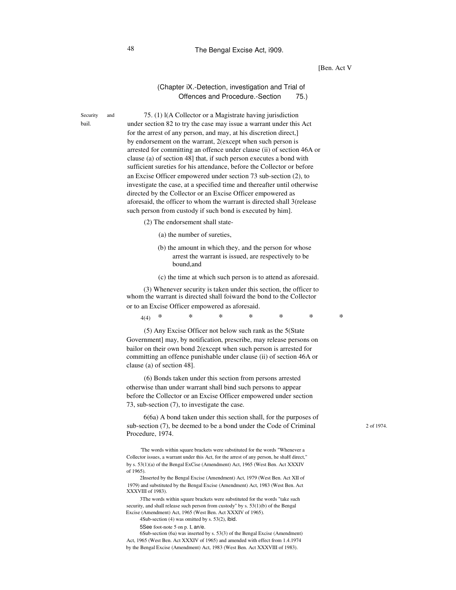# 48 The Bengal Excise Act, i909.

### [Ben. Act V

# (Chapter iX.-Detection, investigation and Trial of Offences and Procedure.-Section 75.)

Security and bail.

75. (1) l(A Collector or a Magistrate having jurisdiction under section 82 to try the case may issue a warrant under this Act for the arrest of any person, and may, at his discretion direct,] by endorsement on the warrant, 2(except when such person is arrested for committing an offence under clause (ii) of section 46A or clause (a) of section 48] that, if such person executes a bond with sufficient sureties for his attendance, before the Collector or before an Excise Officer empowered under section 73 sub-section (2), to investigate the case, at a specified time and thereafter until otherwise directed by the Collector or an Excise Officer empowered as aforesaid, the officer to whom the warrant is directed shall 3(release such person from custody if such bond is executed by him].

(2) The endorsement shall state-

- (a) the number of sureties,
- (b) the amount in which they, and the person for whose arrest the warrant is issued, are respectively to be bound,and
- (c) the time at which such person is to attend as aforesaid.

(3) Whenever security is taken under this section, the officer to whom the warrant is directed shall foiward the bond to the Collector or to an Excise Officer empowered as aforesaid.

4(4) \* \* \* \* \* \* \*

(5) Any Excise Officer not below such rank as the 5(State Government] may, by notification, prescribe, may release persons on bailor on their own bond 2(except when such person is arrested for committing an offence punishable under clause (ii) of section 46A or clause (a) of section 48].

(6) Bonds taken under this section from persons arrested otherwise than under warrant shall bind such persons to appear before the Collector or an Excise Officer empowered under section 73, sub-section (7), to investigate the case.

6(6a) A bond taken under this section shall, for the purposes of sub-section (7), be deemed to be a bond under the Code of Criminal Procedure, 1974.

'The words within square brackets were substituted for the words "Whenever a Collector issues, a warrant under this Act, for the arrest of any person, he shaH direct," by s. 53(1)(a) of the Bengal ExCise (Amendment) Act, 1965 (West Ben. Act XXXIV of 1965).

2Inserted by the Bengal Excise (Amendment) Act, 1979 (West Ben. Act XII of 1979) and substituted by the Bengal Excise (Amendment) Act, 1983 (West Ben. Act XXXVIII of 1983).

3The words within square brackets were substituted for the words "take such security, and shall release such person from custody" by s. 53(1)(b) of the Bengal Excise (Amendment) Act, 1965 (West Ben. Act XXXIV of 1965).

4Sub-section (4) was omitted by s. 53(2), ibid.

5See foot-note 5 on p. I, an/e.

6Sub-section (6a) was inserted by s. 53(3) of the Bengal Excise (Amendment) Act, 1965 (West Ben. Act XXXIV of 1965) and amended with effect from 1.4.1974 by the Bengal Excise (Amendment) Act, 1983 (West Ben. Act XXXVIII of 1983).

2 of 1974.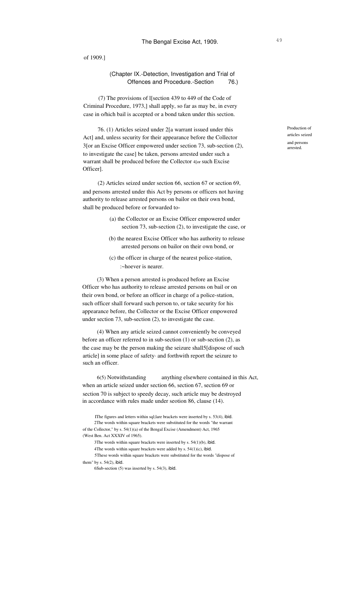(Chapter IX.-Detection, Investigation and Trial of Offences and Procedure.-Section 76.)

(7) The provisions of l[section 439 to 449 of the Code of Criminal Procedure, 1973,] shall apply, so far as may be, in every case in o/hich bail is accepted or a bond taken under this section.

76. (1) Articles seized under 2[a warrant issued under this Act] and, unless security for their appearance before the Collector 3[or an Excise Officer empowered under section 73, sub-section (2), to investigate the case] be taken, persons arrested under such a warrant shall be produced before the Collector 4[or such Excise Officer].

(2) Articles seized under section 66, section 67 or section 69, and persons arrested under this Act by persons or officers not having authority to release arrested persons on bailor on their own bond, shall be produced before or forwarded to-

- (a) the Collector or an Excise Officer empowered under section 73, sub-section (2), to investigate the case, or
- (b) the nearest Excise Officer who has authority to release arrested persons on bailor on their own bond, or
- (c) the officer in charge of the nearest police-station, :~hoever is nearer.

(3) When a person arrested is produced before an Excise Officer who has authority to release arrested persons on bail or on their own bond, or before an officer in charge of a police-station, such officer shall forward such person to, or take security for his appearance before, the Collector or the Excise Officer empowered under section 73, sub-section (2), to investigate the case.

(4) When any article seized cannot conveniently be conveyed before an officer referred to in sub-section (1) or sub-section (2), as the case may be the person making the seizure shall5[dispose of such article] in some place of safety· and forthwith report the seizure to such an officer.

anything elsewhere contained in this Act, when an article seized under section 66, section 67, section 69 or section 70 is subject to speedy decay, such article may be destroyed in accordance with rules made under seotion 86, clause (14). 6(5) Notwithstanding

4The words within square brackets were added by s. 54(1)(c), ibid.

5These words within square brackets were substituted for the words "dispose of them" by  $s. 54(2)$ , ibid.

6Sub-section (5) was inserted by s. 54(3), ibid.

Production of articles seized and persons arrested.

IThe figures and letters within sql;lare brackets were inserted by s. 53(4), ibid. 2The words within square brackets were substituted for the words "the warrant of the Collector," by s. 54(1)(a) of the Bengal Excise (Amendment) Act, 1965 (West Ben. Act XXXIV of 1965).

<sup>3</sup>The words within square brackets were inserted by s. 54(1)(b), ibid.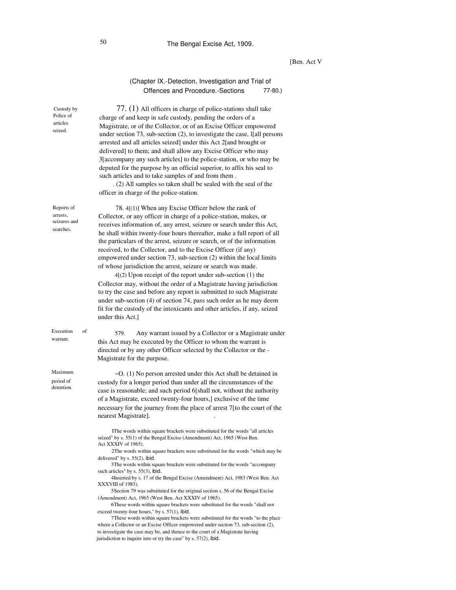# [Ben. Act V

# (Chapter IX.-Detection, Investigation and Trial of Offences and Procedure.-Sections 77-80.)

| Custody by<br>Police of<br>articles<br>seized.      | 77. (1) All officers in charge of police-stations shall take<br>charge of and keep in safe custody, pending the orders of a<br>Magistrate, or of the Collector, or of an Excise Officer empowered<br>under section 73, sub-section (2), to investigate the case, I[all persons<br>arrested and all articles seized] under this Act 2[and brought or<br>delivered] to them; and shall allow any Excise Officer who may<br>3[accompany any such articles] to the police-station, or who may be<br>deputed for the purpose by an official superior, to affix his seal to<br>such articles and to take samples of and from them.<br>. (2) All samples so taken shall be sealed with the seal of the<br>officer in charge of the police-station.                                                                                                                                                                                                                                                                                                                                 |
|-----------------------------------------------------|-----------------------------------------------------------------------------------------------------------------------------------------------------------------------------------------------------------------------------------------------------------------------------------------------------------------------------------------------------------------------------------------------------------------------------------------------------------------------------------------------------------------------------------------------------------------------------------------------------------------------------------------------------------------------------------------------------------------------------------------------------------------------------------------------------------------------------------------------------------------------------------------------------------------------------------------------------------------------------------------------------------------------------------------------------------------------------|
| Reports of<br>arrests,<br>seizures and<br>searches. | 78. 4[(1)] When any Excise Officer below the rank of<br>Collector, or any officer in charge of a police-station, makes, or<br>receives information of, any arrest, seizure or search under this Act,<br>he shall within twenty-four hours thereafter, make a full report of all<br>the particulars of the arrest, seizure or search, or of the information<br>received, to the Collector, and to the Excise Officer (if any)<br>empowered under section 73, sub-section (2) within the local limits<br>of whose jurisdiction the arrest, seizure or search was made.<br>$4(2)$ Upon receipt of the report under sub-section $(1)$ the<br>Collector may, without the order of a Magistrate having jurisdiction<br>to try the case and before any report is submitted to such Magistrate<br>under sub-section (4) of section 74, pass such order as he may deem<br>fit for the custody of the intoxicants and other articles, if any, seized<br>under this Act.]                                                                                                              |
| Execution<br>of<br>warrant.                         | 579.<br>Any warrant issued by a Collector or a Magistrate under<br>this Act may be executed by the Officer to whom the warrant is<br>directed or by any other Officer selected by the Collector or the -<br>Magistrate for the purpose.                                                                                                                                                                                                                                                                                                                                                                                                                                                                                                                                                                                                                                                                                                                                                                                                                                     |
| Maximum<br>period of<br>detention.                  | ~O. (1) No person arrested under this Act shall be detained in<br>custody for a longer period than under all the circumstances of the<br>case is reasonable; and such period 6[shall not, without the authority<br>of a Magistrate, exceed twenty-four hours,] exclusive of the time<br>necessary for the journey from the place of arrest 7 [to the court of the<br>nearest Magistrate].                                                                                                                                                                                                                                                                                                                                                                                                                                                                                                                                                                                                                                                                                   |
|                                                     | IThe words within square brackets were substituted for the words "all articles<br>seized" by s. 55(1) of the Bengal Excise (Amendment) Act, 1965 (West Ben.<br>Act XXXIV of 1965).<br>2The words within square brackets were substituted for the words "which may be<br>delivered" by $s. 55(2)$ , ibid.<br>3The words within square brackets were substituted for the words "accompany<br>such articles" by s. 55(3), ibid.<br>4Inserted by s. 17 of the Bengal Excise (Amendment) Act, 1983 (West Ben. Act<br>XXXVIII of 1983).<br>5Section 79 was substituted for the original section s. 56 of the Bengal Excise<br>(Amendment) Act, 1965 (West Ben. Act XXXIV of 1965).<br>6These words within square brackets were substituted for the words "shall not<br>exceed twenty-four hours," by s. 57(1), ibid.<br>7These words within square brackets were substituted for the words "to the place<br>where a Collector or an Excise Officer empowered under section 73, sub-section (2),<br>to investigate the case may be, and thence to the court of a Magistrate having |

jurisdiction to inquire into or try the case" by s. 57(2), ibid.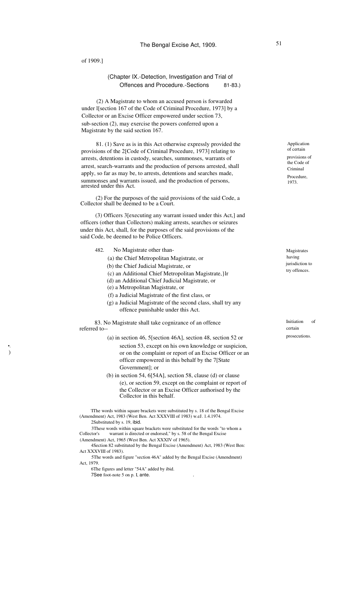•. ) (Chapter IX.-Detection, Investigation and Trial of Offences and Procedure.-Sections 81-83.)

(2) A Magistrate to whom an accused person is forwarded under l[section 167 of the Code of Criminal Procedure, 1973] by a Collector or an Excise Officer empowered under section 73, sub-section (2), may exercise the powers conferred upon a Magistrate by the said section 167.

81. (1) Save as is in this Act otherwise expressly provided the provisions of the 2[Code of Criminal Procedure, 1973] relating to arrests, detentions in custody, searches, summonses, warrants of arrest, search-warrants and the production of persons arrested, shall apply, so far as may be, to arrests, detentions and searches made, summonses and warrants issued, and the production of persons, arrested under this Act.

(2) For the purposes of the said provisions of the said Code, a Collector shall be deemed to be a Court.

(3) Officers 3[executing any warrant issued under this Act,] and officers (other than Collectors) making arrests, searches or seizures under this Act, shall, for the purposes of the said provisions of the said Code, be deemed to be Police Officers.

- 482. No Magistrate other than-
	- (a) the Chief Metropolitan Magistrate, or
	- (b) the Chief Judicial Magistrate, or
		- (c) an Additional Chief Metropolitan Magistrate,}lr
		- (d) an Additional Chief Judicial Magistrate, or
		- (e) a Metropolitan Magistrate, or
		- (f) a Judicial Magistrate of the first class, or
		- (g) a Judicial Magistrate of the second class, shall try any offence punishable under this Act.

83. No Magistrate shall take cognizance of an offence referred to--

- (a) in section 46, 5[section 46A], section 48, section 52 or section 53, except on his own knowledge or suspicion, or on the complaint or report of an Excise Officer or an officer empowered in this behalf by the 7[State Government]; or
- (b) in section 54, 6[54A], section 58, clause (d) or clause (e), or section 59, except on the complaint or report of the Collector or an Excise Officer authorised by the Collector in this behalf.

'IThe words within square brackets were substituted by s. 18 of the Bengal Excise (Amendment) Act, 1983 (West Ben. Act XXXVIII of 1983) w.eJ. 1.4.1974. 2Substituted by s. 19, ibid.

3These words within square brackets were substituted for the words "to whom a Collector's warrant is directed or endorsed," by s. 58 of the Bengal Excise warrant is directed or endorsed," by s. 58 of the Bengal Excise (Amendment) Act, 1965 (West Ben. Act XXXIV of 1965).

4Section 82 substituted by the Bengal Excise (Amendment) Act, 1983 (West Ben: Act XXXVIII of 1983).

5The words and figure "section 46A" added by the Bengal Excise (Amendment) Act, 1979.

6The figures and letter "54A" added by ibid. 7See foot-note 5 on p. I, ante.

Application of certain provisions of the Code of Criminal Procedure, 1973.

Magistrates having jurisdiction to try offences.

**Initiation** certain of prosecutions.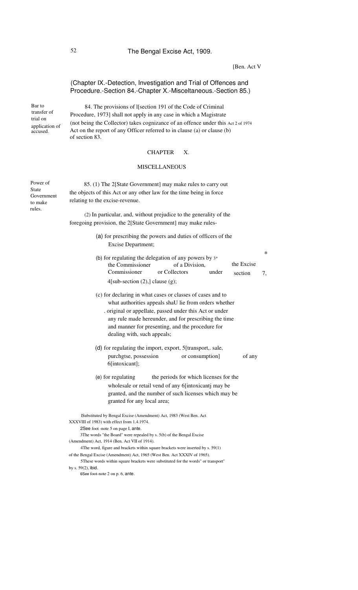# 52 The Bengal Excise Act, 1909.

[Ben. Act V]

\*

# (Chapter IX.-Detection, Investigation and Trial of Offences and Procedure.-Section 84.-Chapter X.-Misceltaneous.-Section 85.)

trial on

Bar to 84. The provisions of I[section 191 of the Code of Criminal transfer of Procedure 1973] shall not apply in any case in which a Magistrate Procedure, 1973] shall not apply in any case in which a Magistrate (not being the Collector) takes cognizance of an offence under this Act 2 of 1974 application of Act on the report of any Officer referred to in clause (a) or clause (b) Act on the report of any Officer referred to in clause (a) or clause  $(b)$ of section 83.

### CHAPTER X.

### MISCELLANEOUS

Power of State Government to make rules.

85. (1) The 2[State Government] may make rules to carry out the objects of this Act or any other law for the time being in force relating to the excise-revenue.

(2) In particular, and, without prejudice to the generality of the foregoing provision, the 2[State Government] may make rules-

- (a) for prescribing the powers and duties of officers of the Excise Department;
- (b) for regulating the delegation of any powers by 3\* the Commissioner of a Division, Commissioner or Collectors under  $4$ [sub-section  $(2)$ ,] clause  $(g)$ ; the Excise section 7,
- (c) for declaring in what cases or classes of cases and to what authorities appeals shaU lie from orders whether . original or appellate, passed under this Act or under any rule made hereunder, and for prescribing the time
	- and manner for presenting, and the procedure for dealing with, such appeals;
- (d) for regulating the import, export, 5[transport,. sale, purchgtse, possession or consumption] of any 6[intoxicant];
- (e) for regulating the periods for which licenses for the wholesale or retail vend of any 6[intoxicantj may be granted, and the number of such licenses which may be granted for any local area;

lSubstituted by Bengal Excise (Amendment) Act, 1983 (West Ben. Act XXXVIII of 1983) with effect from 1.4.1974. 2See foot -note 5 on page I, ante. 3The words "the Board" were repealed by s. 5(b) of the Bengal Excise (Amendment) Act, 1914 (Ben. Act VII of 1914). 4The word, figure and brackets within square brackets were inserted by s. 59(1) of the Bengal Excise (Amendment) Act, 1965 (West Ben. Act XXXIV of 1965). 5These words within square brackets were substituted for the words" or transport" by s. 59(2), ibid.

6See foot-note 2 on p. 6, ante.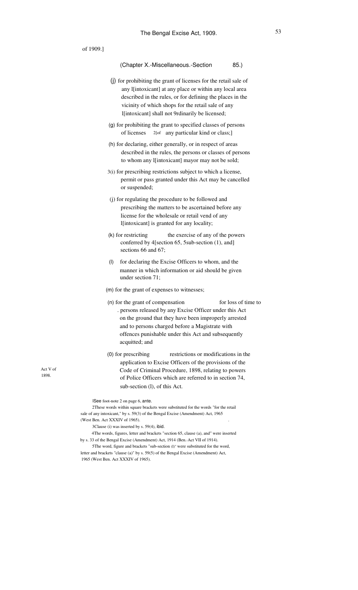| of 1909.] |                                                                                                                                                                                                                                                                                                                                                                                                                                                                                                                                                                                                                                             |
|-----------|---------------------------------------------------------------------------------------------------------------------------------------------------------------------------------------------------------------------------------------------------------------------------------------------------------------------------------------------------------------------------------------------------------------------------------------------------------------------------------------------------------------------------------------------------------------------------------------------------------------------------------------------|
|           | (Chapter X.-Miscellaneous.-Section<br>85.)                                                                                                                                                                                                                                                                                                                                                                                                                                                                                                                                                                                                  |
|           | (j) for prohibiting the grant of licenses for the retail sale of<br>any l[intoxicant] at any place or within any local area<br>described in the rules, or for defining the places in the<br>vicinity of which shops for the retail sale of any<br>l[intoxicant] shall not 9rdinarily be licensed;                                                                                                                                                                                                                                                                                                                                           |
|           | (g) for prohibiting the grant to specified classes of persons<br>of licenses<br>2[of any particular kind or class;]                                                                                                                                                                                                                                                                                                                                                                                                                                                                                                                         |
|           | (h) for declaring, either generally, or in respect of areas<br>described in the rules, the persons or classes of persons<br>to whom any l[intoxicant] mayor may not be sold;                                                                                                                                                                                                                                                                                                                                                                                                                                                                |
|           | 3(i) for prescribing restrictions subject to which a license,<br>permit or pass granted under this Act may be cancelled<br>or suspended;                                                                                                                                                                                                                                                                                                                                                                                                                                                                                                    |
|           | (j) for regulating the procedure to be followed and<br>prescribing the matters to be ascertained before any<br>license for the wholesale or retail vend of any<br>l[intoxicant] is granted for any locality;                                                                                                                                                                                                                                                                                                                                                                                                                                |
|           | (k) for restricting<br>the exercise of any of the powers<br>conferred by 4[section 65, 5sub-section (1), and]<br>sections 66 and 67;                                                                                                                                                                                                                                                                                                                                                                                                                                                                                                        |
|           | (1)<br>for declaring the Excise Officers to whom, and the<br>manner in which information or aid should be given<br>under section 71;                                                                                                                                                                                                                                                                                                                                                                                                                                                                                                        |
|           | (m) for the grant of expenses to witnesses;                                                                                                                                                                                                                                                                                                                                                                                                                                                                                                                                                                                                 |
|           | (n) for the grant of compensation<br>for loss of time to<br>. persons released by any Excise Officer under this Act<br>on the ground that they have been improperly arrested<br>and to persons charged before a Magistrate with<br>offences punishable under this Act and subsequently<br>acquitted; and                                                                                                                                                                                                                                                                                                                                    |
|           | restrictions or modifications in the<br>$(0)$ for prescribing<br>application to Excise Officers of the provisions of the<br>Code of Criminal Procedure, 1898, relating to powers<br>of Police Officers which are referred to in section 74,<br>sub-section (l), of this Act.                                                                                                                                                                                                                                                                                                                                                                |
|           | ISee foot-note 2 on page 6, ante.<br>2These words within square brackets were substituted for the words "for the retail<br>sale of any intoxicant," by s. 59(3) of the Bengal Excise (Amendment) Act, 1965<br>(West Ben. Act XXXIV of 1965).<br>3Clause (i) was inserted by s. 59(4), ibid.<br>4The words, figures, letter and brackets "section 65, clause (a), and" were inserted<br>by s. 33 of the Bengal Excise (Amendment) Act, 1914 (Ben. Act VII of 1914).<br>5The word, figure and brackets "sub-section (I)" were substituted for the word,<br>letter and brackets "clause (a)" by s. 59(5) of the Bengal Excise (Amendment) Act, |

Act V of 1898.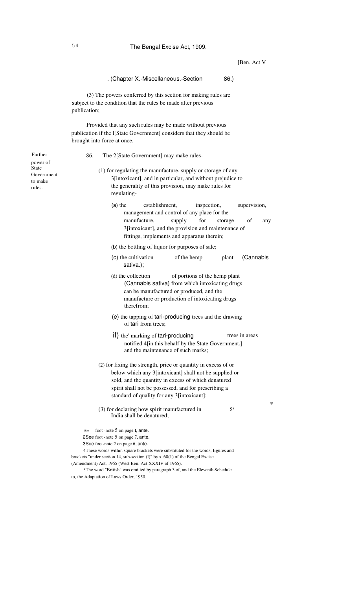[Ben. Act V

\*

### . (Chapter X.-Miscellaneous.-Section 86.)

(3) The powers conferred by this section for making rules are subject to the condition that the rules be made after previous publication;

Provided that any such rules may be made without previous publication if the l[State Government] considers that they should be brought into force at once.

86. The 2[State Government] may make rules-

- (1) for regulating the manufacture, supply or storage of any 3[intoxicant], and in particular, and without prejudice to the generality of this provision, may make rules for regulating-
	- (a) the establishment, inspection, supervision, management and control of any place for the manufacture, supply for storage of any 3[intoxicant], and the provision and maintenance of fittings, implements and apparatus therein;
	- (b) the bottling of liquor for purposes of sale;
	- of the hemp plant (Cannabis (c) the cultivation sativa.);
	- (d) the collection of portions of the hemp plant (Cannabis sativa) from which intoxicating drugs can be manufactured or produced, and the manufacture or production of intoxicating drugs therefrom;
	- (e) the tapping of tari-producing trees and the drawing of tari from trees;
	- $if)$  the' marking of tari-producing trees in areas notified 4[in this behalf by the State Government,] and the maintenance of such marks;
- (2) for fixing the strength, price or quantity in excess of or below which any 3[intoxicant] shall not be supplied or sold, and the quantity in excess of which denatured spirit shall not be possessed, and for prescribing a standard of quality for any 3[intoxicant];
- (3) for declaring how spirit manufactured in India shall be denatured; 5\*

1See foot -note 5 on page I, ante.

2See foot -note 5 on page 7, ante.

3See foot-note 2 on page 6, ante.

4These words within square brackets were substituted for the words, figures and brackets "under section 14, sub-section (I)" by s. 60(1) of the Bengal Excise (Amendment) Act, 1965 (West Ben. Act XXXIV of 1965).

5The word "British" was omitted by paragraph 3 of, and the Eleventh Schedule to, the Adaptation of Laws Order, 1950.

Further power of State Government to make rules.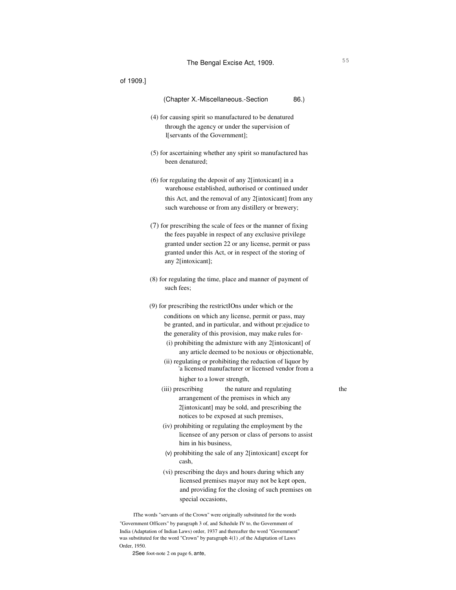| (Chapter X.-Miscellaneous.-Section<br>86.)                                                                                                                                                                                                                                                                                                                                                                                                                                                                                                                                               |                             |
|------------------------------------------------------------------------------------------------------------------------------------------------------------------------------------------------------------------------------------------------------------------------------------------------------------------------------------------------------------------------------------------------------------------------------------------------------------------------------------------------------------------------------------------------------------------------------------------|-----------------------------|
| (4) for causing spirit so manufactured to be denatured<br>through the agency or under the supervision of<br>I[servants of the Government];                                                                                                                                                                                                                                                                                                                                                                                                                                               |                             |
| (5) for ascertaining whether any spirit so manufactured has<br>been denatured;                                                                                                                                                                                                                                                                                                                                                                                                                                                                                                           |                             |
| $(6)$ for regulating the deposit of any 2[intoxicant] in a<br>warehouse established, authorised or continued under<br>this Act, and the removal of any 2[intoxicant] from any<br>such warehouse or from any distillery or brewery;                                                                                                                                                                                                                                                                                                                                                       |                             |
| (7) for prescribing the scale of fees or the manner of fixing<br>the fees payable in respect of any exclusive privilege<br>granted under section 22 or any license, permit or pass<br>granted under this Act, or in respect of the storing of<br>any 2[intoxicant];                                                                                                                                                                                                                                                                                                                      |                             |
| (8) for regulating the time, place and manner of payment of<br>such fees:                                                                                                                                                                                                                                                                                                                                                                                                                                                                                                                |                             |
| (9) for prescribing the restrictIOns under which or the<br>conditions on which any license, permit or pass, may<br>be granted, and in particular, and without pr:ejudice to<br>the generality of this provision, may make rules for-<br>(i) prohibiting the admixture with any 2[intoxicant] of<br>any article deemed to be noxious or objectionable,<br>(ii) regulating or prohibiting the reduction of liquor by<br>'a licensed manufacturer or licensed vendor from a                                                                                                                 |                             |
| (iii) prescribing<br>the nature and regulating<br>arrangement of the premises in which any<br>2[intoxicant] may be sold, and prescribing the<br>notices to be exposed at such premises,<br>(iv) prohibiting or regulating the employment by the<br>licensee of any person or class of persons to assist<br>him in his business,<br>(v) prohibiting the sale of any 2[intoxicant] except for<br>cash,<br>(vi) prescribing the days and hours during which any<br>licensed premises mayor may not be kept open,<br>and providing for the closing of such premises on<br>special occasions, | the                         |
|                                                                                                                                                                                                                                                                                                                                                                                                                                                                                                                                                                                          | higher to a lower strength, |

IThe words "servants of the Crown" were originally substituted for the words "Government Officers" by paragraph 3 of, and Schedule IV to, the Government of India (Adaptation of Indian Laws) order, 1937 and thereafter the word "Government" was substituted for the word "Crown" by paragraph 4(1), of the Adaptation of Laws Order, 1950.

2See foot-note 2 on page 6, ante,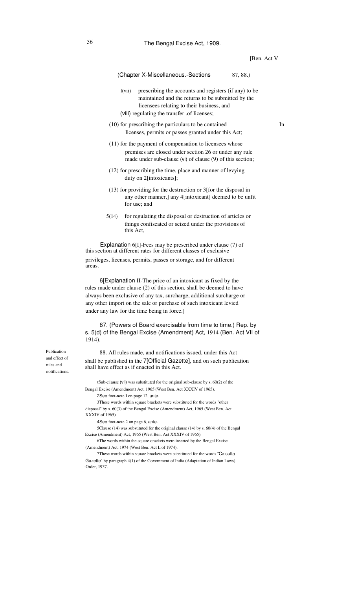#### (Chapter X-Miscellaneous.-Sections 87, 88.)

- $l(vii)$ prescribing the accounts and registers (if any) to be maintained and the returns to be submitted by the licensees relating to their business, and
- (viii) regulating the transfer .of licenses;
- (10) for prescribing the particulars to be contained licenses, permits or passes granted under this Act;
- (11) for the payment of compensation to licensees whose premises are closed under section 26 or under any rule made under sub-clause (vi) of clause (9) of this section;
- (12) for prescribing the time, place and manner of levying duty on 2[intoxicants];
- (13) for providing for the destruction or 3[for the disposal in any other manner,] any 4[intoxicant] deemed to be unfit for use; and
- 5(14) for regulating the disposal or destruction of articles or things confiscated or seized under the provisions of this Act,

Explanation 6[I]-Fees may be prescribed under clause (7) of this section at different rates for different classes of exclusive privileges, licenses, permits, passes or storage, and for different areas.

6[Explanation II-The price of an intoxicant as fixed by the rules made under clause (2) of this section, shall be deemed to have always been exclusive of any tax, surcharge, additional surcharge or any other import on the sale or purchase of such intoxicant levied under any law for the time being in force.]

87. (Powers of Board exercisable from time to time.) Rep. by s. 5(d) of the Bengal Excise (Amendment) Act, 1914 (Ben. Act VII of 1914).

Publication and effect of rules and notifications.

88. All rules made, and notifications issued, under this Act shall be published in the 7[Official Gazette], and on such publication shall have effect as if enacted in this Act.

tSub-c1ause (vii) was substituted for the original sub-clause by s. 60(2) of the Bengal Excise (Amendment) Act, 1965 (West Ben. Act XXXIV of 1965).

2See foot-note I on page 12, ante.

3These words within square brackets were substituted for the words "other disposal" by s. 60(3) of the Bengal Excise (Amendment) Act, 1965 (West Ben. Act XXXIV of 1965).

4See foot-note 2 on page 6, ante.

5Clause (14) was substituted for the original clause (14) by s. 60(4) of the Bengal Excise (Amendment) Act, 1965 (West Ben. Act XXXIV of 1965).

6The words within the square qrackets were inserted by the Bengal Excise (Amendment) Act, 1974 (West Ben. Act L of 1974).

7These words within square brackets were substituted for the words "Calcutta Gazette" by paragraph 4(1) of the Government of India (Adaptation of Indian Laws) ·Order, 1937.

In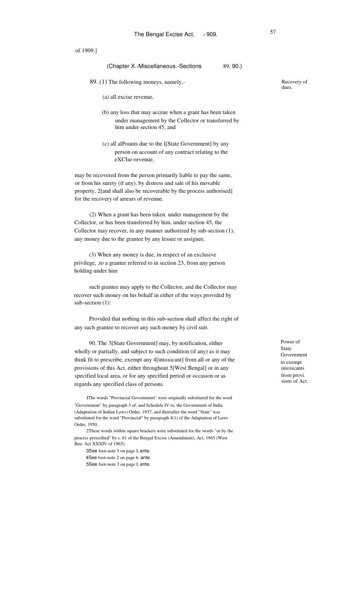# (Chapter X.-Miscellaneous.-Sections 89, 90.)

- 89. (1) The following moneys, namely,-
	- (a) all excise revenue,
	- (b) any loss that may accrue when a grant has been taken under management by the Collector or transferred by him under section 45, and
	- (c) all alPounts due to the l[State Government] by any person on account of any contract relating to the eXCIse-revenue,

may be recovered from the person primarily liable to pay the same, or from his surety (if any), by distress and sale of his movable property, 2[and shall also be recoverable by the process authorised] for the recovery of arrears of revenue.

(2) When a grant has been taken. under management by the Collector, or has been transferred by him, under section 45, the Collector may recover, in any manner authorized by sub-section (1), any money due to the grantee by any lessee or assignee.

(3) When any money is due, in respect of an exclusive privilege, ,to a grantee referred to in section 23, from any person holding under him

such grantee may apply to the Collector, and the Collector may recover such money on his behalf in either of the ways provided by sub-section (1):

Provided that nothing in this sub-section shall affect the right of any such grantee to recover any such money by civil suit.

90. The 3[State Government] may, by notification, either wholly or partially, and subject to such condition (if any) as it may think fit to prescribe, exempt any 4[intoxicant] from all or any of the provisions of this Act, either throughout 5[West Bengal] or in any specified local area, or for any specified period or occasion or as regards any specified class of persons.

IThe words "Provincial Government" were originally substituted for the word "Government" by paragraph 3 of, and Schedule IV to, the Government of India (Adaptation of Indian Laws) Order, 1937, and thereafter the word "State" was substituted for·the word "Provincial" by paragraph 4(1) of the Adaptation of Laws Order, 1950.

2These words within square brackets were substituted for the words "or by the process prescribed" by s. 61 of the Bengal Excise (Amendment), Act, 1965 (West Ben. Act XXXIV of 1965).

3See foot-note 5 on page I, ante. 4See foot-note 2 on page 6, ante. 5See foot-note 3 on page I, ante. Recovery of dues.

Power of State Government to exempt intoxicants from provi. sions of Act.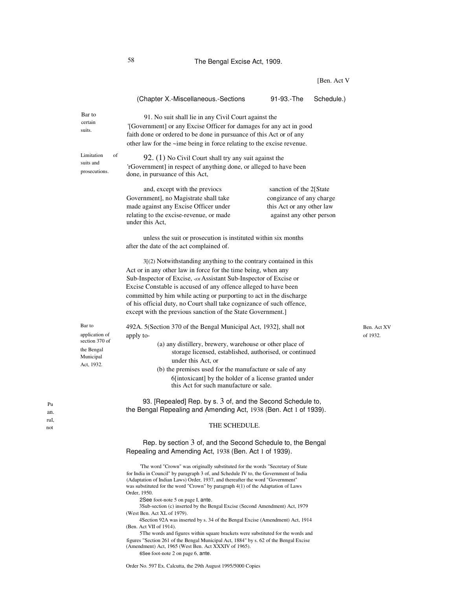# 58 The Bengal Excise Act, 1909.

(Chapter X.-Miscellaneous.-Sections 91-93.-The Schedule.) Bar to certain suits. 91. No suit shall lie in any Civil Court against the '[Government] or any Excise Officer for damages for any act in good faith done or ordered to be done in pursuance of this Act or of any other law for the ~ime being in force relating to the excise revenue. Limitation of suits and prosecutions. 92. (1) No Civil Court shall try any suit against the 'rGovernment] in respect of anything done, or alleged to have been done, in pursuance of this Act, and, except with the previocs Government], no Magistrate shall take made against any Excise Officer under relating to the excise-revenue, or made under this Act, sanction of the 2[State congizance of any charge this Act or any other law against any other person unless the suit or prosecution is instituted within six months after the date of the act complained of. 3[(2) Notwithstanding anything to the contrary contained in this Act or in any other law in force for the time being, when any Sub-Inspector of Excise, <of Assistant Sub-Inspector of Excise or Excise Constable is accused of any offence alleged to have been committed by him while acting or purporting to act in the discharge of his official duty, no Court shall take cognizance of such offence, except with the previous sanction of the State Government.] Bar to application of section 370 of the Bengal Municipal Act, 1932. 492A. 5(Section 370 of the Bengal Municipal Act, 1932], shall not apply to- (a) any distillery, brewery, warehouse or other place of storage licensed, established, authorised, or continued under this Act, or (b) the premises used for the manufacture or sale of any 6[intoxicant] by the holder of a license granted under this Act for such manufacture or sale. 93. [Repealed] Rep. by s. 3 of, and the Second Schedule to, the Bengal Repealing and Amending Act, 1938 (Ben. Act 1 of 1939). THE SCHEDULE. Rep. by section 3 of, and the Second Schedule to, the Bengal Repealing and Amending Act, 1938 (Ben. Act 1 of 1939).

> 'The word "Crown" was originally substituted for the words "Secretary of State for India in Council" by paragraph 3 of, and Schedule IV to, the Government of India (Adaptation of Indian Laws) Order, 1937, and thereafter the word "Government" was substituted for the word "Crown" by paragraph 4(1) of the Adaptation of Laws Order, 1950.

2See foot-note 5 on page I, ante.

3Sub-section (c) inserted by the Bengal Excise (Second Amendment) Act, 1979 (West Ben. Act XL of 1979).

4Section 92A was inserted by s. 34 of the Bengal Excise (Amendment) Act, 1914 (Ben. Act VII of 1914).

5The words and figures within square brackets were substituted for the words and figures "Section 261 of the Bengal Municipal Act, 1884" by s. 62 of the Bengal Excise (Amendment) Act, 1965 (West Ben. Act XXXIV of 1965).

6See foot-note 2 on page 6, ante.

Ben. Act XV of 1932.

Pu an. ruI,

not